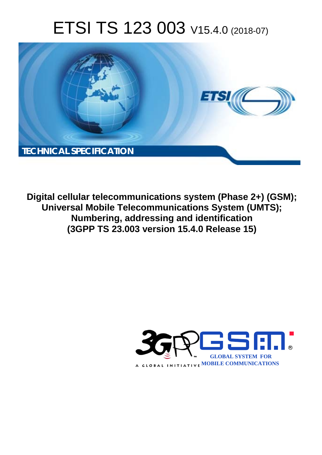# ETSI TS 123 003 V15.4.0 (2018-07)



**Digital cellular telecommunications system (Phase 2+) (GSM); Universal Mobile Telecommunications System (UMTS); Numbering, addressing and identification (3GPP TS 23.003 version 15.4.0 Release 15)** 

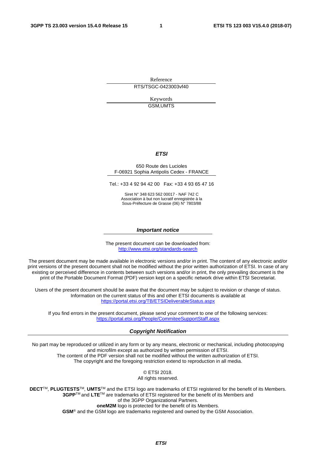Reference RTS/TSGC-0423003vf40

> Keywords GSM,UMTS

#### *ETSI*

#### 650 Route des Lucioles F-06921 Sophia Antipolis Cedex - FRANCE

Tel.: +33 4 92 94 42 00 Fax: +33 4 93 65 47 16

Siret N° 348 623 562 00017 - NAF 742 C Association à but non lucratif enregistrée à la Sous-Préfecture de Grasse (06) N° 7803/88

#### *Important notice*

The present document can be downloaded from: <http://www.etsi.org/standards-search>

The present document may be made available in electronic versions and/or in print. The content of any electronic and/or print versions of the present document shall not be modified without the prior written authorization of ETSI. In case of any existing or perceived difference in contents between such versions and/or in print, the only prevailing document is the print of the Portable Document Format (PDF) version kept on a specific network drive within ETSI Secretariat.

Users of the present document should be aware that the document may be subject to revision or change of status. Information on the current status of this and other ETSI documents is available at <https://portal.etsi.org/TB/ETSIDeliverableStatus.aspx>

If you find errors in the present document, please send your comment to one of the following services: <https://portal.etsi.org/People/CommiteeSupportStaff.aspx>

#### *Copyright Notification*

No part may be reproduced or utilized in any form or by any means, electronic or mechanical, including photocopying and microfilm except as authorized by written permission of ETSI. The content of the PDF version shall not be modified without the written authorization of ETSI. The copyright and the foregoing restriction extend to reproduction in all media.

> © ETSI 2018. All rights reserved.

**DECT**TM, **PLUGTESTS**TM, **UMTS**TM and the ETSI logo are trademarks of ETSI registered for the benefit of its Members. **3GPP**TM and **LTE**TM are trademarks of ETSI registered for the benefit of its Members and of the 3GPP Organizational Partners. **oneM2M** logo is protected for the benefit of its Members.

**GSM**® and the GSM logo are trademarks registered and owned by the GSM Association.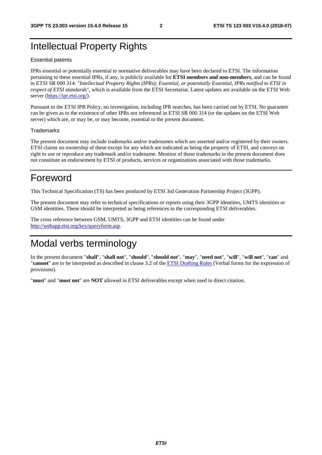# Intellectual Property Rights

#### Essential patents

IPRs essential or potentially essential to normative deliverables may have been declared to ETSI. The information pertaining to these essential IPRs, if any, is publicly available for **ETSI members and non-members**, and can be found in ETSI SR 000 314: *"Intellectual Property Rights (IPRs); Essential, or potentially Essential, IPRs notified to ETSI in respect of ETSI standards"*, which is available from the ETSI Secretariat. Latest updates are available on the ETSI Web server ([https://ipr.etsi.org/\)](https://ipr.etsi.org/).

Pursuant to the ETSI IPR Policy, no investigation, including IPR searches, has been carried out by ETSI. No guarantee can be given as to the existence of other IPRs not referenced in ETSI SR 000 314 (or the updates on the ETSI Web server) which are, or may be, or may become, essential to the present document.

#### **Trademarks**

The present document may include trademarks and/or tradenames which are asserted and/or registered by their owners. ETSI claims no ownership of these except for any which are indicated as being the property of ETSI, and conveys no right to use or reproduce any trademark and/or tradename. Mention of those trademarks in the present document does not constitute an endorsement by ETSI of products, services or organizations associated with those trademarks.

# Foreword

This Technical Specification (TS) has been produced by ETSI 3rd Generation Partnership Project (3GPP).

The present document may refer to technical specifications or reports using their 3GPP identities, UMTS identities or GSM identities. These should be interpreted as being references to the corresponding ETSI deliverables.

The cross reference between GSM, UMTS, 3GPP and ETSI identities can be found under [http://webapp.etsi.org/key/queryform.asp.](http://webapp.etsi.org/key/queryform.asp)

# Modal verbs terminology

In the present document "**shall**", "**shall not**", "**should**", "**should not**", "**may**", "**need not**", "**will**", "**will not**", "**can**" and "**cannot**" are to be interpreted as described in clause 3.2 of the [ETSI Drafting Rules](https://portal.etsi.org/Services/editHelp!/Howtostart/ETSIDraftingRules.aspx) (Verbal forms for the expression of provisions).

"**must**" and "**must not**" are **NOT** allowed in ETSI deliverables except when used in direct citation.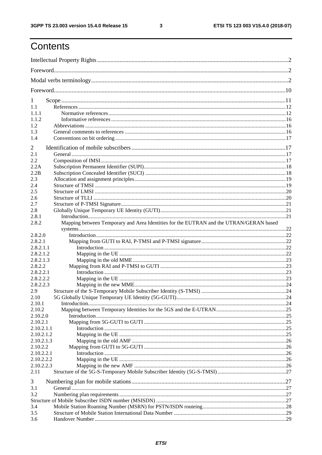$\mathbf{3}$ 

# Contents

| 1          |                                                                                        |  |  |
|------------|----------------------------------------------------------------------------------------|--|--|
| 1.1        |                                                                                        |  |  |
| 1.1.1      |                                                                                        |  |  |
| 1.1.2      |                                                                                        |  |  |
| 1.2        |                                                                                        |  |  |
| 1.3        |                                                                                        |  |  |
| 1.4        |                                                                                        |  |  |
| 2          |                                                                                        |  |  |
| 2.1        |                                                                                        |  |  |
| 2.2        |                                                                                        |  |  |
| 2.2A       |                                                                                        |  |  |
| 2.2B       |                                                                                        |  |  |
| 2.3        |                                                                                        |  |  |
| 2.4        |                                                                                        |  |  |
| 2.5        |                                                                                        |  |  |
| 2.6        |                                                                                        |  |  |
| 2.7        |                                                                                        |  |  |
| 2.8        |                                                                                        |  |  |
| 2.8.1      |                                                                                        |  |  |
| 2.8.2      | Mapping between Temporary and Area Identities for the EUTRAN and the UTRAN/GERAN based |  |  |
|            |                                                                                        |  |  |
| 2.8.2.0    |                                                                                        |  |  |
| 2.8.2.1    |                                                                                        |  |  |
| 2.8.2.1.1  |                                                                                        |  |  |
| 2.8.2.1.2  |                                                                                        |  |  |
| 2.8.2.1.3  |                                                                                        |  |  |
| 2.8.2.2    |                                                                                        |  |  |
| 2.8.2.2.1  |                                                                                        |  |  |
| 2.8.2.2.2  |                                                                                        |  |  |
| 2.8.2.2.3  |                                                                                        |  |  |
| 2.9        |                                                                                        |  |  |
| 2.10       |                                                                                        |  |  |
| 2.10.1     |                                                                                        |  |  |
| 2.10.2     |                                                                                        |  |  |
| 2.10.2.0   |                                                                                        |  |  |
| 2.10.2.1   |                                                                                        |  |  |
| 2.10.2.1.1 |                                                                                        |  |  |
| 2.10.2.1.2 |                                                                                        |  |  |
| 2.10.2.1.3 |                                                                                        |  |  |
| 2.10.2.2   |                                                                                        |  |  |
| 2.10.2.2.1 |                                                                                        |  |  |
| 2.10.2.2.2 |                                                                                        |  |  |
| 2.10.2.2.3 |                                                                                        |  |  |
| 2.11       |                                                                                        |  |  |
|            |                                                                                        |  |  |
| 3          |                                                                                        |  |  |
| 3.1        |                                                                                        |  |  |
| 3.2        |                                                                                        |  |  |
|            |                                                                                        |  |  |
| 3.4        |                                                                                        |  |  |
| 3.5        |                                                                                        |  |  |
| 3.6        |                                                                                        |  |  |
|            |                                                                                        |  |  |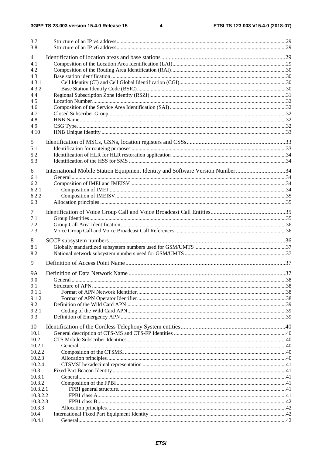| 3.7<br>3.8                   |                                                                                |  |
|------------------------------|--------------------------------------------------------------------------------|--|
| $\overline{4}$<br>4.1<br>4.2 |                                                                                |  |
| 4.3<br>4.3.1<br>4.3.2        |                                                                                |  |
| 4.4<br>4.5<br>4.6            |                                                                                |  |
| 4.7<br>4.8<br>4.9            |                                                                                |  |
| 4.10<br>5<br>5.1             |                                                                                |  |
| 5.2<br>5.3                   |                                                                                |  |
| 6<br>6.1<br>6.2              | International Mobile Station Equipment Identity and Software Version Number 34 |  |
| 6.2.1<br>6.2.2<br>6.3        |                                                                                |  |
| 7<br>7.1                     |                                                                                |  |
| 7.2<br>7.3                   |                                                                                |  |
| 8<br>8.1<br>8.2              |                                                                                |  |
| 9                            |                                                                                |  |
| <b>9A</b>                    |                                                                                |  |
| 9.0<br>9.1                   |                                                                                |  |
| 9.1.1                        |                                                                                |  |
| 9.1.2                        |                                                                                |  |
| 9.2                          |                                                                                |  |
| 9.2.1                        |                                                                                |  |
| 9.3                          |                                                                                |  |
| 10                           |                                                                                |  |
| 10.1<br>10.2                 |                                                                                |  |
| 10.2.1                       |                                                                                |  |
| 10.2.2                       |                                                                                |  |
| 10.2.3                       |                                                                                |  |
| 10.2.4                       |                                                                                |  |
| 10.3<br>10.3.1               |                                                                                |  |
| 10.3.2                       |                                                                                |  |
| 10.3.2.1                     |                                                                                |  |
| 10.3.2.2                     |                                                                                |  |
| 10.3.2.3                     |                                                                                |  |
| 10.3.3                       |                                                                                |  |
| 10.4<br>10.4.1               |                                                                                |  |
|                              |                                                                                |  |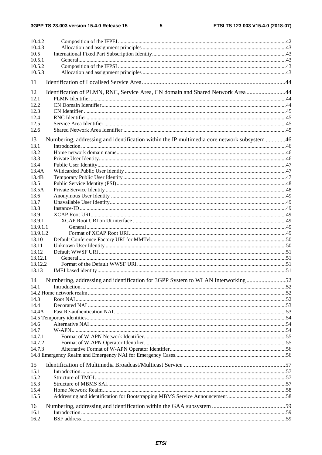$5\phantom{a}$ 

| 10.4.2           |                                                                                             |  |
|------------------|---------------------------------------------------------------------------------------------|--|
| 10.4.3           |                                                                                             |  |
| 10.5             |                                                                                             |  |
| 10.5.1           |                                                                                             |  |
| 10.5.2           |                                                                                             |  |
| 10.5.3           |                                                                                             |  |
| 11               |                                                                                             |  |
| 12               | Identification of PLMN, RNC, Service Area, CN domain and Shared Network Area 44             |  |
| 12.1             |                                                                                             |  |
| 12.2             |                                                                                             |  |
| 12.3             |                                                                                             |  |
| 12.4             |                                                                                             |  |
| 12.5             |                                                                                             |  |
| 12.6             |                                                                                             |  |
|                  |                                                                                             |  |
| 13<br>13.1       | Numbering, addressing and identification within the IP multimedia core network subsystem 46 |  |
| 13.2             |                                                                                             |  |
| 13.3             |                                                                                             |  |
| 13.4             |                                                                                             |  |
| 13.4A            |                                                                                             |  |
| 13.4B            |                                                                                             |  |
| 13.5             |                                                                                             |  |
| 13.5A            |                                                                                             |  |
| 13.6             |                                                                                             |  |
| 13.7             |                                                                                             |  |
| 13.8             |                                                                                             |  |
| 13.9             |                                                                                             |  |
| 13.9.1           |                                                                                             |  |
| 13.9.1.1         |                                                                                             |  |
| 13.9.1.2         |                                                                                             |  |
| 13.10            |                                                                                             |  |
| 13.11            |                                                                                             |  |
| 13.12<br>13.12.1 |                                                                                             |  |
| 13.12.2          |                                                                                             |  |
| 13.13            |                                                                                             |  |
|                  |                                                                                             |  |
|                  | 14 Numbering, addressing and identification for 3GPP System to WLAN Interworking 52         |  |
| 14.1             |                                                                                             |  |
|                  |                                                                                             |  |
| 14.3             |                                                                                             |  |
| 14.4             |                                                                                             |  |
| 14.4A            |                                                                                             |  |
| 14.6             |                                                                                             |  |
| 14.7             |                                                                                             |  |
| 14.7.1           |                                                                                             |  |
| 14.7.2           |                                                                                             |  |
| 14.7.3           |                                                                                             |  |
|                  |                                                                                             |  |
|                  |                                                                                             |  |
| 15<br>15.1       |                                                                                             |  |
| 15.2             |                                                                                             |  |
| 15.3             |                                                                                             |  |
| 15.4             |                                                                                             |  |
| 15.5             |                                                                                             |  |
|                  |                                                                                             |  |
| 16               |                                                                                             |  |
| 16.1             |                                                                                             |  |
| 16.2             |                                                                                             |  |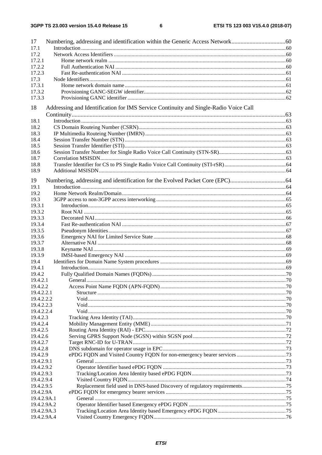$\bf 6$ 

| 17          |                                                                                      |  |  |  |  |
|-------------|--------------------------------------------------------------------------------------|--|--|--|--|
| 17.1        |                                                                                      |  |  |  |  |
| 17.2        |                                                                                      |  |  |  |  |
| 17.2.1      |                                                                                      |  |  |  |  |
| 17.2.2      |                                                                                      |  |  |  |  |
| 17.2.3      |                                                                                      |  |  |  |  |
| 17.3        |                                                                                      |  |  |  |  |
| 17.3.1      |                                                                                      |  |  |  |  |
| 17.3.2      |                                                                                      |  |  |  |  |
| 17.3.3      |                                                                                      |  |  |  |  |
|             |                                                                                      |  |  |  |  |
| 18          | Addressing and Identification for IMS Service Continuity and Single-Radio Voice Call |  |  |  |  |
|             |                                                                                      |  |  |  |  |
| 18.1        |                                                                                      |  |  |  |  |
| 18.2        |                                                                                      |  |  |  |  |
| 18.3        |                                                                                      |  |  |  |  |
| 18.4        |                                                                                      |  |  |  |  |
| 18.5        |                                                                                      |  |  |  |  |
| 18.6        |                                                                                      |  |  |  |  |
| 18.7        |                                                                                      |  |  |  |  |
| 18.8        |                                                                                      |  |  |  |  |
| 18.9        |                                                                                      |  |  |  |  |
| 19          |                                                                                      |  |  |  |  |
| 19.1        |                                                                                      |  |  |  |  |
| 19.2        |                                                                                      |  |  |  |  |
| 19.3        |                                                                                      |  |  |  |  |
| 19.3.1      |                                                                                      |  |  |  |  |
| 19.3.2      |                                                                                      |  |  |  |  |
|             |                                                                                      |  |  |  |  |
| 19.3.3      |                                                                                      |  |  |  |  |
| 19.3.4      |                                                                                      |  |  |  |  |
| 19.3.5      |                                                                                      |  |  |  |  |
| 19.3.6      |                                                                                      |  |  |  |  |
| 19.3.7      |                                                                                      |  |  |  |  |
| 19.3.8      |                                                                                      |  |  |  |  |
| 19.3.9      |                                                                                      |  |  |  |  |
| 19.4        |                                                                                      |  |  |  |  |
| 19.4.1      |                                                                                      |  |  |  |  |
| 19.4.2      |                                                                                      |  |  |  |  |
| 19.4.2.1    | General.                                                                             |  |  |  |  |
| 19.4.2.2    |                                                                                      |  |  |  |  |
| 19.4.2.2.1  |                                                                                      |  |  |  |  |
| 19.4.2.2.2  |                                                                                      |  |  |  |  |
| 19.4.2.2.3  |                                                                                      |  |  |  |  |
| 19.4.2.2.4  |                                                                                      |  |  |  |  |
| 19.4.2.3    |                                                                                      |  |  |  |  |
| 19.4.2.4    |                                                                                      |  |  |  |  |
| 19.4.2.5    |                                                                                      |  |  |  |  |
| 19.4.2.6    |                                                                                      |  |  |  |  |
| 19.4.2.7    |                                                                                      |  |  |  |  |
| 19.4.2.8    |                                                                                      |  |  |  |  |
| 19.4.2.9    |                                                                                      |  |  |  |  |
| 19.4.2.9.1  |                                                                                      |  |  |  |  |
| 19.4.2.9.2  |                                                                                      |  |  |  |  |
| 19.4.2.9.3  |                                                                                      |  |  |  |  |
| 19.4.2.9.4  |                                                                                      |  |  |  |  |
| 19.4.2.9.5  |                                                                                      |  |  |  |  |
| 19.4.2.9A   |                                                                                      |  |  |  |  |
| 19.4.2.9A.1 |                                                                                      |  |  |  |  |
| 19.4.2.9A.2 |                                                                                      |  |  |  |  |
| 19.4.2.9A.3 |                                                                                      |  |  |  |  |
| 19.4.2.9A.4 |                                                                                      |  |  |  |  |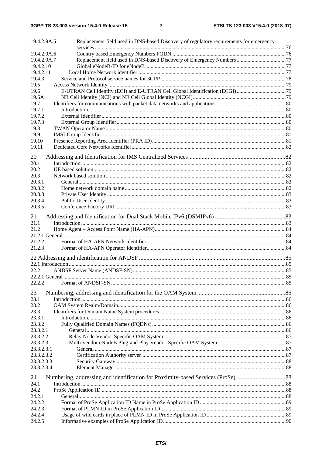| 19.4.2.9A.5            | Replacement field used in DNS-based Discovery of regulatory requirements for emergency |  |
|------------------------|----------------------------------------------------------------------------------------|--|
|                        |                                                                                        |  |
| 19.4.2.9A.6            |                                                                                        |  |
| 19.4.2.9A.7            | Replacement field used in DNS-based Discovery of Emergency Numbers 77                  |  |
| 19.4.2.10<br>19.4.2.11 |                                                                                        |  |
| 19.4.3                 |                                                                                        |  |
| 19.5                   |                                                                                        |  |
| 19.6                   |                                                                                        |  |
| 19.6A                  |                                                                                        |  |
| 19.7                   |                                                                                        |  |
| 19.7.1                 |                                                                                        |  |
| 19.7.2                 |                                                                                        |  |
| 19.7.3                 |                                                                                        |  |
| 19.8                   |                                                                                        |  |
| 19.9                   |                                                                                        |  |
| 19.10                  |                                                                                        |  |
| 19.11                  |                                                                                        |  |
| 20                     |                                                                                        |  |
| 20.1                   |                                                                                        |  |
| 20.2                   |                                                                                        |  |
| 20.3                   |                                                                                        |  |
| 20.3.1                 |                                                                                        |  |
| 20.3.2                 |                                                                                        |  |
| 20.3.3                 |                                                                                        |  |
| 20.3.4                 |                                                                                        |  |
| 20.3.5                 |                                                                                        |  |
| 21                     |                                                                                        |  |
| 21.1                   |                                                                                        |  |
| 21.2                   |                                                                                        |  |
|                        |                                                                                        |  |
| 21.2.2                 |                                                                                        |  |
| 21.2.3                 |                                                                                        |  |
|                        |                                                                                        |  |
|                        |                                                                                        |  |
| 22.2                   |                                                                                        |  |
|                        |                                                                                        |  |
| 22.2.2                 |                                                                                        |  |
| 23                     |                                                                                        |  |
| 23.1                   |                                                                                        |  |
| 23.2                   |                                                                                        |  |
| 23.3                   |                                                                                        |  |
| 23.3.1                 |                                                                                        |  |
| 23.3.2                 |                                                                                        |  |
| 23.3.2.1               |                                                                                        |  |
| 23.3.2.2               |                                                                                        |  |
| 23.3.2.3               |                                                                                        |  |
| 23.3.2.3.1             |                                                                                        |  |
| 23.3.2.3.2             |                                                                                        |  |
| 23.3.2.3.3             |                                                                                        |  |
| 23.3.2.3.4             |                                                                                        |  |
| 24                     |                                                                                        |  |
| 24.1                   |                                                                                        |  |
| 24.2                   |                                                                                        |  |
| 24.2.1                 |                                                                                        |  |
| 24.2.2                 |                                                                                        |  |
| 24.2.3                 |                                                                                        |  |
| 24.2.4                 |                                                                                        |  |
| 24.2.5                 |                                                                                        |  |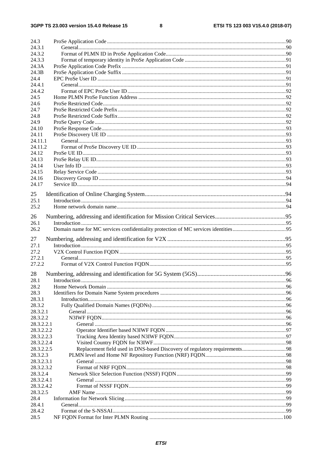| 24.3       |  |
|------------|--|
| 24.3.1     |  |
| 24.3.2     |  |
| 24.3.3     |  |
| 24.3A      |  |
| 24.3B      |  |
| 24.4       |  |
| 24.4.1     |  |
| 24.4.2     |  |
| 24.5       |  |
| 24.6       |  |
| 24.7       |  |
| 24.8       |  |
| 24.9       |  |
| 24.10      |  |
| 24.11      |  |
| 24.11.1    |  |
| 24.11.2    |  |
| 24.12      |  |
| 24.13      |  |
| 24.14      |  |
| 24.15      |  |
| 24.16      |  |
| 24.17      |  |
|            |  |
| 25         |  |
| 25.1       |  |
| 25.2       |  |
| 26         |  |
| 26.1       |  |
| 26.2       |  |
|            |  |
| 27         |  |
| 27.1       |  |
| 27.2       |  |
| 27.2.1     |  |
| 27.2.2     |  |
| 28         |  |
| 28.1       |  |
| 28.2       |  |
| 28.3       |  |
| 28.3.1     |  |
| 28.3.2     |  |
| 28.3.2.1   |  |
| 28.3.2.2   |  |
| 28.3.2.2.1 |  |
| 28.3.2.2.2 |  |
| 28.3.2.2.3 |  |
| 28.3.2.2.4 |  |
| 28.3.2.2.5 |  |
| 28.3.2.3   |  |
| 28.3.2.3.1 |  |
| 28.3.2.3.2 |  |
| 28.3.2.4   |  |
| 28.3.2.4.1 |  |
| 28.3.2.4.2 |  |
| 28.3.2.5   |  |
| 28.4       |  |
| 28.4.1     |  |
| 28.4.2     |  |
| 28.5       |  |
|            |  |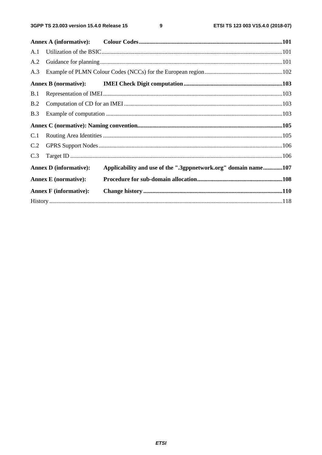$\boldsymbol{9}$ 

| A.1 |                               |                                                                |  |
|-----|-------------------------------|----------------------------------------------------------------|--|
| A.2 |                               |                                                                |  |
| A.3 |                               |                                                                |  |
|     |                               |                                                                |  |
| B.1 |                               |                                                                |  |
| B.2 |                               |                                                                |  |
| B.3 |                               |                                                                |  |
|     |                               |                                                                |  |
| C.1 |                               |                                                                |  |
| C.2 |                               |                                                                |  |
| C.3 |                               |                                                                |  |
|     | <b>Annex D</b> (informative): | Applicability and use of the ".3gppnetwork.org" domain name107 |  |
|     | <b>Annex E</b> (normative):   |                                                                |  |
|     | <b>Annex F</b> (informative): |                                                                |  |
|     |                               |                                                                |  |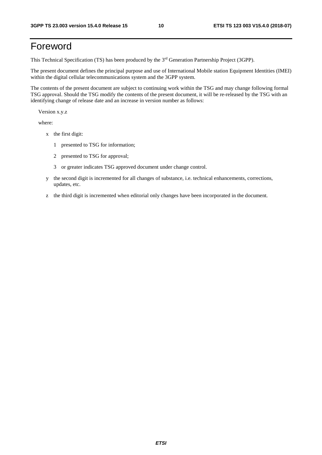# Foreword

This Technical Specification (TS) has been produced by the 3rd Generation Partnership Project (3GPP).

The present document defines the principal purpose and use of International Mobile station Equipment Identities (IMEI) within the digital cellular telecommunications system and the 3GPP system.

The contents of the present document are subject to continuing work within the TSG and may change following formal TSG approval. Should the TSG modify the contents of the present document, it will be re-released by the TSG with an identifying change of release date and an increase in version number as follows:

Version x.y.z

where:

- x the first digit:
	- 1 presented to TSG for information;
	- 2 presented to TSG for approval;
	- 3 or greater indicates TSG approved document under change control.
- y the second digit is incremented for all changes of substance, i.e. technical enhancements, corrections, updates, etc.
- z the third digit is incremented when editorial only changes have been incorporated in the document.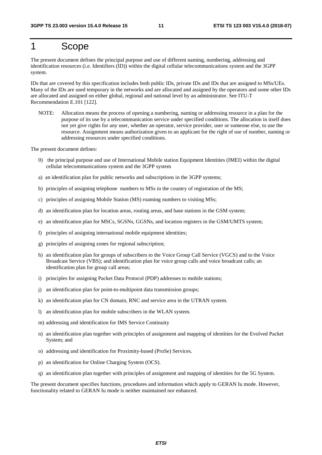# 1 Scope

The present document defines the principal purpose and use of different naming, numbering, addressing and identification resources (i.e. Identifiers (ID)) within the digital cellular telecommunications system and the 3GPP system.

IDs that are covered by this specification includes both public IDs, private IDs and IDs that are assigned to MSs/UEs. Many of the IDs are used temporary in the networks and are allocated and assigned by the operators and some other IDs are allocated and assigned on either global, regional and national level by an administrator. See ITU-T Recommendation E.101 [122].

NOTE: Allocation means the process of opening a numbering, naming or addressing resource in a plan for the purpose of its use by a telecommunication service under specified conditions. The allocation in itself does not yet give rights for any user, whether an operator, service provider, user or someone else, to use the resource. Assignment means authorization given to an applicant for the right of use of number, naming or addressing resources under specified conditions.

The present document defines:

- 0) the principal purpose and use of International Mobile station Equipment Identities (IMEI) within the digital cellular telecommunications system and the 3GPP system
- a) an identification plan for public networks and subscriptions in the 3GPP systems;
- b) principles of assigning telephone numbers to MSs in the country of registration of the MS;
- c) principles of assigning Mobile Station (MS) roaming numbers to visiting MSs;
- d) an identification plan for location areas, routing areas, and base stations in the GSM system;
- e) an identification plan for MSCs, SGSNs, GGSNs, and location registers in the GSM/UMTS system;
- f) principles of assigning international mobile equipment identities;
- g) principles of assigning zones for regional subscription;
- h) an identification plan for groups of subscribers to the Voice Group Call Service (VGCS) and to the Voice Broadcast Service (VBS); and identification plan for voice group calls and voice broadcast calls; an identification plan for group call areas;
- i) principles for assigning Packet Data Protocol (PDP) addresses to mobile stations;
- j) an identification plan for point-to-multipoint data transmission groups;
- k) an identification plan for CN domain, RNC and service area in the UTRAN system.
- l) an identification plan for mobile subscribers in the WLAN system.
- m) addressing and identification for IMS Service Continuity
- n) an identification plan together with principles of assignment and mapping of identities for the Evolved Packet System; and
- o) addressing and identification for Proximity-based (ProSe) Services.
- p) an identification for Online Charging System (OCS).
- q) an identification plan together with principles of assignment and mapping of identities for the 5G System.

The present document specifies functions, procedures and information which apply to GERAN Iu mode. However, functionality related to GERAN Iu mode is neither maintained nor enhanced.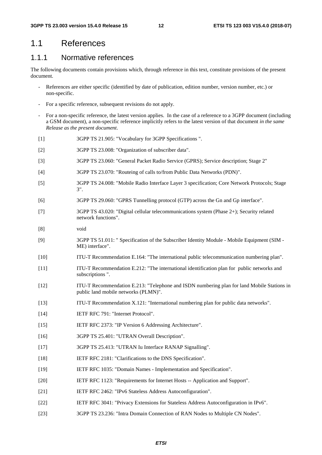### 1.1 References

### 1.1.1 Normative references

The following documents contain provisions which, through reference in this text, constitute provisions of the present document.

- References are either specific (identified by date of publication, edition number, version number, etc.) or non-specific.
- For a specific reference, subsequent revisions do not apply.
- For a non-specific reference, the latest version applies. In the case of a reference to a 3GPP document (including a GSM document), a non-specific reference implicitly refers to the latest version of that document *in the same Release as the present document*.
- [1] 3GPP TS 21.905: "Vocabulary for 3GPP Specifications ".
- [2] 3GPP TS 23.008: "Organization of subscriber data".
- [3] 3GPP TS 23.060: "General Packet Radio Service (GPRS); Service description; Stage 2"
- [4] 3GPP TS 23.070: "Routeing of calls to/from Public Data Networks (PDN)".
- [5] 3GPP TS 24.008: "Mobile Radio Interface Layer 3 specification; Core Network Protocols; Stage 3".
- [6] 3GPP TS 29.060: "GPRS Tunnelling protocol (GTP) across the Gn and Gp interface".
- [7] 3GPP TS 43.020: "Digital cellular telecommunications system (Phase 2+); Security related network functions".
- [8] void
- [9] 3GPP TS 51.011: " Specification of the Subscriber Identity Module Mobile Equipment (SIM ME) interface".
- [10] ITU-T Recommendation E.164: "The international public telecommunication numbering plan".
- [11] ITU-T Recommendation E.212: "The international identification plan for public networks and subscriptions ".
- [12] ITU-T Recommendation E.213: "Telephone and ISDN numbering plan for land Mobile Stations in public land mobile networks (PLMN)".
- [13] ITU-T Recommendation X.121: "International numbering plan for public data networks".
- [14] **IETF RFC 791: "Internet Protocol".**
- [15] IETF RFC 2373: "IP Version 6 Addressing Architecture".
- [16] 3GPP TS 25.401: "UTRAN Overall Description".
- [17] 3GPP TS 25.413: "UTRAN Iu Interface RANAP Signalling".
- [18] IETF RFC 2181: "Clarifications to the DNS Specification".
- [19] IETF RFC 1035: "Domain Names Implementation and Specification".
- [20] IETF RFC 1123: "Requirements for Internet Hosts -- Application and Support".
- [21] IETF RFC 2462: "IPv6 Stateless Address Autoconfiguration".
- [22] IETF RFC 3041: "Privacy Extensions for Stateless Address Autoconfiguration in IPv6".
- [23] 3GPP TS 23.236: "Intra Domain Connection of RAN Nodes to Multiple CN Nodes".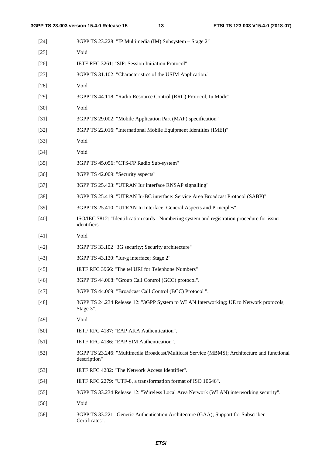| $[24]$ | 3GPP TS 23.228: "IP Multimedia (IM) Subsystem – Stage 2"                                                     |
|--------|--------------------------------------------------------------------------------------------------------------|
| $[25]$ | Void                                                                                                         |
| $[26]$ | IETF RFC 3261: "SIP: Session Initiation Protocol"                                                            |
| $[27]$ | 3GPP TS 31.102: "Characteristics of the USIM Application."                                                   |
| $[28]$ | Void                                                                                                         |
| $[29]$ | 3GPP TS 44.118: "Radio Resource Control (RRC) Protocol, Iu Mode".                                            |
| $[30]$ | Void                                                                                                         |
| $[31]$ | 3GPP TS 29.002: "Mobile Application Part (MAP) specification"                                                |
| $[32]$ | 3GPP TS 22.016: "International Mobile Equipment Identities (IMEI)"                                           |
| $[33]$ | Void                                                                                                         |
| $[34]$ | Void                                                                                                         |
| $[35]$ | 3GPP TS 45.056: "CTS-FP Radio Sub-system"                                                                    |
| $[36]$ | 3GPP TS 42.009: "Security aspects"                                                                           |
| $[37]$ | 3GPP TS 25.423: "UTRAN Iur interface RNSAP signalling"                                                       |
| $[38]$ | 3GPP TS 25.419: "UTRAN Iu-BC interface: Service Area Broadcast Protocol (SABP)"                              |
| $[39]$ | 3GPP TS 25.410: "UTRAN Iu Interface: General Aspects and Principles"                                         |
| $[40]$ | ISO/IEC 7812: "Identification cards - Numbering system and registration procedure for issuer<br>identifiers" |
| $[41]$ | Void                                                                                                         |
| $[42]$ | 3GPP TS 33.102 "3G security; Security architecture"                                                          |
| $[43]$ | 3GPP TS 43.130: "Iur-g interface; Stage 2"                                                                   |
| $[45]$ | IETF RFC 3966: "The tel URI for Telephone Numbers"                                                           |
| $[46]$ | 3GPP TS 44.068: "Group Call Control (GCC) protocol".                                                         |
| $[47]$ | 3GPP TS 44.069: "Broadcast Call Control (BCC) Protocol".                                                     |
| $[48]$ | 3GPP TS 24.234 Release 12: "3GPP System to WLAN Interworking; UE to Network protocols;<br>Stage 3".          |
| $[49]$ | Void                                                                                                         |
| $[50]$ | IETF RFC 4187: "EAP AKA Authentication".                                                                     |
| $[51]$ | IETF RFC 4186: "EAP SIM Authentication".                                                                     |
| $[52]$ | 3GPP TS 23.246: "Multimedia Broadcast/Multicast Service (MBMS); Architecture and functional<br>description"  |
| $[53]$ | IETF RFC 4282: "The Network Access Identifier".                                                              |
| $[54]$ | IETF RFC 2279: "UTF-8, a transformation format of ISO 10646".                                                |
| $[55]$ | 3GPP TS 33.234 Release 12: "Wireless Local Area Network (WLAN) interworking security".                       |
| $[56]$ | Void                                                                                                         |
| $[58]$ | 3GPP TS 33.221 "Generic Authentication Architecture (GAA); Support for Subscriber<br>Certificates".          |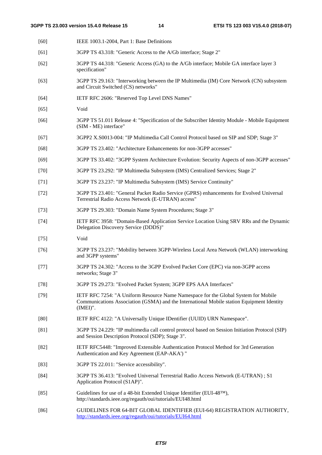| $[60]$ | IEEE 1003.1-2004, Part 1: Base Definitions                                                                                                                                                     |
|--------|------------------------------------------------------------------------------------------------------------------------------------------------------------------------------------------------|
| [61]   | 3GPP TS 43.318: "Generic Access to the A/Gb interface; Stage 2"                                                                                                                                |
| $[62]$ | 3GPP TS 44.318: "Generic Access (GA) to the A/Gb interface; Mobile GA interface layer 3<br>specification"                                                                                      |
| $[63]$ | 3GPP TS 29.163: "Interworking between the IP Multimedia (IM) Core Network (CN) subsystem<br>and Circuit Switched (CS) networks"                                                                |
| $[64]$ | IETF RFC 2606: "Reserved Top Level DNS Names"                                                                                                                                                  |
| $[65]$ | Void                                                                                                                                                                                           |
| [66]   | 3GPP TS 51.011 Release 4: "Specification of the Subscriber Identity Module - Mobile Equipment<br>(SIM - ME) interface"                                                                         |
| $[67]$ | 3GPP2 X.S0013-004: "IP Multimedia Call Control Protocol based on SIP and SDP; Stage 3"                                                                                                         |
| $[68]$ | 3GPP TS 23.402: "Architecture Enhancements for non-3GPP accesses"                                                                                                                              |
| $[69]$ | 3GPP TS 33.402: "3GPP System Architecture Evolution: Security Aspects of non-3GPP accesses"                                                                                                    |
| $[70]$ | 3GPP TS 23.292: "IP Multimedia Subsystem (IMS) Centralized Services; Stage 2"                                                                                                                  |
| $[71]$ | 3GPP TS 23.237: "IP Multimedia Subsystem (IMS) Service Continuity"                                                                                                                             |
| $[72]$ | 3GPP TS 23.401: "General Packet Radio Service (GPRS) enhancements for Evolved Universal<br>Terrestrial Radio Access Network (E-UTRAN) access"                                                  |
| $[73]$ | 3GPP TS 29.303: "Domain Name System Procedures; Stage 3"                                                                                                                                       |
| $[74]$ | IETF RFC 3958: "Domain-Based Application Service Location Using SRV RRs and the Dynamic<br>Delegation Discovery Service (DDDS)"                                                                |
| $[75]$ | Void                                                                                                                                                                                           |
| $[76]$ | 3GPP TS 23.237: "Mobility between 3GPP-Wireless Local Area Network (WLAN) interworking<br>and 3GPP systems"                                                                                    |
| $[77]$ | 3GPP TS 24.302: "Access to the 3GPP Evolved Packet Core (EPC) via non-3GPP access<br>networks; Stage 3"                                                                                        |
| $[78]$ | 3GPP TS 29.273: "Evolved Packet System; 3GPP EPS AAA Interfaces"                                                                                                                               |
| $[79]$ | IETF RFC 7254: "A Uniform Resource Name Namespace for the Global System for Mobile<br>Communications Association (GSMA) and the International Mobile station Equipment Identity<br>$(IMEI)$ ". |
| [80]   | IETF RFC 4122: "A Universally Unique IDentifier (UUID) URN Namespace".                                                                                                                         |
| [81]   | 3GPP TS 24.229: "IP multimedia call control protocol based on Session Initiation Protocol (SIP)<br>and Session Description Protocol (SDP); Stage 3".                                           |
| $[82]$ | IETF RFC5448: "Improved Extensible Authentication Protocol Method for 3rd Generation<br>Authentication and Key Agreement (EAP-AKA') "                                                          |
| $[83]$ | 3GPP TS 22.011: "Service accessibility".                                                                                                                                                       |
| $[84]$ | 3GPP TS 36.413: "Evolved Universal Terrestrial Radio Access Network (E-UTRAN); S1<br>Application Protocol (S1AP)".                                                                             |
| $[85]$ | Guidelines for use of a 48-bit Extended Unique Identifier (EUI-48™),<br>http://standards.ieee.org/regauth/oui/tutorials/EUI48.html                                                             |
| LOCI   | EL INIER EOD 64 DIT CLOD AL IDENTIFIED (ELIL<br>CAN DECISTD ATION A UTHODITY                                                                                                                   |

[86] GUIDELINES FOR 64-BIT GLOBAL IDENTIFIER (EUI-64) REGISTRATION AUTHORITY, <http://standards.ieee.org/regauth/oui/tutorials/EUI64.html>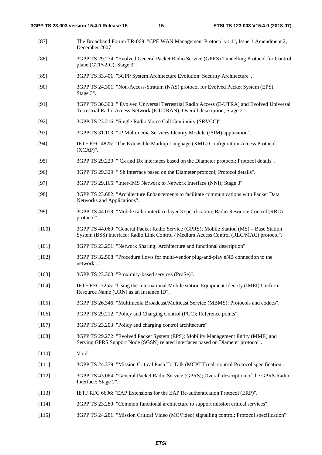- [87] The Broadband Forum TR-069: "CPE WAN Management Protocol v1.1", Issue 1 Amendment 2, December 2007
- [88] 3GPP TS 29.274: "Evolved General Packet Radio Service (GPRS) Tunnelling Protocol for Control plane (GTPv2-C); Stage 3".
- [89] 3GPP TS 33.401: "3GPP System Architecture Evolution: Security Architecture".
- [90] 3GPP TS 24.301: "Non-Access-Stratum (NAS) protocol for Evolved Packet System (EPS); Stage 3".
- [91] 3GPP TS 36.300: " Evolved Universal Terrestrial Radio Access (E-UTRA) and Evolved Universal Terrestrial Radio Access Network (E-UTRAN); Overall description; Stage 2".
- [92] 3GPP TS 23.216: "Single Radio Voice Call Continuity (SRVCC)".
- [93] 3GPP TS 31.103: "IP Multimedia Services Identity Module (ISIM) application".
- [94] IETF RFC 4825: "The Extensible Markup Language (XML) Configuration Access Protocol (XCAP)".
- [95] 3GPP TS 29.229: " Cx and Dx interfaces based on the Diameter protocol; Protocol details".
- [96] 3GPP TS 29.329: " Sh Interface based on the Diameter protocol; Protocol details".
- [97] 3GPP TS 29.165: "Inter-IMS Network to Network Interface (NNI); Stage 3".
- [98] 3GPP TS 23.682: "Architecture Enhancements to facilitate communications with Packet Data Networks and Applications".
- [99] 3GPP TS 44.018: "Mobile radio interface layer 3 specification; Radio Resource Control (RRC) protocol".
- [100] 3GPP TS 44.060: "General Packet Radio Service (GPRS); Mobile Station (MS) Base Station System (BSS) interface; Radio Link Control / Medium Access Control (RLC/MAC) protocol".
- [101] 3GPP TS 23.251: "Network Sharing; Architecture and functional description".
- [102] 3GPP TS 32.508: "Procedure flows for multi-vendor plug-and-play eNB connection to the network".
- [103] 3GPP TS 23.303: "Proximity-based services (ProSe)".
- [104] IETF RFC 7255: "Using the International Mobile station Equipment Identity (IMEI) Uniform Resource Name (URN) as an Instance ID".
- [105] 3GPP TS 26.346: "Multimedia Broadcast/Multicast Service (MBMS); Protocols and codecs".
- [106] 3GPP TS 29.212: "Policy and Charging Control (PCC); Reference points".
- [107] 3GPP TS 23.203: "Policy and charging control architecture".
- [108] 3GPP TS 29.272: "Evolved Packet System (EPS); Mobility Management Entity (MME) and Serving GPRS Support Node (SGSN) related interfaces based on Diameter protocol".
- [110] Void.
- [111] 3GPP TS 24.379: "Mission Critical Push To Talk (MCPTT) call control Protocol specification".
- [112] 3GPP TS 43.064: "General Packet Radio Service (GPRS); Overall description of the GPRS Radio Interface; Stage 2".
- [113] IETF RFC 6696: "EAP Extensions for the EAP Re-authentication Protocol (ERP)".
- [114] 3GPP TS 23.280: "Common functional architecture to support mission critical services".
- [115] 3GPP TS 24.281: "Mission Critical Video (MCVideo) signalling control; Protocol specification".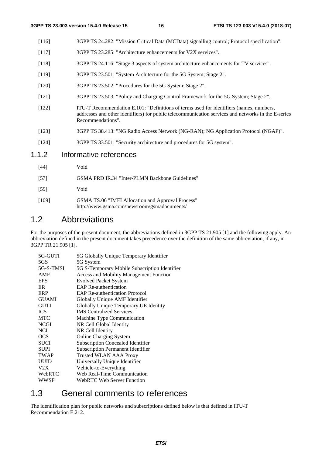- [116] 3GPP TS 24.282: "Mission Critical Data (MCData) signalling control; Protocol specification".
- [117] 3GPP TS 23.285: "Architecture enhancements for V2X services".
- [118] 3GPP TS 24.116: "Stage 3 aspects of system architecture enhancements for TV services".
- [119] 3GPP TS 23.501: "System Architecture for the 5G System; Stage 2".
- [120] 3GPP TS 23.502: "Procedures for the 5G System; Stage 2".
- [121] 3GPP TS 23.503: "Policy and Charging Control Framework for the 5G System; Stage 2".
- [122] ITU-T Recommendation E.101: "Definitions of terms used for identifiers (names, numbers, addresses and other identifiers) for public telecommunication services and networks in the E-series Recommendations".
- [123] 3GPP TS 38.413: "NG Radio Access Network (NG-RAN); NG Application Protocol (NGAP)".
- [124] 3GPP TS 33.501: "Security architecture and procedures for 5G system".

### 1.1.2 Informative references

- [44] Void
- [57] GSMA PRD IR.34 "Inter-PLMN Backbone Guidelines"
- [59] Void
- [109] GSMA TS.06 "IMEI Allocation and Approval Process" http://www.gsma.com/newsroom/gsmadocuments/

### 1.2 Abbreviations

For the purposes of the present document, the abbreviations defined in 3GPP TS 21.905 [1] and the following apply. An abbreviation defined in the present document takes precedence over the definition of the same abbreviation, if any, in 3GPP TR 21.905 [1].

| 5G-GUTI      | 5G Globally Unique Temporary Identifier        |
|--------------|------------------------------------------------|
| 5GS          | 5G System                                      |
| 5G-S-TMSI    | 5G S-Temporary Mobile Subscription Identifier  |
| AMF          | <b>Access and Mobility Management Function</b> |
| <b>EPS</b>   | <b>Evolved Packet System</b>                   |
| ER           | <b>EAP Re-authentication</b>                   |
| ERP          | <b>EAP Re-authentication Protocol</b>          |
| <b>GUAMI</b> | Globally Unique AMF Identifier                 |
| <b>GUTI</b>  | Globally Unique Temporary UE Identity          |
| <b>ICS</b>   | <b>IMS</b> Centralized Services                |
| <b>MTC</b>   | Machine Type Communication                     |
| <b>NCGI</b>  | NR Cell Global Identity                        |
| <b>NCI</b>   | NR Cell Identity                               |
| <b>OCS</b>   | <b>Online Charging System</b>                  |
| <b>SUCI</b>  | <b>Subscription Concealed Identifier</b>       |
| <b>SUPI</b>  | <b>Subscription Permanent Identifier</b>       |
| <b>TWAP</b>  | <b>Trusted WLAN AAA Proxy</b>                  |
| <b>UUID</b>  | Universally Unique Identifier                  |
| V2X          | Vehicle-to-Everything                          |
| WebRTC       | Web Real-Time Communication                    |
| <b>WWSF</b>  | <b>WebRTC Web Server Function</b>              |
|              |                                                |

### 1.3 General comments to references

The identification plan for public networks and subscriptions defined below is that defined in ITU-T Recommendation E.212.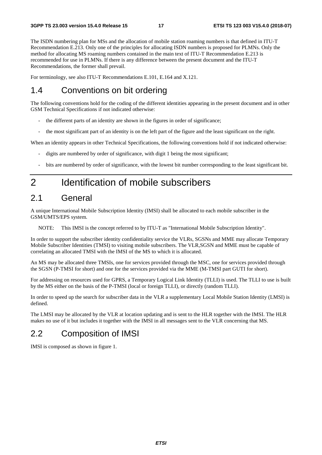The ISDN numbering plan for MSs and the allocation of mobile station roaming numbers is that defined in ITU-T Recommendation E.213. Only one of the principles for allocating ISDN numbers is proposed for PLMNs. Only the method for allocating MS roaming numbers contained in the main text of ITU-T Recommendation E.213 is recommended for use in PLMNs. If there is any difference between the present document and the ITU-T Recommendations, the former shall prevail.

For terminology, see also ITU-T Recommendations E.101, E.164 and X.121.

### 1.4 Conventions on bit ordering

The following conventions hold for the coding of the different identities appearing in the present document and in other GSM Technical Specifications if not indicated otherwise:

- the different parts of an identity are shown in the figures in order of significance;
- the most significant part of an identity is on the left part of the figure and the least significant on the right.

When an identity appears in other Technical Specifications, the following conventions hold if not indicated otherwise:

- digits are numbered by order of significance, with digit 1 being the most significant;
- bits are numbered by order of significance, with the lowest bit number corresponding to the least significant bit.

# 2 Identification of mobile subscribers

### 2.1 General

A unique International Mobile Subscription Identity (IMSI) shall be allocated to each mobile subscriber in the GSM/UMTS/EPS system.

NOTE: This IMSI is the concept referred to by ITU-T as "International Mobile Subscription Identity".

In order to support the subscriber identity confidentiality service the VLRs, SGSNs and MME may allocate Temporary Mobile Subscriber Identities (TMSI) to visiting mobile subscribers. The VLR,SGSN and MME must be capable of correlating an allocated TMSI with the IMSI of the MS to which it is allocated.

An MS may be allocated three TMSIs, one for services provided through the MSC, one for services provided through the SGSN (P-TMSI for short) and one for the services provided via the MME (M-TMSI part GUTI for short).

For addressing on resources used for GPRS, a Temporary Logical Link Identity (TLLI) is used. The TLLI to use is built by the MS either on the basis of the P-TMSI (local or foreign TLLI), or directly (random TLLI).

In order to speed up the search for subscriber data in the VLR a supplementary Local Mobile Station Identity (LMSI) is defined.

The LMSI may be allocated by the VLR at location updating and is sent to the HLR together with the IMSI. The HLR makes no use of it but includes it together with the IMSI in all messages sent to the VLR concerning that MS.

# 2.2 Composition of IMSI

IMSI is composed as shown in figure 1.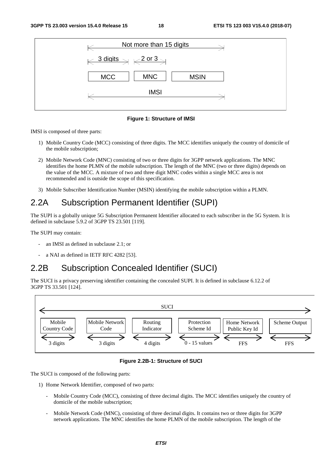| Not more than 15 digits                                               |  |  |  |  |  |  |
|-----------------------------------------------------------------------|--|--|--|--|--|--|
| $\leftarrow$ 3 digits $\rightarrow$ $\leftarrow$ 2 or 3 $\rightarrow$ |  |  |  |  |  |  |
| <b>MNC</b><br><b>MCC</b><br><b>MSIN</b>                               |  |  |  |  |  |  |
| <b>IMSI</b>                                                           |  |  |  |  |  |  |

**Figure 1: Structure of IMSI** 

IMSI is composed of three parts:

- 1) Mobile Country Code (MCC) consisting of three digits. The MCC identifies uniquely the country of domicile of the mobile subscription;
- 2) Mobile Network Code (MNC) consisting of two or three digits for 3GPP network applications. The MNC identifies the home PLMN of the mobile subscription. The length of the MNC (two or three digits) depends on the value of the MCC. A mixture of two and three digit MNC codes within a single MCC area is not recommended and is outside the scope of this specification.
- 3) Mobile Subscriber Identification Number (MSIN) identifying the mobile subscription within a PLMN.

# 2.2A Subscription Permanent Identifier (SUPI)

The SUPI is a globally unique 5G Subscription Permanent Identifier allocated to each subscriber in the 5G System. It is defined in subclause 5.9.2 of 3GPP TS 23.501 [119].

The SUPI may contain:

- an IMSI as defined in subclause 2.1; or
- a NAI as defined in IETF RFC 4282 [53].

# 2.2B Subscription Concealed Identifier (SUCI)

The SUCI is a privacy preserving identifier containing the concealed SUPI. It is defined in subclause 6.12.2 of 3GPP TS 33.501 [124].



**Figure 2.2B-1: Structure of SUCI** 

The SUCI is composed of the following parts:

- 1) Home Network Identifier, composed of two parts:
	- Mobile Country Code (MCC), consisting of three decimal digits. The MCC identifies uniquely the country of domicile of the mobile subscription;
	- Mobile Network Code (MNC), consisting of three decimal digits. It contains two or three digits for 3GPP network applications. The MNC identifies the home PLMN of the mobile subscription. The length of the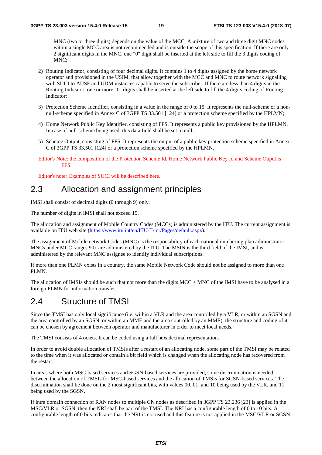MNC (two or three digits) depends on the value of the MCC. A mixture of two and three digit MNC codes within a single MCC area is not recommended and is outside the scope of this specification. If there are only 2 significant digits in the MNC, one "0" digit shall be inserted at the left side to fill the 3 digits coding of MNC;

- 2) Routing Indicator, consisting of four decimal digits. It contains 1 to 4 digits assigned by the home network operator and provisioned in the USIM, that allow together with the MCC and MNC to route network signalling with SUCI to AUSF and UDM instances capable to serve the subscriber. If there are less than 4 digits in the Routing Indicator, one or more "0" digits shall be inserted at the left side to fill the 4 digits coding of Routing Indicator;
- 3) Protection Scheme Identifier, consisting in a value in the range of 0 to 15. It represents the null-scheme or a nonnull-scheme specified in Annex C of 3GPP TS 33.501 [124] or a protection scheme specified by the HPLMN;
- 4) Home Network Public Key Identifier, consisting of FFS. It represents a public key provisioned by the HPLMN. In case of null-scheme being used, this data field shall be set to null;
- 5) Scheme Output, consisting of FFS. It represents the output of a public key protection scheme specified in Annex C of 3GPP TS 33.501 [124] or a protection scheme specified by the HPLMN.
- Editor's Note: the composition of the Protection Scheme Id, Home Network Public Key Id and Scheme Ouput is FFS.

Editor's note: Examples of SUCI will be described here.

### 2.3 Allocation and assignment principles

IMSI shall consist of decimal digits (0 through 9) only.

The number of digits in IMSI shall not exceed 15.

The allocation and assignment of Mobile Country Codes (MCCs) is administered by the ITU. The current assignment is available on ITU web site ([https://www.itu.int/en/ITU-T/inr/Pages/default.aspx\)](https://www.itu.int/en/ITU-T/inr/Pages/default.aspx).

The assignment of Mobile network Codes (MNC) is the responsibility of each national numbering plan administrator. MNCs under MCC ranges 90x are administered by the ITU. The MSIN is the third field of the IMSI, and is administered by the relevant MNC assignee to identify individual subscriptions.

If more than one PLMN exists in a country, the same Mobile Network Code should not be assigned to more than one PLMN.

The allocation of IMSIs should be such that not more than the digits MCC + MNC of the IMSI have to be analysed in a foreign PLMN for information transfer.

### 2.4 Structure of TMSI

Since the TMSI has only local significance (i.e. within a VLR and the area controlled by a VLR, or within an SGSN and the area controlled by an SGSN, or within an MME and the area controlled by an MME), the structure and coding of it can be chosen by agreement between operator and manufacturer in order to meet local needs.

The TMSI consists of 4 octets. It can be coded using a full hexadecimal representation.

In order to avoid double allocation of TMSIs after a restart of an allocating node, some part of the TMSI may be related to the time when it was allocated or contain a bit field which is changed when the allocating node has recovered from the restart.

In areas where both MSC-based services and SGSN-based services are provided, some discrimination is needed between the allocation of TMSIs for MSC-based services and the allocation of TMSIs for SGSN-based services. The discrimination shall be done on the 2 most significant bits, with values 00, 01, and 10 being used by the VLR, and 11 being used by the SGSN.

If intra domain connection of RAN nodes to multiple CN nodes as described in 3GPP TS 23.236 [23] is applied in the MSC/VLR or SGSN, then the NRI shall be part of the TMSI. The NRI has a configurable length of 0 to 10 bits. A configurable length of 0 bits indicates that the NRI is not used and this feature is not applied in the MSC/VLR or SGSN.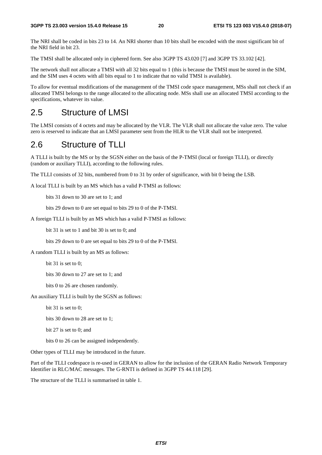The NRI shall be coded in bits 23 to 14. An NRI shorter than 10 bits shall be encoded with the most significant bit of the NRI field in bit 23.

The TMSI shall be allocated only in ciphered form. See also 3GPP TS 43.020 [7] and 3GPP TS 33.102 [42].

The network shall not allocate a TMSI with all 32 bits equal to 1 (this is because the TMSI must be stored in the SIM, and the SIM uses 4 octets with all bits equal to 1 to indicate that no valid TMSI is available).

To allow for eventual modifications of the management of the TMSI code space management, MSs shall not check if an allocated TMSI belongs to the range allocated to the allocating node. MSs shall use an allocated TMSI according to the specifications, whatever its value.

# 2.5 Structure of LMSI

The LMSI consists of 4 octets and may be allocated by the VLR. The VLR shall not allocate the value zero. The value zero is reserved to indicate that an LMSI parameter sent from the HLR to the VLR shall not be interpreted.

# 2.6 Structure of TLLI

A TLLI is built by the MS or by the SGSN either on the basis of the P-TMSI (local or foreign TLLI), or directly (random or auxiliary TLLI), according to the following rules.

The TLLI consists of 32 bits, numbered from 0 to 31 by order of significance, with bit 0 being the LSB.

A local TLLI is built by an MS which has a valid P-TMSI as follows:

bits 31 down to 30 are set to 1; and

bits 29 down to 0 are set equal to bits 29 to 0 of the P-TMSI.

A foreign TLLI is built by an MS which has a valid P-TMSI as follows:

bit 31 is set to 1 and bit 30 is set to 0; and

bits 29 down to 0 are set equal to bits 29 to 0 of the P-TMSI.

A random TLLI is built by an MS as follows:

bit 31 is set to 0:

bits 30 down to 27 are set to 1; and

bits 0 to 26 are chosen randomly.

An auxiliary TLLI is built by the SGSN as follows:

bit 31 is set to 0;

bits 30 down to 28 are set to 1;

bit 27 is set to 0; and

bits 0 to 26 can be assigned independently.

Other types of TLLI may be introduced in the future.

Part of the TLLI codespace is re-used in GERAN to allow for the inclusion of the GERAN Radio Network Temporary Identifier in RLC/MAC messages. The G-RNTI is defined in 3GPP TS 44.118 [29].

The structure of the TLLI is summarised in table 1.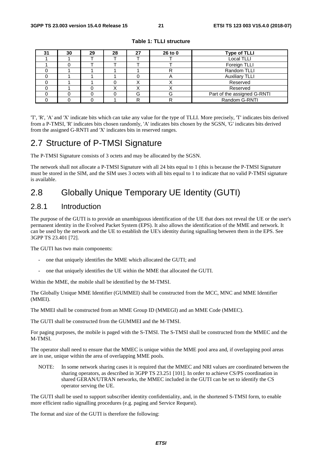| 31 | 30 | 29 | 28 | 27 | 26 to 0 | <b>Type of TLLI</b>         |
|----|----|----|----|----|---------|-----------------------------|
|    |    |    |    |    |         | Local TLLI                  |
|    |    |    |    |    |         | Foreign TLLI                |
|    |    |    |    |    |         | Random TLLI                 |
|    |    |    |    |    | m       | <b>Auxiliary TLLI</b>       |
|    |    |    |    |    |         | Reserved                    |
|    |    |    |    | ⌒  |         | Reserved                    |
|    |    |    |    | G  | G       | Part of the assigned G-RNTI |
|    |    |    |    | R  |         | Random G-RNTI               |

**Table 1: TLLI structure** 

'T', 'R', 'A' and 'X' indicate bits which can take any value for the type of TLLI. More precisely, 'T' indicates bits derived from a P-TMSI, 'R' indicates bits chosen randomly, 'A' indicates bits chosen by the SGSN, 'G' indicates bits derived from the assigned G-RNTI and 'X' indicates bits in reserved ranges.

### 2.7 Structure of P-TMSI Signature

The P-TMSI Signature consists of 3 octets and may be allocated by the SGSN.

The network shall not allocate a P-TMSI Signature with all 24 bits equal to 1 (this is because the P-TMSI Signature must be stored in the SIM, and the SIM uses 3 octets with all bits equal to 1 to indicate that no valid P-TMSI signature is available.

# 2.8 Globally Unique Temporary UE Identity (GUTI)

### 2.8.1 Introduction

The purpose of the GUTI is to provide an unambiguous identification of the UE that does not reveal the UE or the user's permanent identity in the Evolved Packet System (EPS). It also allows the identification of the MME and network. It can be used by the network and the UE to establish the UE's identity during signalling between them in the EPS. See 3GPP TS 23.401 [72].

The GUTI has two main components:

- one that uniquely identifies the MME which allocated the GUTI; and
- one that uniquely identifies the UE within the MME that allocated the GUTI.

Within the MME, the mobile shall be identified by the M-TMSI.

The Globally Unique MME Identifier (GUMMEI) shall be constructed from the MCC, MNC and MME Identifier (MMEI).

The MMEI shall be constructed from an MME Group ID (MMEGI) and an MME Code (MMEC).

The GUTI shall be constructed from the GUMMEI and the M-TMSI.

For paging purposes, the mobile is paged with the S-TMSI. The S-TMSI shall be constructed from the MMEC and the M-TMSI.

The operator shall need to ensure that the MMEC is unique within the MME pool area and, if overlapping pool areas are in use, unique within the area of overlapping MME pools.

NOTE: In some network sharing cases it is required that the MMEC and NRI values are coordinated between the sharing operators, as described in 3GPP TS 23.251 [101]. In order to achieve CS/PS coordination in shared GERAN/UTRAN networks, the MMEC included in the GUTI can be set to identify the CS operator serving the UE.

The GUTI shall be used to support subscriber identity confidentiality, and, in the shortened S-TMSI form, to enable more efficient radio signalling procedures (e.g. paging and Service Request).

The format and size of the GUTI is therefore the following: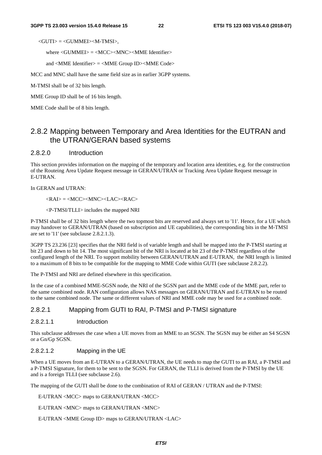$\langle$ GUTI $\rangle$  =  $\langle$ GUMMEI $>$ M-TMSI $>$ ,

where <GUMMEI> = <MCC><MNC><MME Identifier>

and <MME Identifier> = <MME Group ID><MME Code>

MCC and MNC shall have the same field size as in earlier 3GPP systems.

M-TMSI shall be of 32 bits length.

MME Group ID shall be of 16 bits length.

MME Code shall be of 8 bits length.

### 2.8.2 Mapping between Temporary and Area Identities for the EUTRAN and the UTRAN/GERAN based systems

#### 2.8.2.0 Introduction

This section provides information on the mapping of the temporary and location area identities, e.g. for the construction of the Routeing Area Update Request message in GERAN/UTRAN or Tracking Area Update Request message in E-UTRAN.

In GERAN and UTRAN:

 $\langle RAY \rangle = \langle MCC \rangle \langle MNC \rangle \langle LAC \rangle \langle RAC \rangle$ 

<P-TMSI/TLLI> includes the mapped NRI

P-TMSI shall be of 32 bits length where the two topmost bits are reserved and always set to '11'. Hence, for a UE which may handover to GERAN/UTRAN (based on subscription and UE capabilities), the corresponding bits in the M-TMSI are set to '11' (see subclause 2.8.2.1.3).

3GPP TS 23.236 [23] specifies that the NRI field is of variable length and shall be mapped into the P-TMSI starting at bit 23 and down to bit 14. The most significant bit of the NRI is located at bit 23 of the P-TMSI regardless of the configured length of the NRI. To support mobility between GERAN/UTRAN and E-UTRAN, the NRI length is limited to a maximum of 8 bits to be compatible for the mapping to MME Code within GUTI (see subclause 2.8.2.2).

The P-TMSI and NRI are defined elsewhere in this specification.

In the case of a combined MME-SGSN node, the NRI of the SGSN part and the MME code of the MME part, refer to the same combined node. RAN configuration allows NAS messages on GERAN/UTRAN and E-UTRAN to be routed to the same combined node. The same or different values of NRI and MME code may be used for a combined node.

#### 2.8.2.1 Mapping from GUTI to RAI, P-TMSI and P-TMSI signature

#### 2.8.2.1.1 Introduction

This subclause addresses the case when a UE moves from an MME to an SGSN. The SGSN may be either an S4 SGSN or a Gn/Gp SGSN.

#### 2.8.2.1.2 Mapping in the UE

When a UE moves from an E-UTRAN to a GERAN/UTRAN, the UE needs to map the GUTI to an RAI, a P-TMSI and a P-TMSI Signature, for them to be sent to the SGSN. For GERAN, the TLLI is derived from the P-TMSI by the UE and is a foreign TLLI (see subclause 2.6).

The mapping of the GUTI shall be done to the combination of RAI of GERAN / UTRAN and the P-TMSI:

E-UTRAN <MCC> maps to GERAN/UTRAN <MCC>

E-UTRAN <MNC> maps to GERAN/UTRAN <MNC>

E-UTRAN <MME Group ID> maps to GERAN/UTRAN <LAC>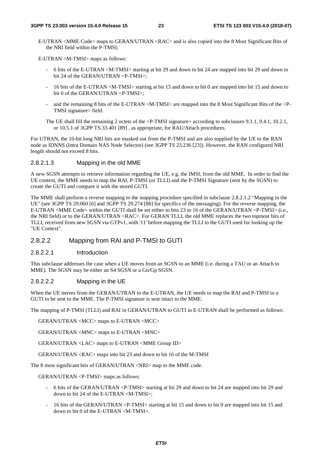E-UTRAN <MME Code> maps to GERAN/UTRAN <RAC> and is also copied into the 8 Most Significant Bits of the NRI field within the P-TMSI;

E-UTRAN <M-TMSI> maps as follows:

- 6 bits of the E-UTRAN <M-TMSI> starting at bit 29 and down to bit 24 are mapped into bit 29 and down to bit 24 of the GERAN/UTRAN <P-TMSI>;
- 16 bits of the E-UTRAN <M-TMSI> starting at bit 15 and down to bit 0 are mapped into bit 15 and down to bit 0 of the GERAN/UTRAN <P-TMSI>;
- and the remaining 8 bits of the E-UTRAN <M-TMSI> are mapped into the 8 Most Significant Bits of the <P-TMSI signature> field.
- The UE shall fill the remaining 2 octets of the <P-TMSI signature> according to subclauses 9.1.1, 9.4.1, 10.2.1, or 10.5.1 of 3GPP TS.33.401 [89] , as appropriate, for RAU/Attach procedures.

For UTRAN, the 10-bit long NRI bits are masked out from the P-TMSI and are also supplied by the UE to the RAN node as IDNNS (Intra Domain NAS Node Selector) (see 3GPP TS 23.236 [23]). However, the RAN configured NRI length should not exceed 8 bits.

#### 2.8.2.1.3 Mapping in the old MME

A new SGSN attempts to retrieve information regarding the UE, e.g. the IMSI, from the old MME. In order to find the UE context, the MME needs to map the RAI, P-TMSI (or TLLI) and the P-TMSI Signature (sent by the SGSN) to create the GUTI and compare it with the stored GUTI.

The MME shall perform a reverse mapping to the mapping procedure specified in subclause 2.8.2.1.2 "Mapping in the UE" (see 3GPP TS 29.060 [6] and 3GPP TS 29.274 [88] for specifics of the messaging). For the reverse mapping, the E-UTRAN <MME Code> within the GUTI shall be set either to bits 23 to 16 of the GERAN/UTRAN <P-TMSI> (i.e., the NRI field) or to the GERAN/UTRAN <RAC>. For GERAN TLLI, the old MME replaces the two topmost bits of TLLI, received from new SGSN via GTPv1, with '11' before mapping the TLLI to the GUTI used for looking up the "UE Context".

#### 2.8.2.2 Mapping from RAI and P-TMSI to GUTI

#### 2.8.2.2.1 Introduction

This subclause addresses the case when a UE moves from an SGSN to an MME (i.e. during a TAU or an Attach to MME). The SGSN may be either an S4 SGSN or a Gn/Gp SGSN.

#### 2.8.2.2.2 Mapping in the UE

When the UE moves from the GERAN/UTRAN to the E-UTRAN, the UE needs to map the RAI and P-TMSI to a GUTI to be sent to the MME. The P-TMSI signature is sent intact to the MME.

The mapping of P-TMSI (TLLI) and RAI in GERAN/UTRAN to GUTI in E-UTRAN shall be performed as follows:

GERAN/UTRAN <MCC> maps to E-UTRAN <MCC>

GERAN/UTRAN <MNC> maps to E-UTRAN <MNC>

GERAN/UTRAN <LAC> maps to E-UTRAN <MME Group ID>

GERAN/UTRAN <RAC> maps into bit 23 and down to bit 16 of the M-TMSI

The 8 most significant bits of GERAN/UTRAN <NRI> map to the MME code.

GERAN/UTRAN <P-TMSI> maps as follows:

- 6 bits of the GERAN/UTRAN <P-TMSI> starting at bit 29 and down to bit 24 are mapped into bit 29 and down to bit 24 of the E-UTRAN <M-TMSI>;
- 16 bits of the GERAN/UTRAN <P-TMSI> starting at bit 15 and down to bit 0 are mapped into bit 15 and down to bit 0 of the E-UTRAN <M-TMSI>.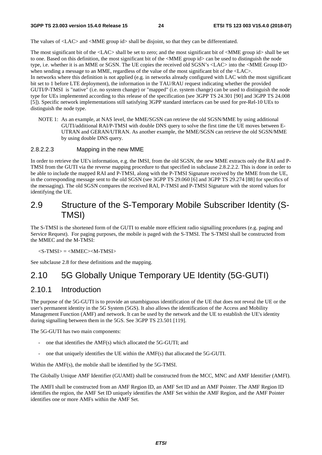The values of  $\triangle$ LAC $>$  and  $\triangle$ MME group id $>$  shall be disjoint, so that they can be differentiated.

The most significant bit of the <LAC> shall be set to zero; and the most significant bit of <MME group id> shall be set to one. Based on this definition, the most significant bit of the <MME group id> can be used to distinguish the node type, i.e. whether it is an MME or SGSN. The UE copies the received old SGSN's <LAC> into the <MME Group ID> when sending a message to an MME, regardless of the value of the most significant bit of the  $\langle$ LAC $>$ . In networks where this definition is not applied (e.g. in networks already configured with LAC with the most significant bit set to 1 before LTE deployment), the information in the TAU/RAU request indicating whether the provided GUTI/P-TMSI is "native" (i.e. no system change) or "mapped" (i.e. system change) can be used to distinguish the node type for UEs implemented according to this release of the specification (see 3GPP TS 24.301 [90] and 3GPP TS 24.008 [5]). Specific network implementations still satisfying 3GPP standard interfaces can be used for pre-Rel-10 UEs to distinguish the node type.

NOTE 1: As an example, at NAS level, the MME/SGSN can retrieve the old SGSN/MME by using additional GUTI/additional RAI/P-TMSI with double DNS query to solve the first time the UE moves between E-UTRAN and GERAN/UTRAN. As another example, the MME/SGSN can retrieve the old SGSN/MME by using double DNS query.

#### 2.8.2.2.3 Mapping in the new MME

In order to retrieve the UE's information, e.g. the IMSI, from the old SGSN, the new MME extracts only the RAI and P-TMSI from the GUTI via the reverse mapping procedure to that specified in subclause 2.8.2.2.2. This is done in order to be able to include the mapped RAI and P-TMSI, along with the P-TMSI Signature received by the MME from the UE, in the corresponding message sent to the old SGSN (see 3GPP TS 29.060 [6] and 3GPP TS 29.274 [88] for specifics of the messaging). The old SGSN compares the received RAI, P-TMSI and P-TMSI Signature with the stored values for identifying the UE.

# 2.9 Structure of the S-Temporary Mobile Subscriber Identity (S-TMSI)

The S-TMSI is the shortened form of the GUTI to enable more efficient radio signalling procedures (e.g. paging and Service Request). For paging purposes, the mobile is paged with the S-TMSI. The S-TMSI shall be constructed from the MMEC and the M-TMSI:

#### $\langle$ S-TMSI $\rangle$  =  $\langle$ MMEC $>$  $\langle$ M-TMSI $\rangle$

See subclause 2.8 for these definitions and the mapping.

### 2.10 5G Globally Unique Temporary UE Identity (5G-GUTI)

### 2.10.1 Introduction

The purpose of the 5G-GUTI is to provide an unambiguous identification of the UE that does not reveal the UE or the user's permanent identity in the 5G System (5GS). It also allows the identification of the Access and Mobility Management Function (AMF) and network. It can be used by the network and the UE to establish the UE's identity during signalling between them in the 5GS. See 3GPP TS 23.501 [119].

The 5G-GUTI has two main components:

- one that identifies the AMF(s) which allocated the 5G-GUTI; and
- one that uniquely identifies the UE within the AMF(s) that allocated the 5G-GUTI.

Within the AMF(s), the mobile shall be identified by the 5G-TMSI.

The Globally Unique AMF Identifier (GUAMI) shall be constructed from the MCC, MNC and AMF Identifier (AMFI).

The AMFI shall be constructed from an AMF Region ID, an AMF Set ID and an AMF Pointer. The AMF Region ID identifies the region, the AMF Set ID uniquely identifies the AMF Set within the AMF Region, and the AMF Pointer identifies one or more AMFs within the AMF Set.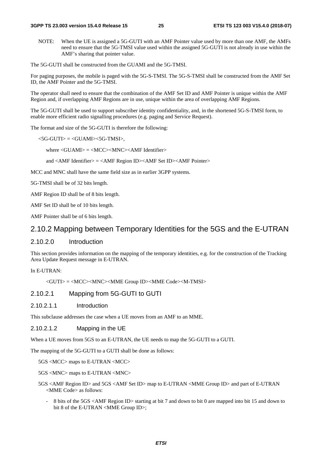NOTE: When the UE is assigned a 5G-GUTI with an AMF Pointer value used by more than one AMF, the AMFs need to ensure that the 5G-TMSI value used within the assigned 5G-GUTI is not already in use within the AMF's sharing that pointer value.

The 5G-GUTI shall be constructed from the GUAMI and the 5G-TMSI.

For paging purposes, the mobile is paged with the 5G-S-TMSI. The 5G-S-TMSI shall be constructed from the AMF Set ID, the AMF Pointer and the 5G-TMSI.

The operator shall need to ensure that the combination of the AMF Set ID and AMF Pointer is unique within the AMF Region and, if overlapping AMF Regions are in use, unique within the area of overlapping AMF Regions.

The 5G-GUTI shall be used to support subscriber identity confidentiality, and, in the shortened 5G-S-TMSI form, to enable more efficient radio signalling procedures (e.g. paging and Service Request).

The format and size of the 5G-GUTI is therefore the following:

 $<$ 5G-GUTI $>$  =  $<$ GUAMI $>$ <5G-TMSI $>$ .

where <GUAMI> = <MCC><MNC><AMF Identifier>

and <AMF Identifier> = <AMF Region ID><AMF Set ID><AMF Pointer>

MCC and MNC shall have the same field size as in earlier 3GPP systems.

5G-TMSI shall be of 32 bits length.

AMF Region ID shall be of 8 bits length.

AMF Set ID shall be of 10 bits length.

AMF Pointer shall be of 6 bits length.

#### 2.10.2 Mapping between Temporary Identities for the 5GS and the E-UTRAN

#### 2.10.2.0 Introduction

This section provides information on the mapping of the temporary identities, e.g. for the construction of the Tracking Area Update Request message in E-UTRAN.

In E-UTRAN:

<GUTI> = <MCC><MNC><MME Group ID><MME Code><M-TMSI>

2.10.2.1 Mapping from 5G-GUTI to GUTI

2.10.2.1.1 Introduction

This subclause addresses the case when a UE moves from an AMF to an MME.

2.10.2.1.2 Mapping in the UE

When a UE moves from 5GS to an E-UTRAN, the UE needs to map the 5G-GUTI to a GUTI.

The mapping of the 5G-GUTI to a GUTI shall be done as follows:

5GS <MCC> maps to E-UTRAN <MCC>

5GS <MNC> maps to E-UTRAN <MNC>

- 5GS <AMF Region ID> and 5GS <AMF Set ID> map to E-UTRAN <MME Group ID> and part of E-UTRAN <MME Code> as follows:
	- 8 bits of the 5GS <AMF Region ID> starting at bit 7 and down to bit 0 are mapped into bit 15 and down to bit 8 of the E-UTRAN <MME Group ID>;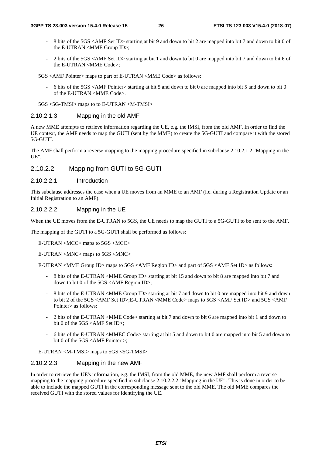- 8 bits of the 5GS <AMF Set ID> starting at bit 9 and down to bit 2 are mapped into bit 7 and down to bit 0 of the E-UTRAN <MME Group ID>;
- 2 bits of the 5GS <AMF Set ID> starting at bit 1 and down to bit 0 are mapped into bit 7 and down to bit 6 of the E-UTRAN <MME Code>;

5GS <AMF Pointer> maps to part of E-UTRAN <MME Code> as follows:

- 6 bits of the 5GS <AMF Pointer> starting at bit 5 and down to bit 0 are mapped into bit 5 and down to bit 0 of the E-UTRAN <MME Code>.

5GS <5G-TMSI> maps to to E-UTRAN <M-TMSI>

#### 2.10.2.1.3 Mapping in the old AMF

A new MME attempts to retrieve information regarding the UE, e.g. the IMSI, from the old AMF. In order to find the UE context, the AMF needs to map the GUTI (sent by the MME) to create the 5G-GUTI and compare it with the stored 5G-GUTI.

The AMF shall perform a reverse mapping to the mapping procedure specified in subclause 2.10.2.1.2 "Mapping in the UE".

#### 2.10.2.2 Mapping from GUTI to 5G-GUTI

#### 2.10.2.2.1 Introduction

This subclause addresses the case when a UE moves from an MME to an AMF (i.e. during a Registration Update or an Initial Registration to an AMF).

#### 2.10.2.2.2 Mapping in the UE

When the UE moves from the E-UTRAN to 5GS, the UE needs to map the GUTI to a 5G-GUTI to be sent to the AMF.

The mapping of the GUTI to a 5G-GUTI shall be performed as follows:

E-UTRAN <MCC> maps to 5GS <MCC>

E-UTRAN <MNC> maps to 5GS <MNC>

E-UTRAN <MME Group ID> maps to 5GS <AMF Region ID> and part of 5GS <AMF Set ID> as follows:

- 8 bits of the E-UTRAN <MME Group ID> starting at bit 15 and down to bit 8 are mapped into bit 7 and down to bit 0 of the 5GS <AMF Region ID>;
- 8 bits of the E-UTRAN <MME Group ID> starting at bit 7 and down to bit 0 are mapped into bit 9 and down to bit 2 of the 5GS <AMF Set ID>;E-UTRAN <MME Code> maps to 5GS <AMF Set ID> and 5GS <AMF Pointer> as follows:
- 2 bits of the E-UTRAN <MME Code> starting at bit 7 and down to bit 6 are mapped into bit 1 and down to bit 0 of the 5GS <AMF Set ID>;
- 6 bits of the E-UTRAN <MMEC Code> starting at bit 5 and down to bit 0 are mapped into bit 5 and down to bit 0 of the 5GS <AMF Pointer >;

E-UTRAN <M-TMSI> maps to 5GS <5G-TMSI>

#### 2.10.2.2.3 Mapping in the new AMF

In order to retrieve the UE's information, e.g. the IMSI, from the old MME, the new AMF shall perform a reverse mapping to the mapping procedure specified in subclause 2.10.2.2.2 "Mapping in the UE". This is done in order to be able to include the mapped GUTI in the corresponding message sent to the old MME. The old MME compares the received GUTI with the stored values for identifying the UE.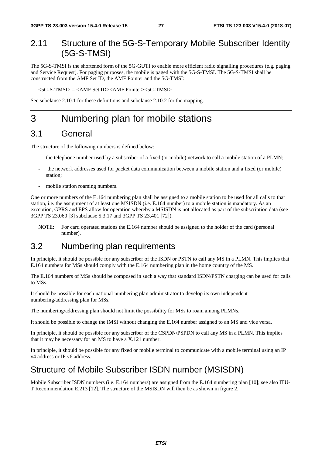# 2.11 Structure of the 5G-S-Temporary Mobile Subscriber Identity (5G-S-TMSI)

The 5G-S-TMSI is the shortened form of the 5G-GUTI to enable more efficient radio signalling procedures (e.g. paging and Service Request). For paging purposes, the mobile is paged with the 5G-S-TMSI. The 5G-S-TMSI shall be constructed from the AMF Set ID, the AMF Pointer and the 5G-TMSI:

 $<$ 5G-S-TMSI $>$  =  $<$ AMF Set ID $>$  $<$ AMF Pointer $>$  $<$ 5G-TMSI $>$ 

See subclause 2.10.1 for these definitions and subclause 2.10.2 for the mapping.

# 3 Numbering plan for mobile stations

### 3.1 General

The structure of the following numbers is defined below:

- the telephone number used by a subscriber of a fixed (or mobile) network to call a mobile station of a PLMN;
- the network addresses used for packet data communication between a mobile station and a fixed (or mobile) station;
- mobile station roaming numbers.

One or more numbers of the E.164 numbering plan shall be assigned to a mobile station to be used for all calls to that station, i.e. the assignment of at least one MSISDN (i.e. E.164 number) to a mobile station is mandatory. As an exception, GPRS and EPS allow for operation whereby a MSISDN is not allocated as part of the subscription data (see 3GPP TS 23.060 [3] subclause 5.3.17 and 3GPP TS 23.401 [72]).

NOTE: For card operated stations the E.164 number should be assigned to the holder of the card (personal number).

### 3.2 Numbering plan requirements

In principle, it should be possible for any subscriber of the ISDN or PSTN to call any MS in a PLMN. This implies that E.164 numbers for MSs should comply with the E.164 numbering plan in the home country of the MS.

The E.164 numbers of MSs should be composed in such a way that standard ISDN/PSTN charging can be used for calls to MSs.

It should be possible for each national numbering plan administrator to develop its own independent numbering/addressing plan for MSs.

The numbering/addressing plan should not limit the possibility for MSs to roam among PLMNs.

It should be possible to change the IMSI without changing the E.164 number assigned to an MS and vice versa.

In principle, it should be possible for any subscriber of the CSPDN/PSPDN to call any MS in a PLMN. This implies that it may be necessary for an MS to have a X.121 number.

In principle, it should be possible for any fixed or mobile terminal to communicate with a mobile terminal using an IP v4 address or IP v6 address.

### Structure of Mobile Subscriber ISDN number (MSISDN)

Mobile Subscriber ISDN numbers (i.e. E.164 numbers) are assigned from the E.164 numbering plan [10]; see also ITU-T Recommendation E.213 [12]. The structure of the MSISDN will then be as shown in figure 2.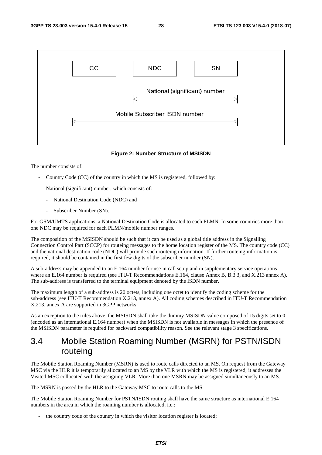

#### **Figure 2: Number Structure of MSISDN**

The number consists of:

- Country Code (CC) of the country in which the MS is registered, followed by:
- National (significant) number, which consists of:
	- National Destination Code (NDC) and
	- Subscriber Number (SN).

For GSM/UMTS applications, a National Destination Code is allocated to each PLMN. In some countries more than one NDC may be required for each PLMN/mobile number ranges.

The composition of the MSISDN should be such that it can be used as a global title address in the Signalling Connection Control Part (SCCP) for routeing messages to the home location register of the MS. The country code (CC) and the national destination code (NDC) will provide such routeing information. If further routeing information is required, it should be contained in the first few digits of the subscriber number (SN).

A sub-address may be appended to an E.164 number for use in call setup and in supplementary service operations where an E.164 number is required (see ITU-T Recommendations E.164, clause Annex B, B.3.3, and X.213 annex A). The sub-address is transferred to the terminal equipment denoted by the ISDN number.

The maximum length of a sub-address is 20 octets, including one octet to identify the coding scheme for the sub-address (see ITU-T Recommendation X.213, annex A). All coding schemes described in ITU-T Recommendation X.213, annex A are supported in 3GPP networks

As an exception to the rules above, the MSISDN shall take the dummy MSISDN value composed of 15 digits set to 0 (encoded as an international E.164 number) when the MSISDN is not available in messages in which the presence of the MSISDN parameter is required for backward compatibility reason. See the relevant stage 3 specifications.

# 3.4 Mobile Station Roaming Number (MSRN) for PSTN/ISDN routeing

The Mobile Station Roaming Number (MSRN) is used to route calls directed to an MS. On request from the Gateway MSC via the HLR it is temporarily allocated to an MS by the VLR with which the MS is registered; it addresses the Visited MSC collocated with the assigning VLR. More than one MSRN may be assigned simultaneously to an MS.

The MSRN is passed by the HLR to the Gateway MSC to route calls to the MS.

The Mobile Station Roaming Number for PSTN/ISDN routing shall have the same structure as international E.164 numbers in the area in which the roaming number is allocated, i.e.:

the country code of the country in which the visitor location register is located;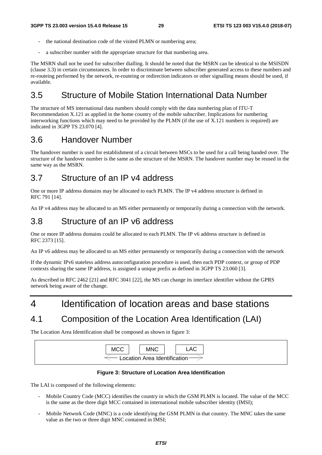- the national destination code of the visited PLMN or numbering area;
- a subscriber number with the appropriate structure for that numbering area.

The MSRN shall not be used for subscriber dialling. It should be noted that the MSRN can be identical to the MSISDN (clause 3.3) in certain circumstances. In order to discriminate between subscriber generated access to these numbers and re-routeing performed by the network, re-routeing or redirection indicators or other signalling means should be used, if available.

# 3.5 Structure of Mobile Station International Data Number

The structure of MS international data numbers should comply with the data numbering plan of ITU-T Recommendation X.121 as applied in the home country of the mobile subscriber. Implications for numbering interworking functions which may need to be provided by the PLMN (if the use of X.121 numbers is required) are indicated in 3GPP TS 23.070 [4].

# 3.6 Handover Number

The handover number is used for establishment of a circuit between MSCs to be used for a call being handed over. The structure of the handover number is the same as the structure of the MSRN. The handover number may be reused in the same way as the MSRN.

# 3.7 Structure of an IP v4 address

One or more IP address domains may be allocated to each PLMN. The IP v4 address structure is defined in RFC 791 [14].

An IP v4 address may be allocated to an MS either permanently or temporarily during a connection with the network.

### 3.8 Structure of an IP v6 address

One or more IP address domains could be allocated to each PLMN. The IP v6 address structure is defined in RFC 2373 [15].

An IP v6 address may be allocated to an MS either permanently or temporarily during a connection with the network

If the dynamic IPv6 stateless address autoconfiguration procedure is used, then each PDP context, or group of PDP contexts sharing the same IP address, is assigned a unique prefix as defined in 3GPP TS 23.060 [3].

As described in RFC 2462 [21] and RFC 3041 [22], the MS can change its interface identifier without the GPRS network being aware of the change.

# 4 Identification of location areas and base stations

# 4.1 Composition of the Location Area Identification (LAI)

The Location Area Identification shall be composed as shown in figure 3:

| <b>MCC</b>                    |  | <b>MNC</b> |  | _AC_ |  |  |  |
|-------------------------------|--|------------|--|------|--|--|--|
|                               |  |            |  |      |  |  |  |
| Location Area Identification- |  |            |  |      |  |  |  |

#### **Figure 3: Structure of Location Area Identification**

The LAI is composed of the following elements:

- Mobile Country Code (MCC) identifies the country in which the GSM PLMN is located. The value of the MCC is the same as the three digit MCC contained in international mobile subscriber identity (IMSI);
- Mobile Network Code (MNC) is a code identifying the GSM PLMN in that country. The MNC takes the same value as the two or three digit MNC contained in IMSI;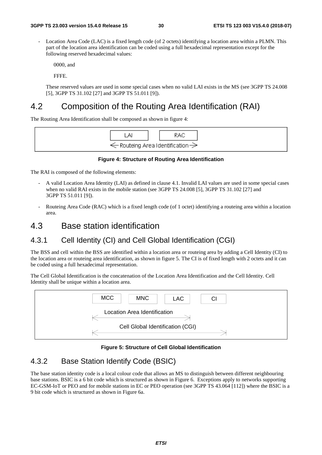Location Area Code (LAC) is a fixed length code (of 2 octets) identifying a location area within a PLMN. This part of the location area identification can be coded using a full hexadecimal representation except for the following reserved hexadecimal values:

0000, and

FFFE.

 These reserved values are used in some special cases when no valid LAI exists in the MS (see 3GPP TS 24.008 [5], 3GPP TS 31.102 [27] and 3GPP TS 51.011 [9]).

# 4.2 Composition of the Routing Area Identification (RAI)

The Routing Area Identification shall be composed as shown in figure 4:



#### **Figure 4: Structure of Routing Area Identification**

The RAI is composed of the following elements:

- A valid Location Area Identity (LAI) as defined in clause 4.1. Invalid LAI values are used in some special cases when no valid RAI exists in the mobile station (see 3GPP TS 24.008 [5], 3GPP TS 31.102 [27] and 3GPP TS 51.011 [9]).
- Routeing Area Code (RAC) which is a fixed length code (of 1 octet) identifying a routeing area within a location area.

### 4.3 Base station identification

### 4.3.1 Cell Identity (CI) and Cell Global Identification (CGI)

The BSS and cell within the BSS are identified within a location area or routeing area by adding a Cell Identity (CI) to the location area or routeing area identification, as shown in figure 5. The CI is of fixed length with 2 octets and it can be coded using a full hexadecimal representation.

The Cell Global Identification is the concatenation of the Location Area Identification and the Cell Identity. Cell Identity shall be unique within a location area.



#### **Figure 5: Structure of Cell Global Identification**

### 4.3.2 Base Station Identify Code (BSIC)

The base station identity code is a local colour code that allows an MS to distinguish between different neighbouring base stations. BSIC is a 6 bit code which is structured as shown in Figure 6. Exceptions apply to networks supporting EC-GSM-IoT or PEO and for mobile stations in EC or PEO operation (see 3GPP TS 43.064 [112]) where the BSIC is a 9 bit code which is structured as shown in Figure 6a.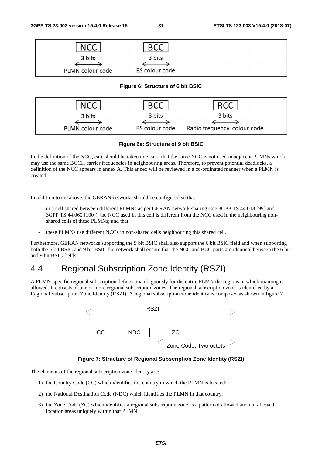| N                |                       |  |
|------------------|-----------------------|--|
| 3 bits           | 3 bits                |  |
|                  |                       |  |
| PLMN colour code | <b>BS colour code</b> |  |

#### **Figure 6: Structure of 6 bit BSIC**



#### **Figure 6a: Structure of 9 bit BSIC**

In the definition of the NCC, care should be taken to ensure that the same NCC is not used in adjacent PLMNs which may use the same BCCH carrier frequencies in neighbouring areas. Therefore, to prevent potential deadlocks, a definition of the NCC appears in annex A. This annex will be reviewed in a co-ordinated manner when a PLMN is created.

In addition to the above, the GERAN networks should be configured so that:

- in a cell shared between different PLMNs as per GERAN network sharing (see 3GPP TS 44.018 [99] and 3GPP TS 44.060 [100]), the NCC used in this cell is different from the NCC used in the neighbouring nonshared cells of these PLMNs; and that
- these PLMNs use different NCCs in non-shared cells neighbouring this shared cell.

Furthermore, GERAN networks supporting the 9 bit BSIC shall also support the 6 bit BSIC field and when supporting both the 6 bit BSIC and 9 bit BSIC the network shall ensure that the NCC and BCC parts are identical between the 6 bit and 9 bit BSIC fields.

# 4.4 Regional Subscription Zone Identity (RSZI)

A PLMN-specific regional subscription defines unambiguously for the entire PLMN the regions in which roaming is allowed. It consists of one or more regional subscription zones. The regional subscription zone is identified by a Regional Subscription Zone Identity (RSZI). A regional subscription zone identity is composed as shown in figure 7.



#### **Figure 7: Structure of Regional Subscription Zone Identity (RSZI)**

The elements of the regional subscription zone identity are:

- 1) the Country Code (CC) which identifies the country in which the PLMN is located;
- 2) the National Destination Code (NDC) which identifies the PLMN in that country;
- 3) the Zone Code (ZC) which identifies a regional subscription zone as a pattern of allowed and not allowed location areas uniquely within that PLMN.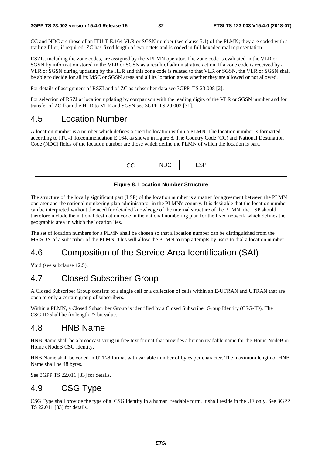CC and NDC are those of an ITU-T E.164 VLR or SGSN number (see clause 5.1) of the PLMN; they are coded with a trailing filler, if required. ZC has fixed length of two octets and is coded in full hexadecimal representation.

RSZIs, including the zone codes, are assigned by the VPLMN operator. The zone code is evaluated in the VLR or SGSN by information stored in the VLR or SGSN as a result of administrative action. If a zone code is received by a VLR or SGSN during updating by the HLR and this zone code is related to that VLR or SGSN, the VLR or SGSN shall be able to decide for all its MSC or SGSN areas and all its location areas whether they are allowed or not allowed.

For details of assignment of RSZI and of ZC as subscriber data see 3GPP TS 23.008 [2].

For selection of RSZI at location updating by comparison with the leading digits of the VLR or SGSN number and for transfer of ZC from the HLR to VLR and SGSN see 3GPP TS 29.002 [31].

### 4.5 Location Number

A location number is a number which defines a specific location within a PLMN. The location number is formatted according to ITU-T Recommendation E.164, as shown in figure 8. The Country Code (CC) and National Destination Code (NDC) fields of the location number are those which define the PLMN of which the location is part.

| CС | <b>NDC</b> | <b>QD</b><br>.<br>-~- |
|----|------------|-----------------------|
|    |            |                       |

#### **Figure 8: Location Number Structure**

The structure of the locally significant part (LSP) of the location number is a matter for agreement between the PLMN operator and the national numbering plan administrator in the PLMN's country. It is desirable that the location number can be interpreted without the need for detailed knowledge of the internal structure of the PLMN; the LSP should therefore include the national destination code in the national numbering plan for the fixed network which defines the geographic area in which the location lies.

The set of location numbers for a PLMN shall be chosen so that a location number can be distinguished from the MSISDN of a subscriber of the PLMN. This will allow the PLMN to trap attempts by users to dial a location number.

# 4.6 Composition of the Service Area Identification (SAI)

Void (see subclause 12.5).

# 4.7 Closed Subscriber Group

A Closed Subscriber Group consists of a single cell or a collection of cells within an E-UTRAN and UTRAN that are open to only a certain group of subscribers.

Within a PLMN, a Closed Subscriber Group is identified by a Closed Subscriber Group Identity (CSG-ID). The CSG-ID shall be fix length 27 bit value.

### 4.8 HNB Name

HNB Name shall be a broadcast string in free text format that provides a human readable name for the Home NodeB or Home eNodeB CSG identity.

HNB Name shall be coded in UTF-8 format with variable number of bytes per character. The maximum length of HNB Name shall be 48 bytes.

See 3GPP TS 22.011 [83] for details.

# 4.9 CSG Type

CSG Type shall provide the type of a CSG identity in a human readable form. It shall reside in the UE only. See 3GPP TS 22.011 [83] for details.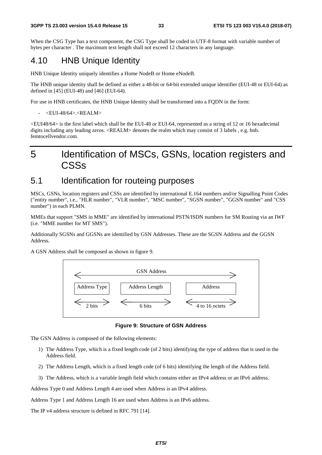When the CSG Type has a text component, the CSG Type shall be coded in UTF-8 format with variable number of bytes per character . The maximum text length shall not exceed 12 characters in any language.

### 4.10 HNB Unique Identity

HNB Unique Identity uniquely identifies a Home NodeB or Home eNodeB.

The HNB unique identity shall be defined as either a 48-bit or 64-bit extended unique identifier (EUI-48 or EUI-64) as defined in [45] (EUI-48) and [46] (EUI-64).

For use in HNB certificates, the HNB Unique Identity shall be transformed into a FQDN in the form:

<EUI-48/64>.<REALM>

<EUI48/64> is the first label which shall be the EUI-48 or EUI-64, represented as a string of 12 or 16 hexadecimal digits including any leading zeros. <REALM> denotes the realm which may consist of 3 labels , e.g. hnb. femtocellvendor.com.

# 5 Identification of MSCs, GSNs, location registers and **CSSs**

### 5.1 Identification for routeing purposes

MSCs, GSNs, location registers and CSSs are identified by international E.164 numbers and/or Signalling Point Codes ("entity number", i.e., "HLR number", "VLR number", "MSC number", "SGSN number", "GGSN number" and "CSS number") in each PLMN.

MMEs that support "SMS in MME" are identified by international PSTN/ISDN numbers for SM Routing via an IWF (i.e. "MME number for MT SMS").

Additionally SGSNs and GGSNs are identified by GSN Addresses. These are the SGSN Address and the GGSN Address.

A GSN Address shall be composed as shown in figure 9.



**Figure 9: Structure of GSN Address** 

The GSN Address is composed of the following elements:

- 1) The Address Type, which is a fixed length code (of 2 bits) identifying the type of address that is used in the Address field.
- 2) The Address Length, which is a fixed length code (of 6 bits) identifying the length of the Address field.
- 3) The Address, which is a variable length field which contains either an IPv4 address or an IPv6 address.

Address Type 0 and Address Length 4 are used when Address is an IPv4 address.

Address Type 1 and Address Length 16 are used when Address is an IPv6 address.

The IP v4 address structure is defined in RFC 791 [14].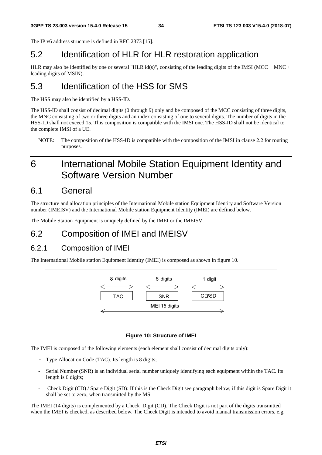The IP v6 address structure is defined in RFC 2373 [15].

# 5.2 Identification of HLR for HLR restoration application

HLR may also be identified by one or several "HLR id(s)", consisting of the leading digits of the IMSI (MCC + MNC + leading digits of MSIN).

# 5.3 Identification of the HSS for SMS

The HSS may also be identified by a HSS-ID.

The HSS-ID shall consist of decimal digits (0 through 9) only and be composed of the MCC consisting of three digits, the MNC consisting of two or three digits and an index consisting of one to several digits. The number of digits in the HSS-ID shall not exceed 15. This composition is compatible with the IMSI one. The HSS-ID shall not be identical to the complete IMSI of a UE.

NOTE: The composition of the HSS-ID is compatible with the composition of the IMSI in clause 2.2 for routing purposes.

# 6 International Mobile Station Equipment Identity and Software Version Number

### 6.1 General

The structure and allocation principles of the International Mobile station Equipment Identity and Software Version number (IMEISV) and the International Mobile station Equipment Identity (IMEI) are defined below.

The Mobile Station Equipment is uniquely defined by the IMEI or the IMEISV.

# 6.2 Composition of IMEI and IMEISV

### 6.2.1 Composition of IMEI

The International Mobile station Equipment Identity (IMEI) is composed as shown in figure 10.



#### **Figure 10: Structure of IMEI**

The IMEI is composed of the following elements (each element shall consist of decimal digits only):

- Type Allocation Code (TAC). Its length is 8 digits;
- Serial Number (SNR) is an individual serial number uniquely identifying each equipment within the TAC. Its length is 6 digits;
- Check Digit (CD) / Spare Digit (SD): If this is the Check Digit see paragraph below; if this digit is Spare Digit it shall be set to zero, when transmitted by the MS.

The IMEI (14 digits) is complemented by a Check Digit (CD). The Check Digit is not part of the digits transmitted when the IMEI is checked, as described below. The Check Digit is intended to avoid manual transmission errors, e.g.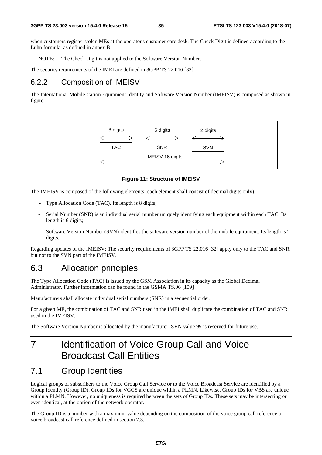when customers register stolen MEs at the operator's customer care desk. The Check Digit is defined according to the Luhn formula, as defined in annex B.

NOTE: The Check Digit is not applied to the Software Version Number.

The security requirements of the IMEI are defined in 3GPP TS 22.016 [32].

### 6.2.2 Composition of IMEISV

The International Mobile station Equipment Identity and Software Version Number (IMEISV) is composed as shown in figure 11.



**Figure 11: Structure of IMEISV** 

The IMEISV is composed of the following elements (each element shall consist of decimal digits only):

- Type Allocation Code (TAC). Its length is 8 digits;
- Serial Number (SNR) is an individual serial number uniquely identifying each equipment within each TAC. Its length is 6 digits;
- Software Version Number (SVN) identifies the software version number of the mobile equipment. Its length is 2 digits.

Regarding updates of the IMEISV: The security requirements of 3GPP TS 22.016 [32] apply only to the TAC and SNR, but not to the SVN part of the IMEISV.

### 6.3 Allocation principles

The Type Allocation Code (TAC) is issued by the GSM Association in its capacity as the Global Decimal Administrator. Further information can be found in the GSMA TS.06 [109] .

Manufacturers shall allocate individual serial numbers (SNR) in a sequential order.

For a given ME, the combination of TAC and SNR used in the IMEI shall duplicate the combination of TAC and SNR used in the IMEISV.

The Software Version Number is allocated by the manufacturer. SVN value 99 is reserved for future use.

# 7 Identification of Voice Group Call and Voice Broadcast Call Entities

### 7.1 Group Identities

Logical groups of subscribers to the Voice Group Call Service or to the Voice Broadcast Service are identified by a Group Identity (Group ID). Group IDs for VGCS are unique within a PLMN. Likewise, Group IDs for VBS are unique within a PLMN. However, no uniqueness is required between the sets of Group IDs. These sets may be intersecting or even identical, at the option of the network operator.

The Group ID is a number with a maximum value depending on the composition of the voice group call reference or voice broadcast call reference defined in section 7.3.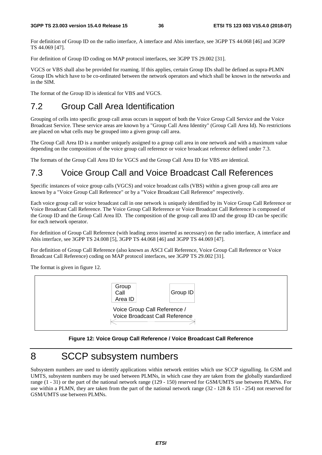For definition of Group ID on the radio interface, A interface and Abis interface, see 3GPP TS 44.068 [46] and 3GPP TS 44.069 [47].

For definition of Group ID coding on MAP protocol interfaces, see 3GPP TS 29.002 [31].

VGCS or VBS shall also be provided for roaming. If this applies, certain Group IDs shall be defined as supra-PLMN Group IDs which have to be co-ordinated between the network operators and which shall be known in the networks and in the SIM.

The format of the Group ID is identical for VBS and VGCS.

# 7.2 Group Call Area Identification

Grouping of cells into specific group call areas occurs in support of both the Voice Group Call Service and the Voice Broadcast Service. These service areas are known by a "Group Call Area Identity" (Group Call Area Id). No restrictions are placed on what cells may be grouped into a given group call area.

The Group Call Area ID is a number uniquely assigned to a group call area in one network and with a maximum value depending on the composition of the voice group call reference or voice broadcast reference defined under 7.3.

The formats of the Group Call Area ID for VGCS and the Group Call Area ID for VBS are identical.

# 7.3 Voice Group Call and Voice Broadcast Call References

Specific instances of voice group calls (VGCS) and voice broadcast calls (VBS) within a given group call area are known by a "Voice Group Call Reference" or by a "Voice Broadcast Call Reference" respectively.

Each voice group call or voice broadcast call in one network is uniquely identified by its Voice Group Call Reference or Voice Broadcast Call Reference. The Voice Group Call Reference or Voice Broadcast Call Reference is composed of the Group ID and the Group Call Area ID. The composition of the group call area ID and the group ID can be specific for each network operator.

For definition of Group Call Reference (with leading zeros inserted as necessary) on the radio interface, A interface and Abis interface, see 3GPP TS 24.008 [5], 3GPP TS 44.068 [46] and 3GPP TS 44.069 [47].

For definition of Group Call Reference (also known as ASCI Call Reference, Voice Group Call Reference or Voice Broadcast Call Reference) coding on MAP protocol interfaces, see 3GPP TS 29.002 [31].

The format is given in figure 12.



#### **Figure 12: Voice Group Call Reference / Voice Broadcast Call Reference**

# 8 SCCP subsystem numbers

Subsystem numbers are used to identify applications within network entities which use SCCP signalling. In GSM and UMTS, subsystem numbers may be used between PLMNs, in which case they are taken from the globally standardized range (1 - 31) or the part of the national network range (129 - 150) reserved for GSM/UMTS use between PLMNs. For use within a PLMN, they are taken from the part of the national network range  $(32 - 128 \& 151 - 254)$  not reserved for GSM/UMTS use between PLMNs.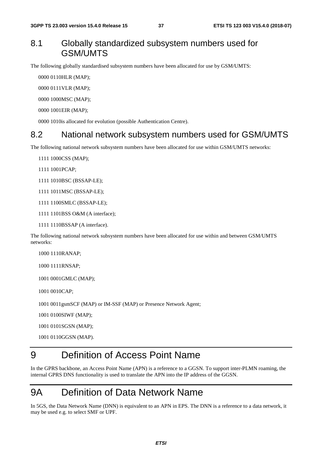## 8.1 Globally standardized subsystem numbers used for GSM/UMTS

The following globally standardised subsystem numbers have been allocated for use by GSM/UMTS:

0000 0110 HLR (MAP);

0000 0111 VLR (MAP);

0000 1000 MSC (MAP);

0000 1001 EIR (MAP);

0000 1010 is allocated for evolution (possible Authentication Centre).

### 8.2 National network subsystem numbers used for GSM/UMTS

The following national network subsystem numbers have been allocated for use within GSM/UMTS networks:

1111 1000CSS (MAP);

1111 1001 PCAP;

1111 1010BSC (BSSAP-LE);

1111 1011 MSC (BSSAP-LE);

- 1111 1100 SMLC (BSSAP-LE);
- 1111 1101BSS O&M (A interface);
- 1111 1110BSSAP (A interface).

The following national network subsystem numbers have been allocated for use within and between GSM/UMTS networks:

1000 1110 RANAP:

1000 1111 RNSAP;

1001 0001 GMLC (MAP);

1001 0010 CAP:

1001 0011 gsmSCF (MAP) or IM-SSF (MAP) or Presence Network Agent;

1001 0100 SIWF (MAP);

1001 0101SGSN (MAP);

1001 0110 GGSN (MAP).

# 9 Definition of Access Point Name

In the GPRS backbone, an Access Point Name (APN) is a reference to a GGSN. To support inter-PLMN roaming, the internal GPRS DNS functionality is used to translate the APN into the IP address of the GGSN.

# 9A Definition of Data Network Name

In 5GS, the Data Network Name (DNN) is equivalent to an APN in EPS. The DNN is a reference to a data network, it may be used e.g. to select SMF or UPF.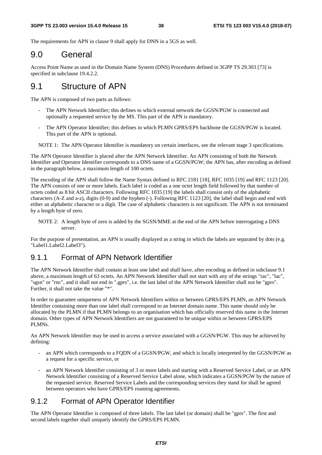The requirements for APN in clause 9 shall apply for DNN in a 5GS as well.

# 9.0 General

Access Point Name as used in the Domain Name System (DNS) Procedures defined in 3GPP TS 29.303 [73] is specified in subclause 19.4.2.2.

# 9.1 Structure of APN

The APN is composed of two parts as follows:

- The APN Network Identifier; this defines to which external network the GGSN/PGW is connected and optionally a requested service by the MS. This part of the APN is mandatory.
- The APN Operator Identifier; this defines in which PLMN GPRS/EPS backbone the GGSN/PGW is located. This part of the APN is optional.

NOTE 1: The APN Operator Identifier is mandatory on certain interfaces, see the relevant stage 3 specifications.

The APN Operator Identifier is placed after the APN Network Identifier. An APN consisting of both the Network Identifier and Operator Identifier corresponds to a DNS name of a GGSN/PGW; the APN has, after encoding as defined in the paragraph below, a maximum length of 100 octets.

The encoding of the APN shall follow the Name Syntax defined in RFC 2181 [18], RFC 1035 [19] and RFC 1123 [20]. The APN consists of one or more labels. Each label is coded as a one octet length field followed by that number of octets coded as 8 bit ASCII characters. Following RFC 1035 [19] the labels shall consist only of the alphabetic characters (A-Z and a-z), digits (0-9) and the hyphen (-). Following RFC 1123 [20], the label shall begin and end with either an alphabetic character or a digit. The case of alphabetic characters is not significant. The APN is not terminated by a length byte of zero.

NOTE 2: A length byte of zero is added by the SGSN/MME at the end of the APN before interrogating a DNS server.

For the purpose of presentation, an APN is usually displayed as a string in which the labels are separated by dots (e.g. "Label1.Label2.Label3").

#### 9.1.1 Format of APN Network Identifier

The APN Network Identifier shall contain at least one label and shall have, after encoding as defined in subclause 9.1 above, a maximum length of 63 octets. An APN Network Identifier shall not start with any of the strings "rac", "lac", "sgsn" or "rnc", and it shall not end in ".gprs", i.e. the last label of the APN Network Identifier shall not be "gprs". Further, it shall not take the value "\*".

In order to guarantee uniqueness of APN Network Identifiers within or between GPRS/EPS PLMN, an APN Network Identifier containing more than one label shall correspond to an Internet domain name. This name should only be allocated by the PLMN if that PLMN belongs to an organisation which has officially reserved this name in the Internet domain. Other types of APN Network Identifiers are not guaranteed to be unique within or between GPRS/EPS PLMNs.

An APN Network Identifier may be used to access a service associated with a GGSN/PGW. This may be achieved by defining:

- an APN which corresponds to a FQDN of a GGSN/PGW, and which is locally interpreted by the GGSN/PGW as a request for a specific service, or
- an APN Network Identifier consisting of 3 or more labels and starting with a Reserved Service Label, or an APN Network Identifier consisting of a Reserved Service Label alone, which indicates a GGSN/PGW by the nature of the requested service. Reserved Service Labels and the corresponding services they stand for shall be agreed between operators who have GPRS/EPS roaming agreements.

### 9.1.2 Format of APN Operator Identifier

The APN Operator Identifier is composed of three labels. The last label (or domain) shall be "gprs". The first and second labels together shall uniquely identify the GPRS/EPS PLMN.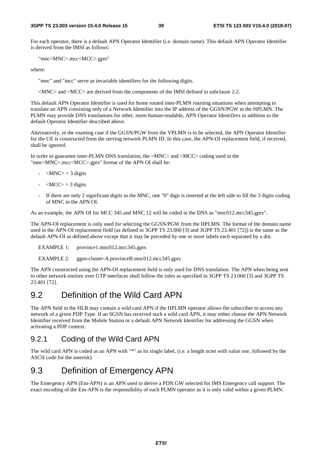For each operator, there is a default APN Operator Identifier (i.e. domain name). This default APN Operator Identifier is derived from the IMSI as follows:

"mnc<MNC>.mcc<MCC>.gprs"

where:

"mnc" and "mcc" serve as invariable identifiers for the following digits.

<MNC> and <MCC> are derived from the components of the IMSI defined in subclause 2.2.

This default APN Operator Identifier is used for home routed inter-PLMN roaming situations when attempting to translate an APN consisting only of a Network Identifier into the IP address of the GGSN/PGW in the HPLMN. The PLMN may provide DNS translations for other, more human-readable, APN Operator Identifiers in addition to the default Operator Identifier described above.

Alternatively, in the roaming case if the GGSN/PGW from the VPLMN is to be selected, the APN Operator Identifier for the UE is constructed from the serving network PLMN ID. In this case, the APN-OI replacement field, if received, shall be ignored.

In order to guarantee inter-PLMN DNS translation, the <MNC> and <MCC> coding used in the "mnc<MNC>.mcc<MCC>.gprs" format of the APN OI shall be:

- $-MNC$  = 3 digits
- $\langle \text{MCC} \rangle = 3$  digits
- If there are only 2 significant digits in the MNC, one "0" digit is inserted at the left side to fill the 3 digits coding of MNC in the APN OI.

As an example, the APN OI for MCC 345 and MNC 12 will be coded in the DNS as "mnc012.mcc345.gprs".

The APN-OI replacement is only used for selecting the GGSN/PGW from the HPLMN. The format of the domain name used in the APN-OI replacement field (as defined in 3GPP TS 23.060 [3] and 3GPP TS 23.401 [72]) is the same as the default APN-OI as defined above except that it may be preceded by one or more labels each separated by a dot.

EXAMPLE 1: province1.mnc012.mcc345.gprs

EXAMPLE 2: ggsn-cluster-A.provinceB.mnc012.mcc345.gprs

The APN constructed using the APN-OI replacement field is only used for DNS translation. The APN when being sent to other network entities over GTP interfaces shall follow the rules as specified in 3GPP TS 23.060 [3] and 3GPP TS 23.401 [72].

## 9.2 Definition of the Wild Card APN

The APN field in the HLR may contain a wild card APN if the HPLMN operator allows the subscriber to access any network of a given PDP Type. If an SGSN has received such a wild card APN, it may either choose the APN Network Identifier received from the Mobile Station or a default APN Network Identifier for addressing the GGSN when activating a PDP context.

#### 9.2.1 Coding of the Wild Card APN

The wild card APN is coded as an APN with "\*" as its single label, (i.e. a length octet with value one, followed by the ASCII code for the asterisk).

# 9.3 Definition of Emergency APN

The Emergency APN (Em-APN) is an APN used to derive a PDN GW selected for IMS Emergency call support. The exact encoding of the Em-APN is the responsibility of each PLMN operator as it is only valid within a given PLMN.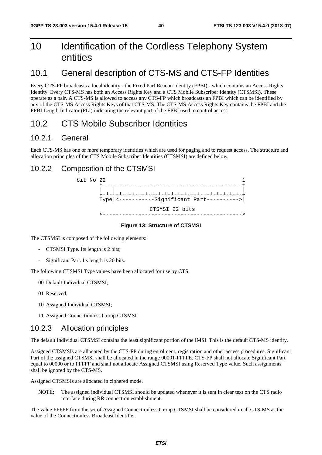# 10 Identification of the Cordless Telephony System entities

# 10.1 General description of CTS-MS and CTS-FP Identities

Every CTS-FP broadcasts a local identity - the Fixed Part Beacon Identity (FPBI) - which contains an Access Rights Identity. Every CTS-MS has both an Access Rights Key and a CTS Mobile Subscriber Identity (CTSMSI). These operate as a pair. A CTS-MS is allowed to access any CTS-FP which broadcasts an FPBI which can be identified by any of the CTS-MS Access Rights Keys of that CTS-MS. The CTS-MS Access Rights Key contains the FPBI and the FPBI Length Indicator (FLI) indicating the relevant part of the FPBI used to control access.

# 10.2 CTS Mobile Subscriber Identities

#### 10.2.1 General

Each CTS-MS has one or more temporary identities which are used for paging and to request access. The structure and allocation principles of the CTS Mobile Subscriber Identities (CTSMSI) are defined below.

#### 10.2.2 Composition of the CTSMSI



#### **Figure 13: Structure of CTSMSI**

The CTSMSI is composed of the following elements:

- CTSMSI Type. Its length is 2 bits;
- Significant Part. Its length is 20 bits.

The following CTSMSI Type values have been allocated for use by CTS:

- 00 Default Individual CTSMSI;
- 01 Reserved;
- 10 Assigned Individual CTSMSI;
- 11 Assigned Connectionless Group CTSMSI.

#### 10.2.3 Allocation principles

The default Individual CTSMSI contains the least significant portion of the IMSI. This is the default CTS-MS identity.

Assigned CTSMSIs are allocated by the CTS-FP during enrolment, registration and other access procedures. Significant Part of the assigned CTSMSI shall be allocated in the range 00001-FFFFE. CTS-FP shall not allocate Significant Part equal to 00000 or to FFFFF and shall not allocate Assigned CTSMSI using Reserved Type value. Such assignments shall be ignored by the CTS-MS.

Assigned CTSMSIs are allocated in ciphered mode.

NOTE: The assigned individual CTSMSI should be updated whenever it is sent in clear text on the CTS radio interface during RR connection establishment.

The value FFFFF from the set of Assigned Connectionless Group CTSMSI shall be considered in all CTS-MS as the value of the Connectionless Broadcast Identifier.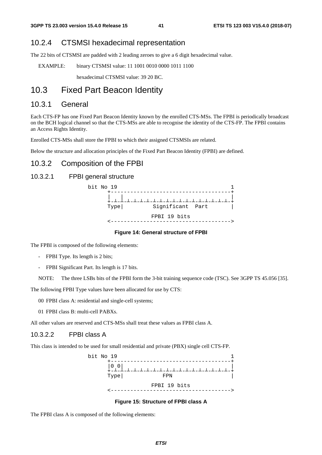#### 10.2.4 CTSMSI hexadecimal representation

The 22 bits of CTSMSI are padded with 2 leading zeroes to give a 6 digit hexadecimal value.

EXAMPLE: binary CTSMSI value: 11 1001 0010 0000 1011 1100

hexadecimal CTSMSI value: 39 20 BC.

## 10.3 Fixed Part Beacon Identity

#### 10.3.1 General

Each CTS-FP has one Fixed Part Beacon Identity known by the enrolled CTS-MSs. The FPBI is periodically broadcast on the BCH logical channel so that the CTS-MSs are able to recognise the identity of the CTS-FP. The FPBI contains an Access Rights Identity.

Enrolled CTS-MSs shall store the FPBI to which their assigned CTSMSIs are related.

Below the structure and allocation principles of the Fixed Part Beacon Identity (FPBI) are defined.

### 10.3.2 Composition of the FPBI

#### 10.3.2.1 FPBI general structure



#### **Figure 14: General structure of FPBI**

The FPBI is composed of the following elements:

- FPBI Type. Its length is 2 bits;
- FPBI Significant Part. Its length is 17 bits.

NOTE: The three LSBs bits of the FPBI form the 3-bit training sequence code (TSC). See 3GPP TS 45.056 [35].

The following FPBI Type values have been allocated for use by CTS:

00 FPBI class A: residential and single-cell systems;

01 FPBI class B: multi-cell PABXs.

All other values are reserved and CTS-MSs shall treat these values as FPBI class A.

#### 10.3.2.2 FPBI class A

This class is intended to be used for small residential and private (PBX) single cell CTS-FP.



#### **Figure 15: Structure of FPBI class A**

The FPBI class A is composed of the following elements: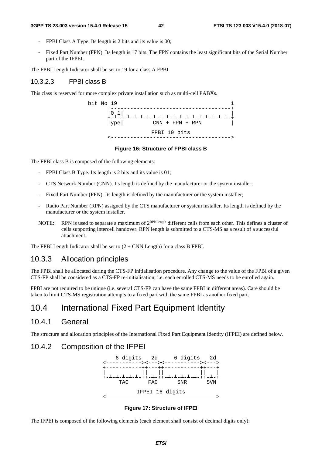#### **3GPP TS 23.003 version 15.4.0 Release 15 42 ETSI TS 123 003 V15.4.0 (2018-07)**

- FPBI Class A Type. Its length is 2 bits and its value is 00;
- Fixed Part Number (FPN). Its length is 17 bits. The FPN contains the least significant bits of the Serial Number part of the IFPEI.

The FPBI Length Indicator shall be set to 19 for a class A FPBI.

#### 10.3.2.3 FPBI class B

This class is reserved for more complex private installation such as multi-cell PABXs.

bit No  $19$   $1$  +-------------------------------------+ |0 1| |  $\begin{bmatrix} 0 & 1 \\ + & -1 & -1 \\ \text{Type} & \end{bmatrix}$ ┴-┴-┴-┴-┴-┴-┴-┴-┴-┴-┴-┴-┴-┴-┴-┴-┴-┴-+  $CNN$  + FPN + RPN FPBI 19 bits <------------------------------------->

#### **Figure 16: Structure of FPBI class B**

The FPBI class B is composed of the following elements:

- FPBI Class B Type. Its length is 2 bits and its value is 01;
- CTS Network Number (CNN). Its length is defined by the manufacturer or the system installer;
- Fixed Part Number (FPN). Its length is defined by the manufacturer or the system installer;
- Radio Part Number (RPN) assigned by the CTS manufacturer or system installer. Its length is defined by the manufacturer or the system installer.
- NOTE: RPN is used to separate a maximum of  $2^{RPN \text{ length}}$  different cells from each other. This defines a cluster of cells supporting intercell handover. RPN length is submitted to a CTS-MS as a result of a successful attachment.

The FPBI Length Indicator shall be set to  $(2 + CNN$  Length) for a class B FPBI.

#### 10.3.3 Allocation principles

The FPBI shall be allocated during the CTS-FP initialisation procedure. Any change to the value of the FPBI of a given CTS-FP shall be considered as a CTS-FP re-initialisation; i.e. each enrolled CTS-MS needs to be enrolled again.

FPBI are not required to be unique (i.e. several CTS-FP can have the same FPBI in different areas). Care should be taken to limit CTS-MS registration attempts to a fixed part with the same FPBI as another fixed part.

# 10.4 International Fixed Part Equipment Identity

#### 10.4.1 General

The structure and allocation principles of the International Fixed Part Equipment Identity (IFPEI) are defined below.

#### 10.4.2 Composition of the IFPEI



#### **Figure 17: Structure of IFPEI**

The IFPEI is composed of the following elements (each element shall consist of decimal digits only):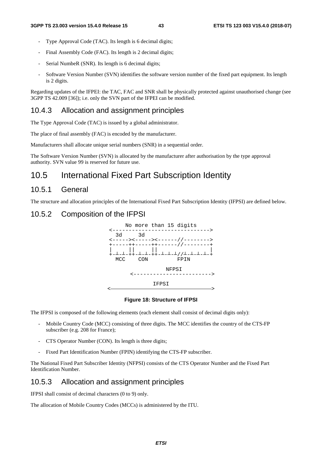- Type Approval Code (TAC). Its length is 6 decimal digits;
- Final Assembly Code (FAC). Its length is 2 decimal digits;
- Serial NumbeR (SNR). Its length is 6 decimal digits;
- Software Version Number (SVN) identifies the software version number of the fixed part equipment. Its length is 2 digits.

Regarding updates of the IFPEI: the TAC, FAC and SNR shall be physically protected against unauthorised change (see 3GPP TS 42.009 [36]); i.e. only the SVN part of the IFPEI can be modified.

#### 10.4.3 Allocation and assignment principles

The Type Approval Code (TAC) is issued by a global administrator.

The place of final assembly (FAC) is encoded by the manufacturer.

Manufacturers shall allocate unique serial numbers (SNR) in a sequential order.

The Software Version Number (SVN) is allocated by the manufacturer after authorisation by the type approval authority. SVN value 99 is reserved for future use.

# 10.5 International Fixed Part Subscription Identity

#### 10.5.1 General

The structure and allocation principles of the International Fixed Part Subscription Identity (IFPSI) are defined below.

#### 10.5.2 Composition of the IFPSI



#### **Figure 18: Structure of IFPSI**

The IFPSI is composed of the following elements (each element shall consist of decimal digits only):

- Mobile Country Code (MCC) consisting of three digits. The MCC identifies the country of the CTS-FP subscriber (e.g. 208 for France);
- CTS Operator Number (CON). Its length is three digits;
- Fixed Part Identification Number (FPIN) identifying the CTS-FP subscriber.

The National Fixed Part Subscriber Identity (NFPSI) consists of the CTS Operator Number and the Fixed Part Identification Number.

#### 10.5.3 Allocation and assignment principles

IFPSI shall consist of decimal characters (0 to 9) only.

The allocation of Mobile Country Codes (MCCs) is administered by the ITU.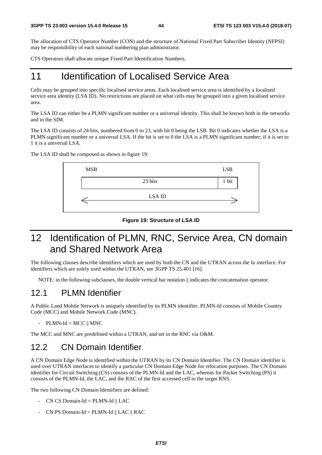The allocation of CTS Operator Number (CON) and the structure of National Fixed Part Subscriber Identity (NFPSI) may be responsibility of each national numbering plan administrator.

CTS Operators shall allocate unique Fixed Part Identification Numbers.

# 11 Identification of Localised Service Area

Cells may be grouped into specific localised service areas. Each localised service area is identified by a localised service area identity (LSA ID). No restrictions are placed on what cells may be grouped into a given localised service area.

The LSA ID can either be a PLMN significant number or a universal identity. This shall be known both in the networks and in the SIM.

The LSA ID consists of 24 bits, numbered from 0 to 23, with bit 0 being the LSB. Bit 0 indicates whether the LSA is a PLMN significant number or a universal LSA. If the bit is set to 0 the LSA is a PLMN significant number; if it is set to 1 it is a universal LSA.



The LSA ID shall be composed as shown in figure 19:

#### **Figure 19: Structure of LSA ID**

# 12 Identification of PLMN, RNC, Service Area, CN domain and Shared Network Area

The following clauses describe identifiers which are used by both the CN and the UTRAN across the Iu interface. For identifiers which are solely used within the UTRAN, see 3GPP TS 25.401 [16].

NOTE: in the following subclauses, the double vertical bar notation  $\parallel$  indicates the concatenation operator.

## 12.1 PLMN Identifier

A Public Land Mobile Network is uniquely identified by its PLMN identifier. PLMN-Id consists of Mobile Country Code (MCC) and Mobile Network Code (MNC).

 $-$  PLMN-Id = MCC  $\parallel$  MNC

The MCC and MNC are predefined within a UTRAN, and set in the RNC via O&M.

# 12.2 CN Domain Identifier

A CN Domain Edge Node is identified within the UTRAN by its CN Domain Identifier. The CN Domain identifier is used over UTRAN interfaces to identify a particular CN Domain Edge Node for relocation purposes. The CN Domain identifier for Circuit Switching (CS) consists of the PLMN-Id and the LAC, whereas for Packet Switching (PS) it consists of the PLMN-Id, the LAC, and the RAC of the first accessed cell in the target RNS.

The two following CN Domain Identifiers are defined:

- CN CS Domain-Id = PLMN-Id  $\parallel$  LAC
- CN PS Domain-Id = PLMN-Id  $\parallel$  LAC  $\parallel$  RAC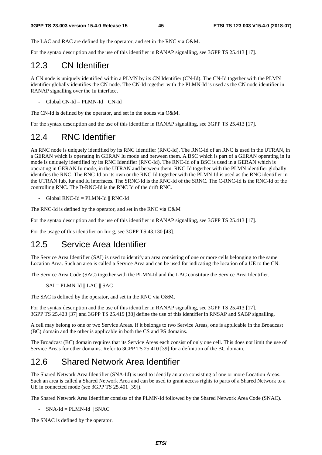The LAC and RAC are defined by the operator, and set in the RNC via O&M.

For the syntax description and the use of this identifier in RANAP signalling, see 3GPP TS 25.413 [17].

## 12.3 CN Identifier

A CN node is uniquely identified within a PLMN by its CN Identifier (CN-Id). The CN-Id together with the PLMN identifier globally identifies the CN node. The CN-Id together with the PLMN-Id is used as the CN node identifier in RANAP signalling over the Iu interface.

 $Global CN-Id = PLMN-Id \parallel CN-Id$ 

The CN-Id is defined by the operator, and set in the nodes via O&M.

For the syntax description and the use of this identifier in RANAP signalling, see 3GPP TS 25.413 [17].

# 12.4 RNC Identifier

An RNC node is uniquely identified by its RNC Identifier (RNC-Id). The RNC-Id of an RNC is used in the UTRAN, in a GERAN which is operating in GERAN Iu mode and between them. A BSC which is part of a GERAN operating in Iu mode is uniquely identified by its RNC Identifier (RNC-Id). The RNC-Id of a BSC is used in a GERAN which is operating in GERAN Iu mode, in the UTRAN and between them. RNC-Id together with the PLMN identifier globally identifies the RNC. The RNC-Id on its own or the RNC-Id together with the PLMN-Id is used as the RNC identifier in the UTRAN Iub, Iur and Iu interfaces. The SRNC-Id is the RNC-Id of the SRNC. The C-RNC-Id is the RNC-Id of the controlling RNC. The D-RNC-Id is the RNC Id of the drift RNC.

- Global RNC-Id = PLMN-Id || RNC-Id

The RNC-Id is defined by the operator, and set in the RNC via O&M

For the syntax description and the use of this identifier in RANAP signalling, see 3GPP TS 25.413 [17].

For the usage of this identifier on Iur-g, see 3GPP TS 43.130 [43].

# 12.5 Service Area Identifier

The Service Area Identifier (SAI) is used to identify an area consisting of one or more cells belonging to the same Location Area. Such an area is called a Service Area and can be used for indicating the location of a UE to the CN.

The Service Area Code (SAC) together with the PLMN-Id and the LAC constitute the Service Area Identifier.

 $-SAI = PLMN-Id \parallel LAC \parallel SAC$ 

The SAC is defined by the operator, and set in the RNC via O&M.

For the syntax description and the use of this identifier in RANAP signalling, see 3GPP TS 25.413 [17]. 3GPP TS 25.423 [37] and 3GPP TS 25.419 [38] define the use of this identifier in RNSAP and SABP signalling.

A cell may belong to one or two Service Areas. If it belongs to two Service Areas, one is applicable in the Broadcast (BC) domain and the other is applicable in both the CS and PS domains.

The Broadcast (BC) domain requires that its Service Areas each consist of only one cell. This does not limit the use of Service Areas for other domains. Refer to 3GPP TS 25.410 [39] for a definition of the BC domain.

# 12.6 Shared Network Area Identifier

The Shared Network Area Identifier (SNA-Id) is used to identify an area consisting of one or more Location Areas. Such an area is called a Shared Network Area and can be used to grant access rights to parts of a Shared Network to a UE in connected mode (see 3GPP TS 25.401 [39]).

The Shared Network Area Identifier consists of the PLMN-Id followed by the Shared Network Area Code (SNAC).

 $-SNA-Id = PLMN-Id \parallel SNAC$ 

The SNAC is defined by the operator.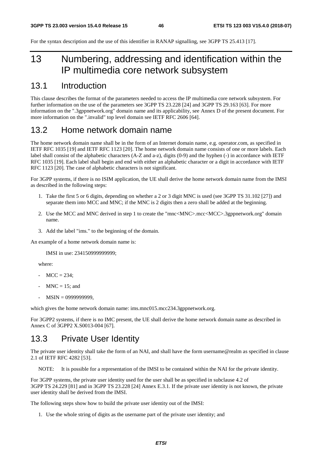For the syntax description and the use of this identifier in RANAP signalling, see 3GPP TS 25.413 [17].

# 13 Numbering, addressing and identification within the IP multimedia core network subsystem

# 13.1 Introduction

This clause describes the format of the parameters needed to access the IP multimedia core network subsystem. For further information on the use of the parameters see 3GPP TS 23.228 [24] and 3GPP TS 29.163 [63]. For more information on the ".3gppnetwork.org" domain name and its applicability, see Annex D of the present document. For more information on the ".invalid" top level domain see IETF RFC 2606 [64].

# 13.2 Home network domain name

The home network domain name shall be in the form of an Internet domain name, e.g. operator.com, as specified in IETF RFC 1035 [19] and IETF RFC 1123 [20]. The home network domain name consists of one or more labels. Each label shall consist of the alphabetic characters (A-Z and a-z), digits (0-9) and the hyphen (-) in accordance with IETF RFC 1035 [19]. Each label shall begin and end with either an alphabetic character or a digit in accordance with IETF RFC 1123 [20]. The case of alphabetic characters is not significant.

For 3GPP systems, if there is no ISIM application, the UE shall derive the home network domain name from the IMSI as described in the following steps:

- 1. Take the first 5 or 6 digits, depending on whether a 2 or 3 digit MNC is used (see 3GPP TS 31.102 [27]) and separate them into MCC and MNC; if the MNC is 2 digits then a zero shall be added at the beginning.
- 2. Use the MCC and MNC derived in step 1 to create the "mnc<MNC>.mcc<MCC>.3gppnetwork.org" domain name.
- 3. Add the label "ims." to the beginning of the domain.

An example of a home network domain name is:

IMSI in use: 234150999999999;

where:

- $MCC = 234$ ;
- $MNC = 15$ ; and
- MSIN = 0999999999,

which gives the home network domain name: ims.mnc015.mcc234.3gppnetwork.org.

For 3GPP2 systems, if there is no IMC present, the UE shall derive the home network domain name as described in Annex C of 3GPP2 X.S0013-004 [67].

# 13.3 Private User Identity

The private user identity shall take the form of an NAI, and shall have the form username@realm as specified in clause 2.1 of IETF RFC 4282 [53].

NOTE: It is possible for a representation of the IMSI to be contained within the NAI for the private identity.

For 3GPP systems, the private user identity used for the user shall be as specified in subclause 4.2 of 3GPP TS 24.229 [81] and in 3GPP TS 23.228 [24] Annex E.3.1. If the private user identity is not known, the private user identity shall be derived from the IMSI.

The following steps show how to build the private user identity out of the IMSI:

1. Use the whole string of digits as the username part of the private user identity; and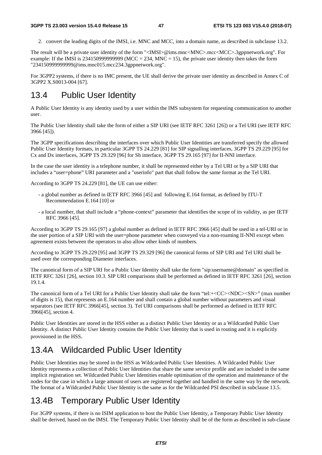2. convert the leading digits of the IMSI, i.e. MNC and MCC, into a domain name, as described in subclause 13.2.

The result will be a private user identity of the form "<IMSI>@ims.mnc<MNC>.mcc<MCC>.3gppnetwork.org". For example: If the IMSI is 2341509999999999 (MCC = 234, MNC = 15), the private user identity then takes the form "234150999999999@ims.mnc015.mcc234.3gppnetwork.org".

For 3GPP2 systems, if there is no IMC present, the UE shall derive the private user identity as described in Annex C of 3GPP2 X.S0013-004 [67].

# 13.4 Public User Identity

A Public User Identity is any identity used by a user within the IMS subsystem for requesting communication to another user.

The Public User Identity shall take the form of either a SIP URI (see IETF RFC 3261 [26]) or a Tel URI (see IETF RFC 3966 [45]).

The 3GPP specifications describing the interfaces over which Public User Identities are transferred specify the allowed Public User Identity formats, in particular 3GPP TS 24.229 [81] for SIP signalling interfaces, 3GPP TS 29.229 [95] for Cx and Dx interfaces, 3GPP TS 29.329 [96] for Sh interface, 3GPP TS 29.165 [97] for II-NNI interface.

In the case the user identity is a telephone number, it shall be represented either by a Tel URI or by a SIP URI that includes a "user=phone" URI parameter and a "userinfo" part that shall follow the same format as the Tel URI.

According to 3GPP TS 24.229 [81], the UE can use either:

- a global number as defined in IETF RFC 3966 [45] and following E.164 format, as defined by ITU-T Recommendation E.164 [10] or
- a local number, that shall include a "phone-context" parameter that identifies the scope of its validity, as per IETF RFC 3966 [45].

According to 3GPP TS 29.165 [97] a global number as defined in IETF RFC 3966 [45] shall be used in a tel-URI or in the user portion of a SIP URI with the user=phone parameter when conveyed via a non-roaming II-NNI except when agreement exists between the operators to also allow other kinds of numbers.

According to 3GPP TS 29.229 [95] and 3GPP TS 29.329 [96] the canonical forms of SIP URI and Tel URI shall be used over the corresponding Diameter interfaces.

The canonical form of a SIP URI for a Public User Identity shall take the form "sip:username@domain" as specified in IETF RFC 3261 [26], section 10.3. SIP URI comparisons shall be performed as defined in IETF RFC 3261 [26], section 19.1.4.

The canonical form of a Tel URI for a Public User Identity shall take the form "tel:+<CC><NDC><SN>" (max number of digits is 15), that represents an E.164 number and shall contain a global number without parameters and visual separators (see IETF RFC 3966[45], section 3). Tel URI comparisons shall be performed as defined in IETF RFC 3966[45], section 4.

Public User Identities are stored in the HSS either as a distinct Public User Identity or as a Wildcarded Public User Identity. A distinct Public User Identity contains the Public User Identity that is used in routing and it is explicitly provisioned in the HSS.

## 13.4A Wildcarded Public User Identity

Public User Identities may be stored in the HSS as Wildcarded Public User Identities. A Wildcarded Public User Identity represents a collection of Public User Identities that share the same service profile and are included in the same implicit registration set. Wildcarded Public User Identities enable optimisation of the operation and maintenance of the nodes for the case in which a large amount of users are registered together and handled in the same way by the network. The format of a Wildcarded Public User Identity is the same as for the Wildcarded PSI described in subclause 13.5.

# 13.4B Temporary Public User Identity

For 3GPP systems, if there is no ISIM application to host the Public User Identity, a Temporary Public User Identity shall be derived, based on the IMSI. The Temporary Public User Identity shall be of the form as described in sub-clause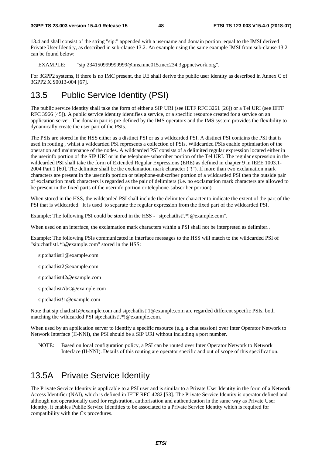13.4 and shall consist of the string "sip:" appended with a username and domain portion equal to the IMSI derived Private User Identity, as described in sub-clause 13.2. An example using the same example IMSI from sub-clause 13.2 can be found below:

EXAMPLE: "sip:234150999999999@ims.mnc015.mcc234.3gppnetwork.org".

For 3GPP2 systems, if there is no IMC present, the UE shall derive the public user identity as described in Annex C of 3GPP2 X.S0013-004 [67].

# 13.5 Public Service Identity (PSI)

The public service identity shall take the form of either a SIP URI (see IETF RFC 3261 [26]) or a Tel URI (see IETF RFC 3966 [45]). A public service identity identifies a service, or a specific resource created for a service on an application server. The domain part is pre-defined by the IMS operators and the IMS system provides the flexibility to dynamically create the user part of the PSIs.

The PSIs are stored in the HSS either as a distinct PSI or as a wildcarded PSI. A distinct PSI contains the PSI that is used in routing , whilst a wildcarded PSI represents a collection of PSIs. Wildcarded PSIs enable optimisation of the operation and maintenance of the nodes. A wildcarded PSI consists of a delimited regular expression located either in the userinfo portion of the SIP URI or in the telephone-subscriber portion of the Tel URI. The regular expression in the wildcarded PSI shall take the form of Extended Regular Expressions (ERE) as defined in chapter 9 in IEEE 1003.1-2004 Part 1 [60]. The delimiter shall be the exclamation mark character ("!"). If more than two exclamation mark characters are present in the userinfo portion or telephone-subscriber portion of a wildcarded PSI then the outside pair of exclamation mark characters is regarded as the pair of delimiters (i.e. no exclamation mark characters are allowed to be present in the fixed parts of the userinfo portion or telephone-subscriber portion).

When stored in the HSS, the wildcarded PSI shall include the delimiter character to indicate the extent of the part of the PSI that is wildcarded. It is used to separate the regular expression from the fixed part of the wildcarded PSI.

Example: The following PSI could be stored in the HSS - "sip:chatlist!.\*!@example.com".

When used on an interface, the exclamation mark characters within a PSI shall not be interpreted as delimiter..

Example: The following PSIs communicated in interface messages to the HSS will match to the wildcarded PSI of "sip:chatlist!.\*!@example.com" stored in the HSS:

- sip:chatlist1@example.com
- sip:chatlist2@example.com
- sip:chatlist42@example.com
- sip:chatlistAbC@example.com
- sip:chatlist!1@example.com

Note that sip:chatlist1@example.com and sip:chatlist!1@example.com are regarded different specific PSIs, both matching the wildcarded PSI sip:chatlist!.\*!@example.com.

When used by an application server to identify a specific resource (e.g. a chat session) over Inter Operator Network to Network Interface (II-NNI), the PSI should be a SIP URI without including a port number.

NOTE: Based on local configuration policy, a PSI can be routed over Inter Operator Network to Network Interface (II-NNI). Details of this routing are operator specific and out of scope of this specification.

## 13.5A Private Service Identity

The Private Service Identity is applicable to a PSI user and is similar to a Private User Identity in the form of a Network Access Identifier (NAI), which is defined in IETF RFC 4282 [53]. The Private Service Identity is operator defined and although not operationally used for registration, authorisation and authentication in the same way as Private User Identity, it enables Public Service Identities to be associated to a Private Service Identity which is required for compatibility with the Cx procedures.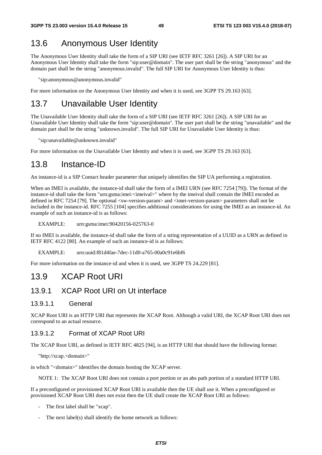# 13.6 Anonymous User Identity

The Anonymous User Identity shall take the form of a SIP URI (see IETF RFC 3261 [26]). A SIP URI for an Anonymous User Identity shall take the form "sip:user@domain". The user part shall be the string "anonymous" and the domain part shall be the string "anonymous.invalid". The full SIP URI for Anonymous User Identity is thus:

"sip:anonymous@anonymous.invalid"

For more information on the Anonymous User Identity and when it is used, see 3GPP TS 29.163 [63].

# 13.7 Unavailable User Identity

The Unavailable User Identity shall take the form of a SIP URI (see IETF RFC 3261 [26]). A SIP URI for an Unavailable User Identity shall take the form "sip:user@domain". The user part shall be the string "unavailable" and the domain part shall be the string "unknown.invalid". The full SIP URI for Unavailable User Identity is thus:

"sip:unavailable@unknown.invalid"

For more information on the Unavailable User Identity and when it is used, see 3GPP TS 29.163 [63].

### 13.8 Instance-ID

An instance-id is a SIP Contact header parameter that uniquely identifies the SIP UA performing a registration.

When an IMEI is available, the instance-id shall take the form of a IMEI URN (see RFC 7254 [79]). The format of the instance-id shall take the form "urn:gsma:imei:<imeival>" where by the imeival shall contain the IMEI encoded as defined in RFC 7254 [79]. The optional <sw-version-param> and <imei-version-param> parameters shall not be included in the instance-id. RFC 7255 [104] specifies additional considerations for using the IMEI as an instance-id. An example of such an instance-id is as follows:

#### EXAMPLE: urn:gsma:imei:90420156-025763-0

If no IMEI is available, the instance-id shall take the form of a string representation of a UUID as a URN as defined in IETF RFC 4122 [80]. An example of such an instance-id is as follows:

#### EXAMPLE: urn:uuid:f81d4fae-7dec-11d0-a765-00a0c91e6bf6

For more information on the instance-id and when it is used, see 3GPP TS 24.229 [81].

#### 13.9 XCAP Root URI

#### 13.9.1 XCAP Root URI on Ut interface

#### 13.9.1.1 General

XCAP Root URI is an HTTP URI that represents the XCAP Root. Although a valid URI, the XCAP Root URI does not correspond to an actual resource.

#### 13.9.1.2 Format of XCAP Root URI

The XCAP Root URI, as defined in IETF RFC 4825 [94], is an HTTP URI that should have the following format:

"http://xcap.<domain>"

in which "<domain>" identifies the domain hosting the XCAP server.

NOTE 1: The XCAP Root URI does not contain a port portion or an abs path portion of a standard HTTP URI.

If a preconfigured or provisioned XCAP Root URI is available then the UE shall use it. When a preconfigured or provisioned XCAP Root URI does not exist then the UE shall create the XCAP Root URI as follows:

- The first label shall be "xcap".
- The next label(s) shall identify the home network as follows: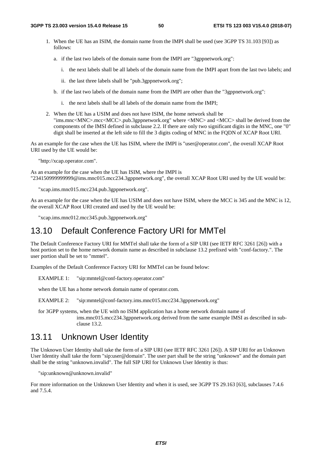- 1. When the UE has an ISIM, the domain name from the IMPI shall be used (see 3GPP TS 31.103 [93]) as follows:
	- a. if the last two labels of the domain name from the IMPI are "3gppnetwork.org":
		- i. the next labels shall be all labels of the domain name from the IMPI apart from the last two labels; and
		- ii. the last three labels shall be "pub.3gppnetwork.org";
	- b. if the last two labels of the domain name from the IMPI are other than the "3gppnetwork.org":
		- i. the next labels shall be all labels of the domain name from the IMPI;
- 2. When the UE has a USIM and does not have ISIM, the home network shall be "ims.mnc<MNC>.mcc<MCC>.pub.3gppnetwork.org" where <MNC> and <MCC> shall be derived from the components of the IMSI defined in subclause 2.2. If there are only two significant digits in the MNC, one "0" digit shall be inserted at the left side to fill the 3 digits coding of MNC in the FQDN of XCAP Root URI.

As an example for the case when the UE has ISIM, where the IMPI is "user@operator.com", the overall XCAP Root URI used by the UE would be:

"http://xcap.operator.com".

As an example for the case when the UE has ISIM, where the IMPI is "234150999999999@ims.mnc015.mcc234.3gppnetwork.org", the overall XCAP Root URI used by the UE would be:

"xcap.ims.mnc015.mcc234.pub.3gppnetwork.org".

As an example for the case when the UE has USIM and does not have ISIM, where the MCC is 345 and the MNC is 12, the overall XCAP Root URI created and used by the UE would be:

"xcap.ims.mnc012.mcc345.pub.3gppnetwork.org"

## 13.10 Default Conference Factory URI for MMTel

The Default Conference Factory URI for MMTel shall take the form of a SIP URI (see IETF RFC 3261 [26]) with a host portion set to the home network domain name as described in subclause 13.2 prefixed with "conf-factory.". The user portion shall be set to "mmtel".

Examples of the Default Conference Factory URI for MMTel can be found below:

EXAMPLE 1: "sip:mmtel@conf-factory.operator.com"

when the UE has a home network domain name of operator.com.

EXAMPLE 2: "sip:mmtel@conf-factory.ims.mnc015.mcc234.3gppnetwork.org"

for 3GPP systems, when the UE with no ISIM application has a home network domain name of ims.mnc015.mcc234.3gppnetwork.org derived from the same example IMSI as described in subclause 13.2.

### 13.11 Unknown User Identity

The Unknown User Identity shall take the form of a SIP URI (see IETF RFC 3261 [26]). A SIP URI for an Unknown User Identity shall take the form "sip:user@domain". The user part shall be the string "unknown" and the domain part shall be the string "unknown.invalid". The full SIP URI for Unknown User Identity is thus:

"sip:unknown@unknown.invalid"

For more information on the Unknown User Identity and when it is used, see 3GPP TS 29.163 [63], subclauses 7.4.6 and 7.5.4.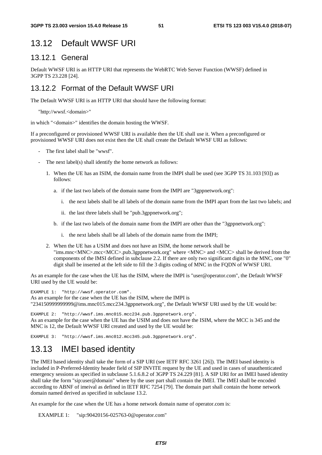## 13.12 Default WWSF URI

#### 13.12.1 General

Default WWSF URI is an HTTP URI that represents the WebRTC Web Server Function (WWSF) defined in 3GPP TS 23.228 [24].

#### 13.12.2 Format of the Default WWSF URI

The Default WWSF URI is an HTTP URI that should have the following format:

```
"http://wwsf.<domain>"
```
in which "<domain>" identifies the domain hosting the WWSF.

If a preconfigured or provisioned WWSF URI is available then the UE shall use it. When a preconfigured or provisioned WWSF URI does not exist then the UE shall create the Default WWSF URI as follows:

- The first label shall be "wwsf".
- The next label(s) shall identify the home network as follows:
	- 1. When the UE has an ISIM, the domain name from the IMPI shall be used (see 3GPP TS 31.103 [93]) as follows:
		- a. if the last two labels of the domain name from the IMPI are "3gppnetwork.org":
			- i. the next labels shall be all labels of the domain name from the IMPI apart from the last two labels; and
			- ii. the last three labels shall be "pub.3gppnetwork.org";
		- b. if the last two labels of the domain name from the IMPI are other than the "3gppnetwork.org":
			- i. the next labels shall be all labels of the domain name from the IMPI;
	- 2. When the UE has a USIM and does not have an ISIM, the home network shall be "ims.mnc<MNC>.mcc<MCC>.pub.3gppnetwork.org" where <MNC> and <MCC> shall be derived from the components of the IMSI defined in subclause 2.2. If there are only two significant digits in the MNC, one "0" digit shall be inserted at the left side to fill the 3 digits coding of MNC in the FQDN of WWSF URI.

As an example for the case when the UE has the ISIM, where the IMPI is "user@operator.com", the Default WWSF URI used by the UE would be:

EXAMPLE 1: "http://wwsf.operator.com". As an example for the case when the UE has the ISIM, where the IMPI is "234150999999999@ims.mnc015.mcc234.3gppnetwork.org", the Default WWSF URI used by the UE would be:

EXAMPLE 2: "http://wwsf.ims.mnc015.mcc234.pub.3gppnetwork.org". As an example for the case when the UE has the USIM and does not have the ISIM, where the MCC is 345 and the MNC is 12, the Default WWSF URI created and used by the UE would be:

EXAMPLE 3: "http://wwsf.ims.mnc012.mcc345.pub.3gppnetwork.org".

## 13.13 IMEI based identity

The IMEI based identity shall take the form of a SIP URI (see IETF RFC 3261 [26]). The IMEI based identity is included in P-Preferred-Identity header field of SIP INVITE request by the UE and used in cases of unauthenticated emergency sessions as specified in subclause 5.1.6.8.2 of 3GPP TS 24.229 [81]. A SIP URI for an IMEI based identity shall take the form "sip:user@domain" where by the user part shall contain the IMEI. The IMEI shall be encoded according to ABNF of imeival as defined in IETF RFC 7254 [79]. The domain part shall contain the home network domain named derived as specified in subclause 13.2.

An example for the case when the UE has a home network domain name of operator.com is:

EXAMPLE 1: "sip:90420156-025763-0@operator.com"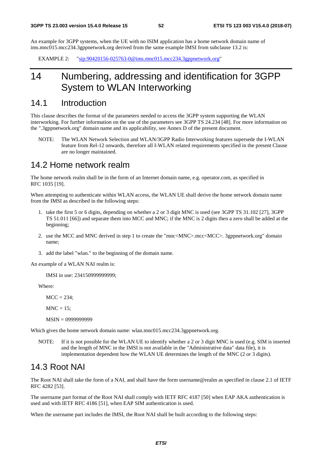An example for 3GPP systems, when the UE with no ISIM application has a home network domain name of ims.mnc015.mcc234.3gppnetwork.org derived from the same example IMSI from subclause 13.2 is:

EXAMPLE 2: "sip:90420156-025763-0@ims.mnc015.mcc234.3gppnetwork.org"

# 14 Numbering, addressing and identification for 3GPP System to WLAN Interworking

### 14.1 Introduction

This clause describes the format of the parameters needed to access the 3GPP system supporting the WLAN interworking. For further information on the use of the parameters see 3GPP TS 24.234 [48]. For more information on the ".3gppnetwork.org" domain name and its applicability, see Annex D of the present document.

NOTE: The WLAN Network Selection and WLAN/3GPP Radio Interworking features supersede the I-WLAN feature from Rel-12 onwards, therefore all I-WLAN related requirements specified in the present Clause are no longer maintained.

#### 14.2 Home network realm

The home network realm shall be in the form of an Internet domain name, e.g. operator.com, as specified in RFC 1035 [19].

When attempting to authenticate within WLAN access, the WLAN UE shall derive the home network domain name from the IMSI as described in the following steps:

- 1. take the first 5 or 6 digits, depending on whether a 2 or 3 digit MNC is used (see 3GPP TS 31.102 [27], 3GPP TS 51.011 [66]) and separate them into MCC and MNC; if the MNC is 2 digits then a zero shall be added at the beginning;
- 2. use the MCC and MNC derived in step 1 to create the "mnc<MNC>.mcc<MCC>. 3gppnetwork.org" domain name;
- 3. add the label "wlan." to the beginning of the domain name.

An example of a WLAN NAI realm is:

IMSI in use: 234150999999999;

Where:

 $MCC = 234$ :

 $MNC = 15$ ;

```
 MSIN = 0999999999
```
Which gives the home network domain name: wlan.mnc015.mcc234.3gppnetwork.org.

NOTE: If it is not possible for the WLAN UE to identify whether a 2 or 3 digit MNC is used (e.g. SIM is inserted and the length of MNC in the IMSI is not available in the "Administrative data" data file), it is implementation dependent how the WLAN UE determines the length of the MNC (2 or 3 digits).

## 14.3 Root NAI

The Root NAI shall take the form of a NAI, and shall have the form username@realm as specified in clause 2.1 of IETF RFC 4282 [53].

The username part format of the Root NAI shall comply with IETF RFC 4187 [50] when EAP AKA authentication is used and with IETF RFC 4186 [51], when EAP SIM authentication is used.

When the username part includes the IMSI, the Root NAI shall be built according to the following steps: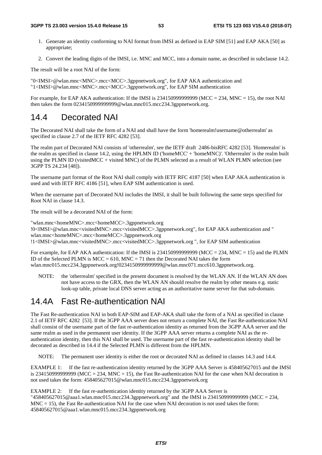- 1. Generate an identity conforming to NAI format from IMSI as defined in EAP SIM [51] and EAP AKA [50] as appropriate;
- 2. Convert the leading digits of the IMSI, i.e. MNC and MCC, into a domain name, as described in subclause 14.2.

The result will be a root NAI of the form:

"0<IMSI>@wlan.mnc<MNC>.mcc<MCC>.3gppnetwork.org", for EAP AKA authentication and "1<IMSI>@wlan.mnc<MNC>.mcc<MCC>.3gppnetwork.org", for EAP SIM authentication

For example, for EAP AKA authentication: If the IMSI is  $2341509999999999$  (MCC = 234, MNC = 15), the root NAI then takes the form 0234150999999999@wlan.mnc015.mcc234.3gppnetwork.org.

### 14.4 Decorated NAI

The Decorated NAI shall take the form of a NAI and shall have the form 'homerealm!username@otherrealm' as specified in clause 2.7 of the IETF RFC 4282 [53].

The realm part of Decorated NAI consists of 'otherrealm', see the IETF draft 2486-bisRFC 4282 [53]. 'Homerealm' is the realm as specified in clause 14.2, using the HPLMN ID ('homeMCC' + 'homeMNC)'. 'Otherrealm' is the realm built using the PLMN ID (visitedMCC + visited MNC) of the PLMN selected as a result of WLAN PLMN selection (see 3GPP TS 24.234 [48]).

The username part format of the Root NAI shall comply with IETF RFC 4187 [50] when EAP AKA authentication is used and with IETF RFC 4186 [51], when EAP SIM authentication is used.

When the username part of Decorated NAI includes the IMSI, it shall be built following the same steps specified for Root NAI in clause 14.3.

The result will be a decorated NAI of the form:

"wlan.mnc<homeMNC>.mcc<homeMCC>.3gppnetwork.org !0<IMSI>@wlan.mnc<visitedMNC>.mcc<visitedMCC>.3gppnetwork.org", for EAP AKA authentication and " wlan.mnc<homeMNC>.mcc<homeMCC>.3gppnetwork.org !1<IMSI>@wlan.mnc<visitedMNC>.mcc<visitedMCC>.3gppnetwork.org ", for EAP SIM authentication

For example, for EAP AKA authentication: If the IMSI is 234150999999999999 (MCC = 234, MNC = 15) and the PLMN ID of the Selected PLMN is  $MCC = 610$ ,  $MNC = 71$  then the Decorated NAI takes the form wlan.mnc015.mcc234.3gppnetwork.org!0234150999999999@wlan.mnc071.mcc610.3gppnetwork.org.

NOTE: the 'otherrealm' specified in the present document is resolved by the WLAN AN. If the WLAN AN does not have access to the GRX, then the WLAN AN should resolve the realm by other means e.g. static look-up table, private local DNS server acting as an authoritative name server for that sub-domain.

## 14.4A Fast Re-authentication NAI

The Fast Re-authentication NAI in both EAP-SIM and EAP-AKA shall take the form of a NAI as specified in clause 2.1 of IETF RFC 4282 [53]. If the 3GPP AAA server does not return a complete NAI, the Fast Re-authentication NAI shall consist of the username part of the fast re-authentication identity as returned from the 3GPP AAA server and the same realm as used in the permanent user identity. If the 3GPP AAA server returns a complete NAI as the reauthentication identity, then this NAI shall be used. The username part of the fast re-authentication identity shall be decorated as described in 14.4 if the Selected PLMN is different from the HPLMN.

NOTE: The permanent user identity is either the root or decorated NAI as defined in clauses 14.3 and 14.4.

EXAMPLE 1: If the fast re-authentication identity returned by the 3GPP AAA Server is 458405627015 and the IMSI is 2341509999999999 (MCC = 234, MNC = 15), the Fast Re-authentication NAI for the case when NAI decoration is not used takes the form: 458405627015@wlan.mnc015.mcc234.3gppnetwork.org

EXAMPLE 2: If the fast re-authentication identity returned by the 3GPP AAA Server is "458405627015@aaa1.wlan.mnc015.mcc234.3gppnetwork.org" and the IMSI is 234150999999999 (MCC = 234,  $MNC = 15$ ), the Fast Re-authentication NAI for the case when NAI decoration is not used takes the form: 458405627015@aaa1.wlan.mnc015.mcc234.3gppnetwork.org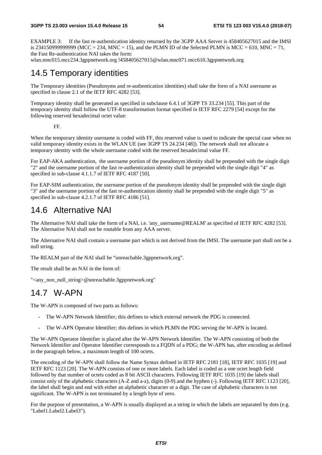EXAMPLE 3: If the fast re-authentication identity returned by the 3GPP AAA Server is 458405627015 and the IMSI is 2341509999999999999 (MCC = 234, MNC = 15), and the PLMN ID of the Selected PLMN is MCC = 610, MNC = 71, the Fast Re-authentication NAI takes the form:

wlan.mnc015.mcc234.3gppnetwork.org !458405627015@wlan.mnc071.mcc610.3gppnetwork.org

# 14.5 Temporary identities

The Temporary identities (Pseudonyms and re-authentication identities) shall take the form of a NAI username as specified in clause 2.1 of the IETF RFC 4282 [53].

Temporary identity shall be generated as specified in subclause 6.4.1 of 3GPP TS 33.234 [55]. This part of the temporary identity shall follow the UTF-8 transformation format specified in IETF RFC 2279 [54] except for the following reserved hexadecimal octet value:

FF.

When the temporary identity username is coded with FF, this reserved value is used to indicate the special case when no valid temporary identity exists in the WLAN UE (see 3GPP TS 24.234 [48]). The network shall not allocate a temporary identity with the whole username coded with the reserved hexadecimal value FF.

For EAP-AKA authentication, the username portion of the pseudonym identity shall be prepended with the single digit "2" and the username portion of the fast re-authentication identity shall be prepended with the single digit "4" as specified in sub-clause 4.1.1.7 of IETF RFC 4187 [50].

For EAP-SIM authentication, the username portion of the pseudonym identity shall be prepended with the single digit "3" and the username portion of the fast re-authentication identity shall be prepended with the single digit "5" as specified in sub-clause 4.2.1.7 of IETF RFC 4186 [51].

# 14.6 Alternative NAI

The Alternative NAI shall take the form of a NAI, i.e. 'any username@REALM' as specified of IETF RFC 4282 [53]. The Alternative NAI shall not be routable from any AAA server.

The Alternative NAI shall contain a username part which is not derived from the IMSI. The username part shall not be a null string.

The REALM part of the NAI shall be "unreachable.3gppnetwork.org".

The result shall be an NAI in the form of:

"<any\_non\_null\_string>@unreachable.3gppnetwork.org"

# 14.7 W-APN

The W-APN is composed of two parts as follows:

- The W-APN Network Identifier; this defines to which external network the PDG is connected.
- The W-APN Operator Identifier; this defines in which PLMN the PDG serving the W-APN is located.

The W-APN Operator Identifier is placed after the W-APN Network Identifier. The W-APN consisting of both the Network Identifier and Operator Identifier corresponds to a FQDN of a PDG; the W-APN has, after encoding as defined in the paragraph below, a maximum length of 100 octets.

The encoding of the W-APN shall follow the Name Syntax defined in IETF RFC 2181 [18], IETF RFC 1035 [19] and IETF RFC 1123 [20]. The W-APN consists of one or more labels. Each label is coded as a one octet length field followed by that number of octets coded as 8 bit ASCII characters. Following IETF RFC 1035 [19] the labels shall consist only of the alphabetic characters (A-Z and a-z), digits (0-9) and the hyphen (-). Following IETF RFC 1123 [20], the label shall begin and end with either an alphabetic character or a digit. The case of alphabetic characters is not significant. The W-APN is not terminated by a length byte of zero.

For the purpose of presentation, a W-APN is usually displayed as a string in which the labels are separated by dots (e.g. "Label1.Label2.Label3").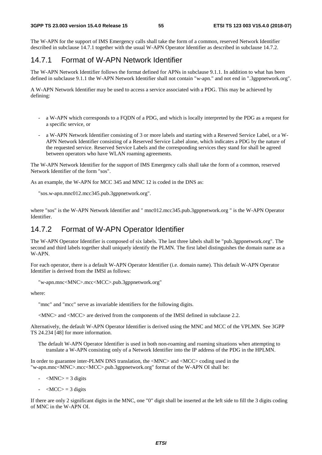The W-APN for the support of IMS Emergency calls shall take the form of a common, reserved Network Identifier described in subclause 14.7.1 together with the usual W-APN Operator Identifier as described in subclause 14.7.2.

#### 14.7.1 Format of W-APN Network Identifier

The W-APN Network Identifier follows the format defined for APNs in subclause 9.1.1. In addition to what has been defined in subclause 9.1.1 the W-APN Network Identifier shall not contain "w-apn." and not end in ".3gppnetwork.org".

A W-APN Network Identifier may be used to access a service associated with a PDG. This may be achieved by defining:

- a W-APN which corresponds to a FQDN of a PDG, and which is locally interpreted by the PDG as a request for a specific service, or
- a W-APN Network Identifier consisting of 3 or more labels and starting with a Reserved Service Label, or a W-APN Network Identifier consisting of a Reserved Service Label alone, which indicates a PDG by the nature of the requested service. Reserved Service Labels and the corresponding services they stand for shall be agreed between operators who have WLAN roaming agreements.

The W-APN Network Identifier for the support of IMS Emergency calls shall take the form of a common, reserved Network Identifier of the form "sos".

As an example, the W-APN for MCC 345 and MNC 12 is coded in the DNS as:

"sos.w-apn.mnc012.mcc345.pub.3gppnetwork.org".

where "sos" is the W-APN Network Identifier and " mnc012.mcc345.pub.3gppnetwork.org " is the W-APN Operator Identifier.

#### 14.7.2 Format of W-APN Operator Identifier

The W-APN Operator Identifier is composed of six labels. The last three labels shall be "pub.3gppnetwork.org". The second and third labels together shall uniquely identify the PLMN. The first label distinguishes the domain name as a W-APN.

For each operator, there is a default W-APN Operator Identifier (i.e. domain name). This default W-APN Operator Identifier is derived from the IMSI as follows:

"w-apn.mnc<MNC>.mcc<MCC>.pub.3gppnetwork.org"

where:

"mnc" and "mcc" serve as invariable identifiers for the following digits.

<MNC> and <MCC> are derived from the components of the IMSI defined in subclause 2.2.

Alternatively, the default W-APN Operator Identifier is derived using the MNC and MCC of the VPLMN. See 3GPP TS 24.234 [48] for more information.

The default W-APN Operator Identifier is used in both non-roaming and roaming situations when attempting to translate a W-APN consisting only of a Network Identifier into the IP address of the PDG in the HPLMN.

In order to guarantee inter-PLMN DNS translation, the <MNC> and <MCC> coding used in the "w-apn.mnc<MNC>.mcc<MCC>.pub.3gppnetwork.org" format of the W-APN OI shall be:

- $-MNC$  = 3 digits
- $\langle MCC \rangle = 3$  digits

If there are only 2 significant digits in the MNC, one "0" digit shall be inserted at the left side to fill the 3 digits coding of MNC in the W-APN OI.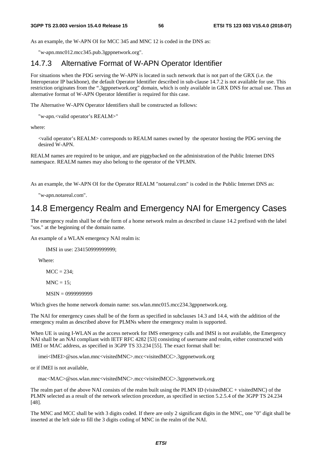As an example, the W-APN OI for MCC 345 and MNC 12 is coded in the DNS as:

"w-apn.mnc012.mcc345.pub.3gppnetwork.org".

#### 14.7.3 Alternative Format of W-APN Operator Identifier

For situations when the PDG serving the W-APN is located in such network that is not part of the GRX (i.e. the Interoperator IP backbone), the default Operator Identifier described in sub-clause 14.7.2 is not available for use. This restriction originates from the ".3gppnetwork.org" domain, which is only available in GRX DNS for actual use. Thus an alternative format of W-APN Operator Identifier is required for this case.

The Alternative W-APN Operator Identifiers shall be constructed as follows:

"w-apn.<valid operator's REALM>"

where:

<valid operator's REALM> corresponds to REALM names owned by the operator hosting the PDG serving the desired W-APN.

REALM names are required to be unique, and are piggybacked on the administration of the Public Internet DNS namespace. REALM names may also belong to the operator of the VPLMN.

As an example, the W-APN OI for the Operator REALM "notareal.com" is coded in the Public Internet DNS as:

"w-apn.notareal.com".

# 14.8 Emergency Realm and Emergency NAI for Emergency Cases

The emergency realm shall be of the form of a home network realm as described in clause 14.2 prefixed with the label "sos." at the beginning of the domain name.

An example of a WLAN emergency NAI realm is:

IMSI in use: 234150999999999;

Where:

 $MCC = 234$ :

 $MNC = 15$ :

MSIN = 0999999999

Which gives the home network domain name: sos.wlan.mnc015.mcc234.3gppnetwork.org.

The NAI for emergency cases shall be of the form as specified in subclauses 14.3 and 14.4, with the addition of the emergency realm as described above for PLMNs where the emergency realm is supported.

When UE is using I-WLAN as the access network for IMS emergency calls and IMSI is not available, the Emergency NAI shall be an NAI compliant with IETF RFC 4282 [53] consisting of username and realm, either constructed with IMEI or MAC address, as specified in 3GPP TS 33.234 [55]. The exact format shall be:

imei<IMEI>@sos.wlan.mnc<visitedMNC>.mcc<visitedMCC>.3gppnetwork.org

or if IMEI is not available,

mac<MAC>@sos.wlan.mnc<visitedMNC>.mcc<visitedMCC>.3gppnetwork.org

The realm part of the above NAI consists of the realm built using the PLMN ID (visitedMCC + visitedMNC) of the PLMN selected as a result of the network selection procedure, as specified in section 5.2.5.4 of the 3GPP TS 24.234 [48].

The MNC and MCC shall be with 3 digits coded. If there are only 2 significant digits in the MNC, one "0" digit shall be inserted at the left side to fill the 3 digits coding of MNC in the realm of the NAI.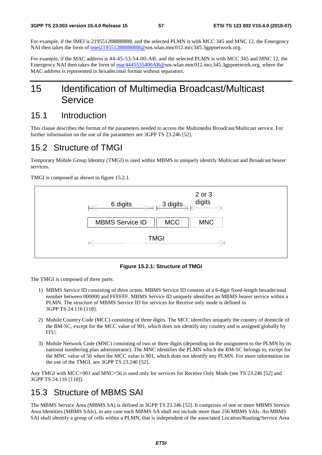For example, if the IMEI is 219551288888888, and the selected PLMN is with MCC 345 and MNC 12, the Emergency NAI then takes the form of imei2195512888888888@sos.wlan.mnc012.mcc345.3gppnetwork.org.

For example, if the MAC address is 44-45-53-54-00-AB, and the selected PLMN is with MCC 345 and MNC 12, the Emergency NAI then takes the form of [mac4445535400AB@s](mailto:mac4445535400AB@sos.invalid)os.wlan.mnc012.mcc345.3gppnetwork.org, where the MAC address is represented in hexadecimal format without separators.

# 15 Identification of Multimedia Broadcast/Multicast Service

### 15.1 Introduction

This clause describes the format of the parameters needed to access the Multimedia Broadcast/Multicast service. For further information on the use of the parameters see 3GPP TS 23.246 [52].

# 15.2 Structure of TMGI

Temporary Mobile Group Identity (TMGI) is used within MBMS to uniquely identify Multicast and Broadcast bearer services.

TMGI is composed as shown in figure 15.2.1.



**Figure 15.2.1: Structure of TMGI** 

The TMGI is composed of three parts:

- 1) MBMS Service ID consisting of three octets. MBMS Service ID consists of a 6-digit fixed-length hexadecimal number between 000000 and FFFFFF. MBMS Service ID uniquely identifies an MBMS bearer service within a PLMN. The structure of MBMS Service ID for services for Receive only mode is defined in 3GPP TS 24.116 [118].
- 2) Mobile Country Code (MCC) consisting of three digits. The MCC identifies uniquely the country of domicile of the BM-SC, except for the MCC value of 901, which does not identify any country and is assigned globally by ITU;
- 3) Mobile Network Code (MNC) consisting of two or three digits (depending on the assignment to the PLMN by its national numbering plan administrator). The MNC identifies the PLMN which the BM-SC belongs to, except for the MNC value of 56 when the MCC value is 901, which does not identify any PLMN. For more information on the use of the TMGI, see 3GPP TS 23.246 [52].

Any TMGI with MCC=901 and MNC=56 is used only for services for Receive Only Mode (see TS 23.246 [52] and 3GPP TS 24.116 [118]).

# 15.3 Structure of MBMS SAI

The MBMS Service Area (MBMS SA) is defined in 3GPP TS 23.246 [52]. It comprises of one or more MBMS Service Area Identities (MBMS SAIs), in any case each MBMS SA shall not include more than 256 MBMS SAIs. An MBMS SAI shall identify a group of cells within a PLMN, that is independent of the associated Location/Routing/Service Area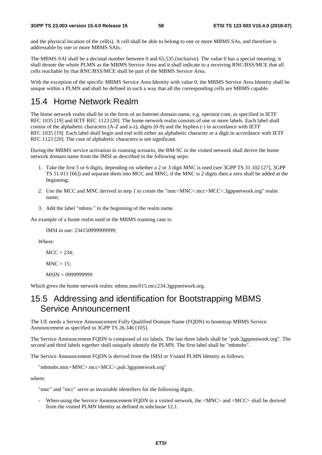and the physical location of the cell(s). A cell shall be able to belong to one or more MBMS SAs, and therefore is addressable by one or more MBMS SAIs.

The MBMS SAI shall be a decimal number between 0 and 65,535 (inclusive). The value 0 has a special meaning; it shall denote the whole PLMN as the MBMS Service Area and it shall indicate to a receiving RNC/BSS/MCE that all cells reachable by that RNC/BSS/MCE shall be part of the MBMS Service Area.

With the exception of the specific MBMS Service Area Identity with value 0, the MBMS Service Area Identity shall be unique within a PLMN and shall be defined in such a way that all the corresponding cells are MBMS capable.

## 15.4 Home Network Realm

The home network realm shall be in the form of an Internet domain name, e.g. operator.com, as specified in IETF RFC 1035 [19] and IETF RFC 1123 [20]. The home network realm consists of one or more labels. Each label shall consist of the alphabetic characters (A-Z and a-z), digits (0-9) and the hyphen (-) in accordance with IETF RFC 1035 [19]. Each label shall begin and end with either an alphabetic character or a digit in accordance with IETF RFC 1123 [20]. The case of alphabetic characters is not significant.

During the MBMS service activation in roaming scenario, the BM-SC in the visited network shall derive the home network domain name from the IMSI as described in the following steps:

- 1. Take the first 5 or 6 digits, depending on whether a 2 or 3 digit MNC is used (see 3GPP TS 31.102 [27], 3GPP TS 51.011 [66]) and separate them into MCC and MNC; if the MNC is 2 digits then a zero shall be added at the beginning;
- 2. Use the MCC and MNC derived in step 1 to create the "mnc<MNC>.mcc<MCC>.3gppnetwork.org" realm name;
- 3. Add the label "mbms." to the beginning of the realm name.

An example of a home realm used in the MBMS roaming case is:

IMSI in use: 234150999999999;

Where:

 $MCC = 234$ :

 $MNC = 15$ :

MSIN = 0999999999

Which gives the home network realm: mbms.mnc015.mcc234.3gppnetwork.org.

## 15.5 Addressing and identification for Bootstrapping MBMS Service Announcement

The UE needs a Service Announcement Fully Qualified Domain Name (FQDN) to bootstrap MBMS Service Announcement as specified in 3GPP TS 26.346 [105].

The Service Announcement FQDN is composed of six labels. The last three labels shall be "pub.3gppnetwork.org". The second and third labels together shall uniquely identify the PLMN. The first label shall be "mbmsbs".

The Service Announcement FQDN is derived from the IMSI or Visited PLMN Identity as follows:

"mbmsbs.mnc<MNC>.mcc<MCC>.pub.3gppnetwork.org"

where:

"mnc" and "mcc" serve as invariable identifiers for the following digits.

When using the Service Announcement FODN in a visited network, the <MNC> and <MCC> shall be derived from the visited PLMN Identity as defined in subclause 12.1.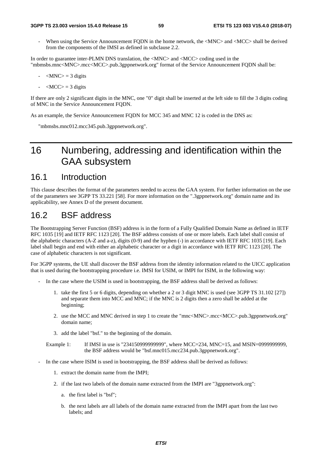When using the Service Announcement FODN in the home network, the  $\langle$ MNC $\rangle$  and  $\langle$ MCC $\rangle$  shall be derived from the components of the IMSI as defined in subclause 2.2.

In order to guarantee inter-PLMN DNS translation, the <MNC> and <MCC> coding used in the "mbmsbs.mnc<MNC>.mcc<MCC>.pub.3gppnetwork.org" format of the Service Announcement FQDN shall be:

- $-MNC$  = 3 digits
- $\langle MCC \rangle = 3$  digits

If there are only 2 significant digits in the MNC, one "0" digit shall be inserted at the left side to fill the 3 digits coding of MNC in the Service Announcement FQDN.

As an example, the Service Announcement FQDN for MCC 345 and MNC 12 is coded in the DNS as:

"mbmsbs.mnc012.mcc345.pub.3gppnetwork.org".

# 16 Numbering, addressing and identification within the GAA subsystem

## 16.1 Introduction

This clause describes the format of the parameters needed to access the GAA system. For further information on the use of the parameters see 3GPP TS 33.221 [58]. For more information on the ".3gppnetwork.org" domain name and its applicability, see Annex D of the present document.

### 16.2 BSF address

The Bootstrapping Server Function (BSF) address is in the form of a Fully Qualified Domain Name as defined in IETF RFC 1035 [19] and IETF RFC 1123 [20]. The BSF address consists of one or more labels. Each label shall consist of the alphabetic characters (A-Z and a-z), digits (0-9) and the hyphen (-) in accordance with IETF RFC 1035 [19]. Each label shall begin and end with either an alphabetic character or a digit in accordance with IETF RFC 1123 [20]. The case of alphabetic characters is not significant.

For 3GPP systems, the UE shall discover the BSF address from the identity information related to the UICC application that is used during the bootstrapping procedure i.e. IMSI for USIM, or IMPI for ISIM, in the following way:

- In the case where the USIM is used in bootstrapping, the BSF address shall be derived as follows:
	- 1. take the first 5 or 6 digits, depending on whether a 2 or 3 digit MNC is used (see 3GPP TS 31.102 [27]) and separate them into MCC and MNC; if the MNC is 2 digits then a zero shall be added at the beginning;
	- 2. use the MCC and MNC derived in step 1 to create the "mnc<MNC>.mcc<MCC>.pub.3gppnetwork.org" domain name;
	- 3. add the label "bsf." to the beginning of the domain.

Example 1: If IMSI in use is "234150999999999", where MCC=234, MNC=15, and MSIN=0999999999, the BSF address would be "bsf.mnc015.mcc234.pub.3gppnetwork.org".

- In the case where ISIM is used in bootstrapping, the BSF address shall be derived as follows:
	- 1. extract the domain name from the IMPI;
	- 2. if the last two labels of the domain name extracted from the IMPI are "3gppnetwork.org":
		- a. the first label is "bsf";
		- b. the next labels are all labels of the domain name extracted from the IMPI apart from the last two labels; and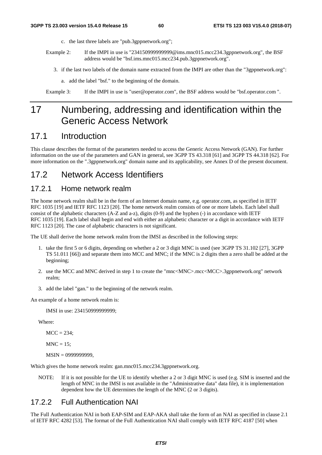- c. the last three labels are "pub.3gppnetwork.org";
- Example 2: If the IMPI in use is "2341509999999999@ims.mnc015.mcc234.3gppnetwork.org", the BSF address would be "bsf.ims.mnc015.mcc234.pub.3gppnetwork.org".
	- 3. if the last two labels of the domain name extracted from the IMPI are other than the "3gppnetwork.org":
		- a. add the label "bsf." to the beginning of the domain.

Example 3: If the IMPI in use is "user@operator.com", the BSF address would be "bsf.operator.com ".

# 17 Numbering, addressing and identification within the Generic Access Network

### 17.1 Introduction

This clause describes the format of the parameters needed to access the Generic Access Network (GAN). For further information on the use of the parameters and GAN in general, see 3GPP TS 43.318 [61] and 3GPP TS 44.318 [62]. For more information on the ".3gppnetwork.org" domain name and its applicability, see Annex D of the present document.

### 17.2 Network Access Identifiers

#### 17.2.1 Home network realm

The home network realm shall be in the form of an Internet domain name, e.g. operator.com, as specified in IETF RFC 1035 [19] and IETF RFC 1123 [20]. The home network realm consists of one or more labels. Each label shall consist of the alphabetic characters (A-Z and a-z), digits (0-9) and the hyphen (-) in accordance with IETF RFC 1035 [19]. Each label shall begin and end with either an alphabetic character or a digit in accordance with IETF RFC 1123 [20]. The case of alphabetic characters is not significant.

The UE shall derive the home network realm from the IMSI as described in the following steps:

- 1. take the first 5 or 6 digits, depending on whether a 2 or 3 digit MNC is used (see 3GPP TS 31.102 [27], 3GPP TS 51.011 [66]) and separate them into MCC and MNC; if the MNC is 2 digits then a zero shall be added at the beginning;
- 2. use the MCC and MNC derived in step 1 to create the "mnc<MNC>.mcc<MCC>.3gppnetwork.org" network realm;
- 3. add the label "gan." to the beginning of the network realm.

An example of a home network realm is:

IMSI in use: 234150999999999;

Where:

 $MCC = 234$ ;

 $MNC = 15$ ;

```
 MSIN = 0999999999,
```
Which gives the home network realm: gan.mnc015.mcc234.3gppnetwork.org.

NOTE: If it is not possible for the UE to identify whether a 2 or 3 digit MNC is used (e.g. SIM is inserted and the length of MNC in the IMSI is not available in the "Administrative data" data file), it is implementation dependent how the UE determines the length of the MNC (2 or 3 digits).

#### 17.2.2 Full Authentication NAI

The Full Authentication NAI in both EAP-SIM and EAP-AKA shall take the form of an NAI as specified in clause 2.1 of IETF RFC 4282 [53]. The format of the Full Authentication NAI shall comply with IETF RFC 4187 [50] when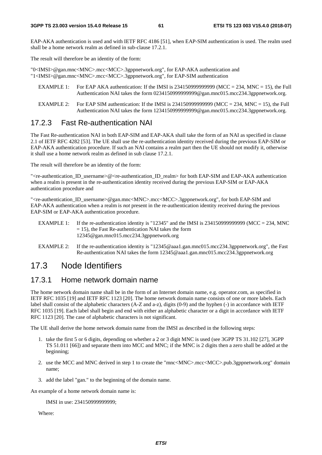EAP-AKA authentication is used and with IETF RFC 4186 [51], when EAP-SIM authentication is used. The realm used shall be a home network realm as defined in sub-clause 17.2.1.

The result will therefore be an identity of the form:

"0<IMSI>@gan.mnc<MNC>.mcc<MCC>.3gppnetwork.org", for EAP-AKA authentication and "1<IMSI>@gan.mnc<MNC>.mcc<MCC>.3gppnetwork.org", for EAP-SIM authentication

- EXAMPLE 1: For EAP AKA authentication: If the IMSI is  $2341509999999999$  (MCC = 234, MNC = 15), the Full Authentication NAI takes the form 0234150999999999@gan.mnc015.mcc234.3gppnetwork.org.
- EXAMPLE 2: For EAP SIM authentication: If the IMSI is  $2341509999999999$  (MCC = 234, MNC = 15), the Full Authentication NAI takes the form 1234150999999999@gan.mnc015.mcc234.3gppnetwork.org.

#### 17.2.3 Fast Re-authentication NAI

The Fast Re-authentication NAI in both EAP-SIM and EAP-AKA shall take the form of an NAI as specified in clause 2.1 of IETF RFC 4282 [53]. The UE shall use the re-authentication identity received during the previous EAP-SIM or EAP-AKA authentication procedure. If such an NAI contains a realm part then the UE should not modify it, otherwise it shall use a home network realm as defined in sub clause 17.2.1.

The result will therefore be an identity of the form:

"<re-authentication ID\_username>@<re-authentication ID\_realm> for both EAP-SIM and EAP-AKA authentication when a realm is present in the re-authentication identity received during the previous EAP-SIM or EAP-AKA authentication procedure and

"<re-authentication\_ID\_username>@gan.mnc<MNC>.mcc<MCC>.3gppnetwork.org", for both EAP-SIM and EAP-AKA authentication when a realm is *not* present in the re-authentication identity received during the previous EAP-SIM or EAP-AKA authentication procedure.

- EXAMPLE 1: If the re-authentication identity is "12345" and the IMSI is 2341509999999999 (MCC = 234, MNC  $= 15$ ), the Fast Re-authentication NAI takes the form 12345@gan.mnc015.mcc234.3gppnetwork.org
- EXAMPLE 2: If the re-authentication identity is "12345@aaa1.gan.mnc015.mcc234.3gppnetwork.org", the Fast Re-authentication NAI takes the form 12345@aaa1.gan.mnc015.mcc234.3gppnetwork.org

## 17.3 Node Identifiers

#### 17.3.1 Home network domain name

The home network domain name shall be in the form of an Internet domain name, e.g. operator.com, as specified in IETF RFC 1035 [19] and IETF RFC 1123 [20]. The home network domain name consists of one or more labels. Each label shall consist of the alphabetic characters (A-Z and a-z), digits (0-9) and the hyphen (-) in accordance with IETF RFC 1035 [19]. Each label shall begin and end with either an alphabetic character or a digit in accordance with IETF RFC 1123 [20]. The case of alphabetic characters is not significant.

The UE shall derive the home network domain name from the IMSI as described in the following steps:

- 1. take the first 5 or 6 digits, depending on whether a 2 or 3 digit MNC is used (see 3GPP TS 31.102 [27], 3GPP TS 51.011 [66]) and separate them into MCC and MNC; if the MNC is 2 digits then a zero shall be added at the beginning;
- 2. use the MCC and MNC derived in step 1 to create the "mnc<MNC>.mcc<MCC>.pub.3gppnetwork.org" domain name;
- 3. add the label "gan." to the beginning of the domain name.

An example of a home network domain name is:

IMSI in use: 234150999999999;

Where: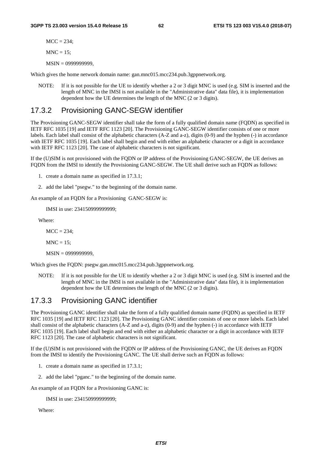$MCC = 234$ :

 $MNC = 15$ ;

MSIN = 0999999999,

Which gives the home network domain name: gan.mnc015.mcc234.pub.3gppnetwork.org.

NOTE: If it is not possible for the UE to identify whether a 2 or 3 digit MNC is used (e.g. SIM is inserted and the length of MNC in the IMSI is not available in the "Administrative data" data file), it is implementation dependent how the UE determines the length of the MNC (2 or 3 digits).

#### 17.3.2 Provisioning GANC-SEGW identifier

The Provisioning GANC-SEGW identifier shall take the form of a fully qualified domain name (FQDN) as specified in IETF RFC 1035 [19] and IETF RFC 1123 [20]. The Provisioning GANC-SEGW identifier consists of one or more labels. Each label shall consist of the alphabetic characters (A-Z and a-z), digits (0-9) and the hyphen (-) in accordance with IETF RFC 1035 [19]. Each label shall begin and end with either an alphabetic character or a digit in accordance with IETF RFC 1123 [20]. The case of alphabetic characters is not significant.

If the (U)SIM is not provisioned with the FQDN or IP address of the Provisioning GANC-SEGW, the UE derives an FQDN from the IMSI to identify the Provisioning GANC-SEGW. The UE shall derive such an FQDN as follows:

- 1. create a domain name as specified in 17.3.1;
- 2. add the label "psegw." to the beginning of the domain name.

An example of an FQDN for a Provisioning GANC-SEGW is:

IMSI in use: 234150999999999;

Where:

 $MCC = 234$ ;

 $MNC = 15$ ;

MSIN = 0999999999,

Which gives the FQDN: psegw.gan.mnc015.mcc234.pub.3gppnetwork.org.

NOTE: If it is not possible for the UE to identify whether a 2 or 3 digit MNC is used (e.g. SIM is inserted and the length of MNC in the IMSI is not available in the "Administrative data" data file), it is implementation dependent how the UE determines the length of the MNC (2 or 3 digits).

#### 17.3.3 Provisioning GANC identifier

The Provisioning GANC identifier shall take the form of a fully qualified domain name (FQDN) as specified in IETF RFC 1035 [19] and IETF RFC 1123 [20]. The Provisioning GANC identifier consists of one or more labels. Each label shall consist of the alphabetic characters (A-Z and a-z), digits (0-9) and the hyphen (-) in accordance with IETF RFC 1035 [19]. Each label shall begin and end with either an alphabetic character or a digit in accordance with IETF RFC 1123 [20]. The case of alphabetic characters is not significant.

If the (U)SIM is not provisioned with the FQDN or IP address of the Provisioning GANC, the UE derives an FQDN from the IMSI to identify the Provisioning GANC. The UE shall derive such an FQDN as follows:

- 1. create a domain name as specified in 17.3.1;
- 2. add the label "pganc." to the beginning of the domain name.

An example of an FODN for a Provisioning GANC is:

IMSI in use: 234150999999999;

Where: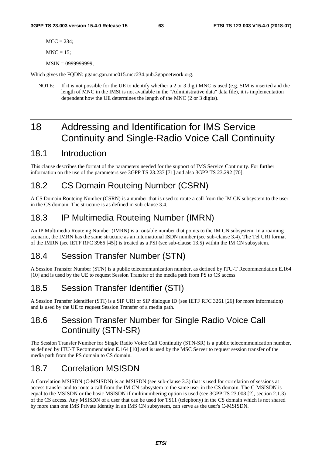$MCC = 234$ :

 $MNC = 15$ ;

MSIN = 0999999999,

Which gives the FQDN: pganc.gan.mnc015.mcc234.pub.3gppnetwork.org.

NOTE: If it is not possible for the UE to identify whether a 2 or 3 digit MNC is used (e.g. SIM is inserted and the length of MNC in the IMSI is not available in the "Administrative data" data file), it is implementation dependent how the UE determines the length of the MNC (2 or 3 digits).

# 18 Addressing and Identification for IMS Service Continuity and Single-Radio Voice Call Continuity

## 18.1 Introduction

This clause describes the format of the parameters needed for the support of IMS Service Continuity. For further information on the use of the parameters see 3GPP TS 23.237 [71] and also 3GPP TS 23.292 [70].

# 18.2 CS Domain Routeing Number (CSRN)

A CS Domain Routeing Number (CSRN) is a number that is used to route a call from the IM CN subsystem to the user in the CS domain. The structure is as defined in sub-clause 3.4.

# 18.3 IP Multimedia Routeing Number (IMRN)

An IP Multimedia Routeing Number (IMRN) is a routable number that points to the IM CN subsystem. In a roaming scenario, the IMRN has the same structure as an international ISDN number (see sub-clause 3.4). The Tel URI format of the IMRN (see IETF RFC 3966 [45]) is treated as a PSI (see sub-clause 13.5) within the IM CN subsystem.

# 18.4 Session Transfer Number (STN)

A Session Transfer Number (STN) is a public telecommunication number, as defined by ITU-T Recommendation E.164 [10] and is used by the UE to request Session Transfer of the media path from PS to CS access.

# 18.5 Session Transfer Identifier (STI)

A Session Transfer Identifier (STI) is a SIP URI or SIP dialogue ID (see IETF RFC 3261 [26] for more information) and is used by the UE to request Session Transfer of a media path.

# 18.6 Session Transfer Number for Single Radio Voice Call Continuity (STN-SR)

The Session Transfer Number for Single Radio Voice Call Continuity (STN-SR) is a public telecommunication number, as defined by ITU-T Recommendation E.164 [10] and is used by the MSC Server to request session transfer of the media path from the PS domain to CS domain.

# 18.7 Correlation MSISDN

A Correlation MSISDN (C-MSISDN) is an MSISDN (see sub-clause 3.3) that is used for correlation of sessions at access transfer and to route a call from the IM CN subsystem to the same user in the CS domain. The C-MSISDN is equal to the MSISDN or the basic MSISDN if multinumbering option is used (see 3GPP TS 23.008 [2], section 2.1.3) of the CS access. Any MSISDN of a user that can be used for TS11 (telephony) in the CS domain which is not shared by more than one IMS Private Identity in an IMS CN subsystem, can serve as the user's C-MSISDN.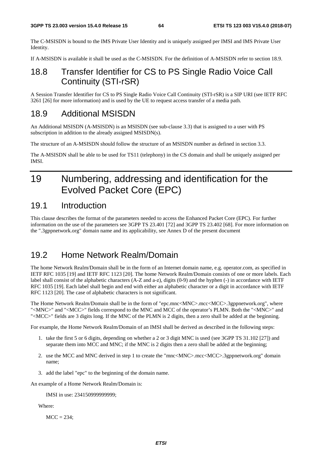The C-MSISDN is bound to the IMS Private User Identity and is uniquely assigned per IMSI and IMS Private User Identity.

If A-MSISDN is available it shall be used as the C-MSISDN. For the definition of A-MSISDN refer to section 18.9.

# 18.8 Transfer Identifier for CS to PS Single Radio Voice Call Continuity (STI-rSR)

A Session Transfer Identifier for CS to PS Single Radio Voice Call Continuity (STI-rSR) is a SIP URI (see IETF RFC 3261 [26] for more information) and is used by the UE to request access transfer of a media path.

## 18.9 Additional MSISDN

An Additional MSISDN (A-MSISDN) is an MSISDN (see sub-clause 3.3) that is assigned to a user with PS subscription in addition to the already assigned MSISDN(s).

The structure of an A-MSISDN should follow the structure of an MSISDN number as defined in section 3.3.

The A-MSISDN shall be able to be used for TS11 (telephony) in the CS domain and shall be uniquely assigned per IMSI.

# 19 Numbering, addressing and identification for the Evolved Packet Core (EPC)

### 19.1 Introduction

This clause describes the format of the parameters needed to access the Enhanced Packet Core (EPC). For further information on the use of the parameters see 3GPP TS 23.401 [72] and 3GPP TS 23.402 [68]. For more information on the ".3gppnetwork.org" domain name and its applicability, see Annex D of the present document

## 19.2 Home Network Realm/Domain

The home Network Realm/Domain shall be in the form of an Internet domain name, e.g. operator.com, as specified in IETF RFC 1035 [19] and IETF RFC 1123 [20]. The home Network Realm/Domain consists of one or more labels. Each label shall consist of the alphabetic characters (A-Z and a-z), digits (0-9) and the hyphen (-) in accordance with IETF RFC 1035 [19]. Each label shall begin and end with either an alphabetic character or a digit in accordance with IETF RFC 1123 [20]. The case of alphabetic characters is not significant.

The Home Network Realm/Domain shall be in the form of "epc.mnc<MNC>.mcc<MCC>.3gppnetwork.org", where "<MNC>" and "<MCC>" fields correspond to the MNC and MCC of the operator's PLMN. Both the "<MNC>" and "<MCC>" fields are 3 digits long. If the MNC of the PLMN is 2 digits, then a zero shall be added at the beginning.

For example, the Home Network Realm/Domain of an IMSI shall be derived as described in the following steps:

- 1. take the first 5 or 6 digits, depending on whether a 2 or 3 digit MNC is used (see 3GPP TS 31.102 [27]) and separate them into MCC and MNC; if the MNC is 2 digits then a zero shall be added at the beginning;
- 2. use the MCC and MNC derived in step 1 to create the "mnc<MNC>.mcc<MCC>.3gppnetwork.org" domain name;
- 3. add the label "epc" to the beginning of the domain name.

An example of a Home Network Realm/Domain is:

IMSI in use: 234150999999999;

Where:

 $MCC = 234$ ;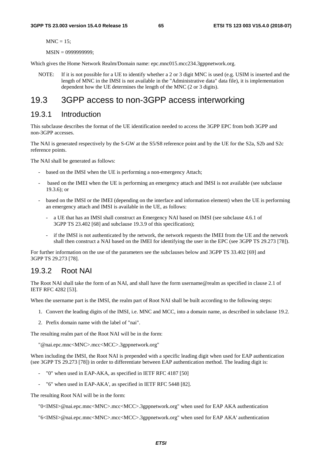$MNC = 15$ ;

MSIN = 0999999999;

Which gives the Home Network Realm/Domain name: epc.mnc015.mcc234.3gppnetwork.org.

NOTE: If it is not possible for a UE to identify whether a 2 or 3 digit MNC is used (e.g. USIM is inserted and the length of MNC in the IMSI is not available in the "Administrative data" data file), it is implementation dependent how the UE determines the length of the MNC (2 or 3 digits).

# 19.3 3GPP access to non-3GPP access interworking

#### 19.3.1 Introduction

This subclause describes the format of the UE identification needed to access the 3GPP EPC from both 3GPP and non-3GPP accesses.

The NAI is generated respectively by the S-GW at the S5/S8 reference point and by the UE for the S2a, S2b and S2c reference points.

The NAI shall be generated as follows:

- based on the IMSI when the UE is performing a non-emergency Attach;
- based on the IMEI when the UE is performing an emergency attach and IMSI is not available (see subclause 19.3.6); or
- based on the IMSI or the IMEI (depending on the interface and information element) when the UE is performing an emergency attach and IMSI is available in the UE, as follows:
	- a UE that has an IMSI shall construct an Emergency NAI based on IMSI (see subclause 4.6.1 of 3GPP TS 23.402 [68] and subclause 19.3.9 of this specification);
	- if the IMSI is not authenticated by the network, the network requests the IMEI from the UE and the network shall then construct a NAI based on the IMEI for identifying the user in the EPC (see 3GPP TS 29.273 [78]).

For further information on the use of the parameters see the subclauses below and 3GPP TS 33.402 [69] and 3GPP TS 29.273 [78].

#### 19.3.2 Root NAI

The Root NAI shall take the form of an NAI, and shall have the form username@realm as specified in clause 2.1 of IETF RFC 4282 [53].

When the username part is the IMSI, the realm part of Root NAI shall be built according to the following steps:

- 1. Convert the leading digits of the IMSI, i.e. MNC and MCC, into a domain name, as described in subclause 19.2.
- 2. Prefix domain name with the label of "nai".

The resulting realm part of the Root NAI will be in the form:

"@nai.epc.mnc<MNC>.mcc<MCC>.3gppnetwork.org"

When including the IMSI, the Root NAI is prepended with a specific leading digit when used for EAP authentication (see 3GPP TS 29.273 [78]) in order to differentiate between EAP authentication method. The leading digit is:

- "0" when used in EAP-AKA, as specified in IETF RFC 4187 [50]
- "6" when used in EAP-AKA', as specified in IETF RFC 5448 [82].

The resulting Root NAI will be in the form:

"0<IMSI>@nai.epc.mnc<MNC>.mcc<MCC>.3gppnetwork.org" when used for EAP AKA authentication

"6<IMSI>@nai.epc.mnc<MNC>.mcc<MCC>.3gppnetwork.org" when used for EAP AKA' authentication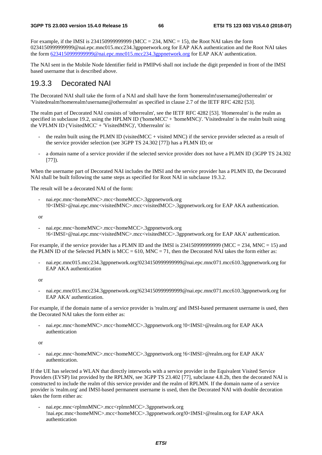For example, if the IMSI is 2341509999999999 (MCC = 234, MNC = 15), the Root NAI takes the form 0234150999999999@nai.epc.mnc015.mcc234.3gppnetwork.org for EAP AKA authentication and the Root NAI takes the form [6234150999999999@nai.epc.mnc015.mcc234.3gppnetwork.org](mailto:0234150999999999@epc.mnc015.mcc234.3gppnetwork.org) for EAP AKA' authentication.

The NAI sent in the Mobile Node Identifier field in PMIPv6 shall not include the digit prepended in front of the IMSI based username that is described above.

#### 19.3.3 Decorated NAI

The Decorated NAI shall take the form of a NAI and shall have the form 'homerealm!username@otherrealm' or 'Visitedrealm!homerealm!username@otherrealm' as specified in clause 2.7 of the IETF RFC 4282 [53].

The realm part of Decorated NAI consists of 'otherrealm', see the IETF RFC 4282 [53]. 'Homerealm' is the realm as specified in subclause 19.2, using the HPLMN ID ('homeMCC' + 'homeMNC)'. 'Visitedrealm' is the realm built using the VPLMN ID ('VisitedMCC' + 'VisitedMNC)', 'Otherrealm' is:

- the realm built using the PLMN ID (visited MCC + visited MNC) if the service provider selected as a result of the service provider selection (see 3GPP TS 24.302 [77]) has a PLMN ID; or
- a domain name of a service provider if the selected service provider does not have a PLMN ID (3GPP TS 24.302) [77]).

When the username part of Decorated NAI includes the IMSI and the service provider has a PLMN ID, the Decorated NAI shall be built following the same steps as specified for Root NAI in subclause 19.3.2.

The result will be a decorated NAI of the form:

- nai.epc.mnc<homeMNC>.mcc<homeMCC>.3gppnetwork.org !0<IMSI>@nai.epc.mnc<visitedMNC>.mcc<visitedMCC>.3gppnetwork.org for EAP AKA authentication.

or

- nai.epc.mnc<homeMNC>.mcc<homeMCC>.3gppnetwork.org !6<IMSI>@nai.epc.mnc<visitedMNC>.mcc<visitedMCC>.3gppnetwork.org for EAP AKA' authentication.

For example, if the service provider has a PLMN ID and the IMSI is 23415099999999999 (MCC = 234, MNC = 15) and the PLMN ID of the Selected PLMN is MCC = 610, MNC = 71, then the Decorated NAI takes the form either as:

- nai.epc.mnc015.mcc234.3gppnetwork.org!0234150999999999@nai.epc.mnc071.mcc610.3gppnetwork.org for EAP AKA authentication

or

- nai.epc.mnc015.mcc234.3gppnetwork.org!6234150999999999@nai.epc.mnc071.mcc610.3gppnetwork.org for EAP AKA' authentication.

For example, if the domain name of a service provider is 'realm.org' and IMSI-based permanent username is used, then the Decorated NAI takes the form either as:

nai.epc.mnc<homeMNC>.mcc<homeMCC>.3gppnetwork.org !0<IMSI>@realm.org for EAP AKA authentication

or

- nai.epc.mnc<homeMNC>.mcc<homeMCC>.3gppnetwork.org !6<IMSI>@realm.org for EAP AKA' authentication.

If the UE has selected a WLAN that directly interworks with a service provider in the Equivalent Visited Service Providers (EVSP) list provided by the RPLMN, see 3GPP TS 23.402 [77], subclause 4.8.2b, then the decorated NAI is constructed to include the realm of this service provider and the realm of RPLMN. If the domain name of a service provider is 'realm.org' and IMSI-based permanent username is used, then the Decorated NAI with double decoration takes the form either as:

- nai.epc.mnc<rplmnMNC>.mcc<rplmnMCC>.3gppnetwork.org !nai.epc.mnc<homeMNC>.mcc<homeMCC>.3gppnetwork.org!0<IMSI>@realm.org for EAP AKA authentication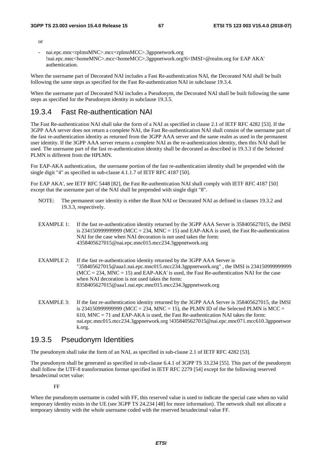or

- nai.epc.mnc<rplmnMNC>.mcc<rplmnMCC>.3gppnetwork.org !nai.epc.mnc<homeMNC>.mcc<homeMCC>.3gppnetwork.org!6<IMSI>@realm.org for EAP AKA' authentication.

When the username part of Decorated NAI includes a Fast Re-authentication NAI, the Decorated NAI shall be built following the same steps as specified for the Fast Re-authentication NAI in subclause 19.3.4.

When the username part of Decorated NAI includes a Pseudonym, the Decorated NAI shall be built following the same steps as specified for the Pseudonym identity in subclause 19.3.5.

#### 19.3.4 Fast Re-authentication NAI

The Fast Re-authentication NAI shall take the form of a NAI as specified in clause 2.1 of IETF RFC 4282 [53]. If the 3GPP AAA server does not return a complete NAI, the Fast Re-authentication NAI shall consist of the username part of the fast re-authentication identity as returned from the 3GPP AAA server and the same realm as used in the permanent user identity. If the 3GPP AAA server returns a complete NAI as the re-authentication identity, then this NAI shall be used. The username part of the fast re-authentication identity shall be decorated as described in 19.3.3 if the Selected PLMN is different from the HPLMN.

For EAP-AKA authentication, the username portion of the fast re-authentication identity shall be prepended with the single digit "4" as specified in sub-clause 4.1.1.7 of IETF RFC 4187 [50].

For EAP AKA', see IETF RFC 5448 [82], the Fast Re-authentication NAI shall comply with IETF RFC 4187 [50] except that the username part of the NAI shall be prepended with single digit "8".

- NOTE: The permanent user identity is either the Root NAI or Decorated NAI as defined in clauses 19.3.2 and 19.3.3, respectively.
- EXAMPLE 1: If the fast re-authentication identity returned by the 3GPP AAA Server is 358405627015, the IMSI is 2341509999999999 (MCC = 234, MNC = 15) and EAP-AKA is used, the Fast Re-authentication NAI for the case when NAI decoration is not used takes the form: 4358405627015@nai.epc.mnc015.mcc234.3gppnetwork.org
- EXAMPLE 2: If the fast re-authentication identity returned by the 3GPP AAA Server is "358405627015@aaa1.nai.epc.mnc015.mcc234.3gppnetwork.org" , the IMSI is 234150999999999  $(MCC = 234, MNC = 15)$  and EAP-AKA' is used, the Fast Re-authentication NAI for the case when NAI decoration is not used takes the form: 8358405627015@aaa1.nai.epc.mnc015.mcc234.3gppnetwork.org
- EXAMPLE 3: If the fast re-authentication identity returned by the 3GPP AAA Server is 358405627015, the IMSI is 234150999999999 (MCC = 234, MNC = 15), the PLMN ID of the Selected PLMN is MCC = 610, MNC = 71 and EAP-AKA is used, the Fast Re-authentication NAI takes the form: nai.epc.mnc015.mcc234.3gppnetwork.org !4358405627015@nai.epc.mnc071.mcc610.3gppnetwor k.org.

#### 19.3.5 Pseudonym Identities

The pseudonym shall take the form of an NAI, as specified in sub-clause 2.1 of IETF RFC 4282 [53].

The pseudonym shall be generated as specified in sub-clause 6.4.1 of 3GPP TS 33.234 [55]. This part of the pseudonym shall follow the UTF-8 transformation format specified in IETF RFC 2279 [54] except for the following reserved hexadecimal octet value:

FF

When the pseudonym username is coded with FF, this reserved value is used to indicate the special case when no valid temporary identity exists in the UE (see 3GPP TS 24.234 [48] for more information). The network shall not allocate a temporary identity with the whole username coded with the reserved hexadecimal value FF.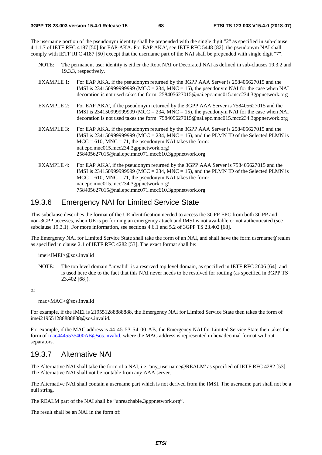The username portion of the pseudonym identity shall be prepended with the single digit "2" as specified in sub-clause 4.1.1.7 of IETF RFC 4187 [50] for EAP-AKA. For EAP AKA', see IETF RFC 5448 [82], the pseudonym NAI shall comply with IETF RFC 4187 [50] except that the username part of the NAI shall be prepended with single digit "7".

- NOTE: The permanent user identity is either the Root NAI or Decorated NAI as defined in sub-clauses 19.3.2 and 19.3.3, respectively.
- EXAMPLE 1: For EAP AKA, if the pseudonym returned by the 3GPP AAA Server is 258405627015 and the IMSI is 234150999999999 (MCC = 234, MNC = 15), the pseudonym NAI for the case when NAI decoration is not used takes the form: 258405627015@nai.epc.mnc015.mcc234.3gppnetwork.org
- EXAMPLE 2: For EAP AKA', if the pseudonym returned by the 3GPP AAA Server is 758405627015 and the IMSI is 234150999999999 (MCC = 234, MNC = 15), the pseudonym NAI for the case when NAI decoration is not used takes the form: 758405627015@nai.epc.mnc015.mcc234.3gppnetwork.org
- EXAMPLE 3: For EAP AKA, if the pseudonym returned by the 3GPP AAA Server is 258405627015 and the IMSI is 23415099999999999 (MCC = 234, MNC = 15), and the PLMN ID of the Selected PLMN is  $MCC = 610$ ,  $MNC = 71$ , the pseudonym NAI takes the form: nai.epc.mnc015.mcc234.3gppnetwork.org! 258405627015@nai.epc.mnc071.mcc610.3gppnetwork.org
- EXAMPLE 4: For EAP AKA', if the pseudonym returned by the 3GPP AAA Server is 758405627015 and the IMSI is 234150999999999 (MCC = 234, MNC = 15), and the PLMN ID of the Selected PLMN is  $MCC = 610$ ,  $MNC = 71$ , the pseudonym NAI takes the form: nai.epc.mnc015.mcc234.3gppnetwork.org! 758405627015@nai.epc.mnc071.mcc610.3gppnetwork.org

#### 19.3.6 Emergency NAI for Limited Service State

This subclause describes the format of the UE identification needed to access the 3GPP EPC from both 3GPP and non-3GPP accesses, when UE is performing an emergency attach and IMSI is not available or not authenticated (see subclause 19.3.1). For more information, see sections 4.6.1 and 5.2 of 3GPP TS 23.402 [68].

The Emergency NAI for Limited Service State shall take the form of an NAI, and shall have the form username@realm as specified in clause 2.1 of IETF RFC 4282 [53]. The exact format shall be:

imei<IMEI>@sos.invalid

NOTE: The top level domain ".invalid" is a reserved top level domain, as specified in IETF RFC 2606 [64], and is used here due to the fact that this NAI never needs to be resolved for routing (as specified in 3GPP TS 23.402 [68]).

or

mac<MAC>@sos.invalid

For example, if the IMEI is 219551288888888, the Emergency NAI for Limited Service State then takes the form of imei219551288888888@sos.invalid.

For example, if the MAC address is 44-45-53-54-00-AB, the Emergency NAI for Limited Service State then takes the form of [mac4445535400AB@sos.invalid](mailto:mac4445535400AB@sos.invalid), where the MAC address is represented in hexadecimal format without separators.

#### 19.3.7 Alternative NAI

The Alternative NAI shall take the form of a NAI, i.e. 'any\_username@REALM' as specified of IETF RFC 4282 [53]. The Alternative NAI shall not be routable from any AAA server.

The Alternative NAI shall contain a username part which is not derived from the IMSI. The username part shall not be a null string.

The REALM part of the NAI shall be "unreachable.3gppnetwork.org".

The result shall be an NAI in the form of: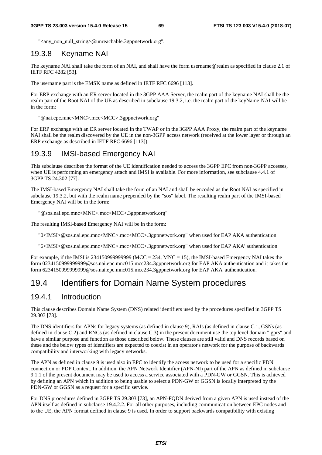"<any\_non\_null\_string>@unreachable.3gppnetwork.org".

### 19.3.8 Keyname NAI

The keyname NAI shall take the form of an NAI, and shall have the form username@realm as specified in clause 2.1 of IETF RFC 4282 [53].

The username part is the EMSK name as defined in IETF RFC 6696 [113].

For ERP exchange with an ER server located in the 3GPP AAA Server, the realm part of the keyname NAI shall be the realm part of the Root NAI of the UE as described in subclause 19.3.2, i.e. the realm part of the keyName-NAI will be in the form:

"@nai.epc.mnc<MNC>.mcc<MCC>.3gppnetwork.org"

For ERP exchange with an ER server located in the TWAP or in the 3GPP AAA Proxy, the realm part of the keyname NAI shall be the realm discovered by the UE in the non-3GPP access network (received at the lower layer or through an ERP exchange as described in IETF RFC 6696 [113]).

#### 19.3.9 IMSI-based Emergency NAI

This subclause describes the format of the UE identification needed to access the 3GPP EPC from non-3GPP accesses, when UE is performing an emergency attach and IMSI is available. For more information, see subclause 4.4.1 of 3GPP TS 24.302 [77].

The IMSI-based Emergency NAI shall take the form of an NAI and shall be encoded as the Root NAI as specified in subclause 19.3.2, but with the realm name prepended by the "sos" label. The resulting realm part of the IMSI-based Emergency NAI will be in the form:

"@sos.nai.epc.mnc<MNC>.mcc<MCC>.3gppnetwork.org"

The resulting IMSI-based Emergency NAI will be in the form:

"0<IMSI>@sos.nai.epc.mnc<MNC>.mcc<MCC>.3gppnetwork.org" when used for EAP AKA authentication

"6<IMSI>@sos.nai.epc.mnc<MNC>.mcc<MCC>.3gppnetwork.org" when used for EAP AKA' authentication

For example, if the IMSI is  $2341509999999999$  (MCC = 234, MNC = 15), the IMSI-based Emergency NAI takes the form 0234150999999999@sos.nai.epc.mnc015.mcc234.3gppnetwork.org for EAP AKA authentication and it takes the form 6234150999999999@sos.nai.epc.mnc015.mcc234.3gppnetwork.org for EAP AKA' authentication.

# 19.4 Identifiers for Domain Name System procedures

#### 19.4.1 Introduction

This clause describes Domain Name System (DNS) related identifiers used by the procedures specified in 3GPP TS 29.303 [73].

The DNS identifiers for APNs for legacy systems (as defined in clause 9), RAIs (as defined in clause C.1, GSNs (as defined in clause C.2) and RNCs (as defined in clause C.3) in the present document use the top level domain ".gprs" and have a similar purpose and function as those described below. These clauses are still valid and DNS records based on these and the below types of identifiers are expected to coexist in an operator's network for the purpose of backwards compatibility and interworking with legacy networks.

The APN as defined in clause 9 is used also in EPC to identify the access network to be used for a specific PDN connection or PDP Context. In addition, the APN Network Identifier (APN-NI) part of the APN as defined in subclause 9.1.1 of the present document may be used to access a service associated with a PDN-GW or GGSN. This is achieved by defining an APN which in addition to being usable to select a PDN-GW or GGSN is locally interpreted by the PDN-GW or GGSN as a request for a specific service.

For DNS procedures defined in 3GPP TS 29.303 [73], an APN-FQDN derived from a given APN is used instead of the APN itself as defined in subclause 19.4.2.2. For all other purposes, including communication between EPC nodes and to the UE, the APN format defined in clause 9 is used. In order to support backwards compatibility with existing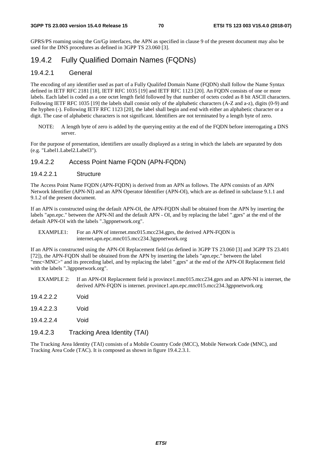GPRS/PS roaming using the Gn/Gp interfaces, the APN as specified in clause 9 of the present document may also be used for the DNS procedures as defined in 3GPP TS 23.060 [3].

### 19.4.2 Fully Qualified Domain Names (FQDNs)

#### 19.4.2.1 General

The encoding of any identifier used as part of a Fully Qualifed Domain Name (FQDN) shall follow the Name Syntax defined in IETF RFC 2181 [18], IETF RFC 1035 [19] and IETF RFC 1123 [20]. An FQDN consists of one or more labels. Each label is coded as a one octet length field followed by that number of octets coded as 8 bit ASCII characters. Following IETF RFC 1035 [19] the labels shall consist only of the alphabetic characters (A-Z and a-z), digits (0-9) and the hyphen (-). Following IETF RFC 1123 [20], the label shall begin and end with either an alphabetic character or a digit. The case of alphabetic characters is not significant. Identifiers are not terminated by a length byte of zero.

NOTE: A length byte of zero is added by the querying entity at the end of the FQDN before interrogating a DNS server.

For the purpose of presentation, identifiers are usually displayed as a string in which the labels are separated by dots (e.g. "Label1.Label2.Label3").

#### 19.4.2.2 Access Point Name FQDN (APN-FQDN)

#### 19.4.2.2.1 Structure

The Access Point Name FQDN (APN-FQDN) is derived from an APN as follows. The APN consists of an APN Network Identifier (APN-NI) and an APN Operator Identifier (APN-OI), which are as defined in subclause 9.1.1 and 9.1.2 of the present document.

If an APN is constructed using the default APN-OI, the APN-FQDN shall be obtained from the APN by inserting the labels "apn.epc." between the APN-NI and the default APN - OI, and by replacing the label ".gprs" at the end of the default APN-OI with the labels ".3gppnetwork.org".

EXAMPLE1: For an APN of internet.mnc015.mcc234.gprs, the derived APN-FQDN is internet.apn.epc.mnc015.mcc234.3gppnetwork.org

If an APN is constructed using the APN-OI Replacement field (as defined in 3GPP TS 23.060 [3] and 3GPP TS 23.401 [72]), the APN-FQDN shall be obtained from the APN by inserting the labels "apn.epc." between the label "mnc<MNC>" and its preceding label, and by replacing the label ".gprs" at the end of the APN-OI Replacement field with the labels ".3gppnetwork.org".

- EXAMPLE 2: If an APN-OI Replacement field is province1.mnc015.mcc234.gprs and an APN-NI is internet, the derived APN-FQDN is internet. province1.apn.epc.mnc015.mcc234.3gppnetwork.org
- 19.4.2.2.2 Void
- 19.4.2.2.3 Void
- 19.4.2.2.4 Void
- 19.4.2.3 Tracking Area Identity (TAI)

The Tracking Area Identity (TAI) consists of a Mobile Country Code (MCC), Mobile Network Code (MNC), and Tracking Area Code (TAC). It is composed as shown in figure 19.4.2.3.1.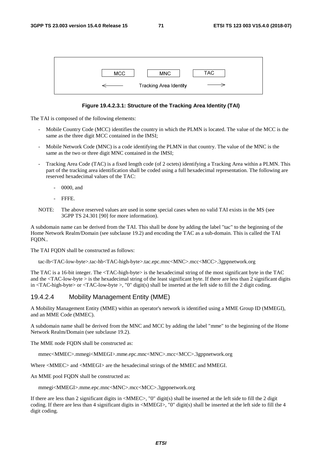| <b>MCC</b> | <b>MNC</b>                    | TAC. |
|------------|-------------------------------|------|
|            | <b>Tracking Area Identity</b> |      |

#### **Figure 19.4.2.3.1: Structure of the Tracking Area Identity (TAI)**

The TAI is composed of the following elements:

- Mobile Country Code (MCC) identifies the country in which the PLMN is located. The value of the MCC is the same as the three digit MCC contained in the IMSI;
- Mobile Network Code (MNC) is a code identifying the PLMN in that country. The value of the MNC is the same as the two or three digit MNC contained in the IMSI;
- Tracking Area Code (TAC) is a fixed length code (of 2 octets) identifying a Tracking Area within a PLMN. This part of the tracking area identification shall be coded using a full hexadecimal representation. The following are reserved hexadecimal values of the TAC:
	- 0000, and
	- FFFE.
- NOTE: The above reserved values are used in some special cases when no valid TAI exists in the MS (see 3GPP TS 24.301 [90] for more information).

A subdomain name can be derived from the TAI. This shall be done by adding the label "tac" to the beginning of the Home Network Realm/Domain (see subclause 19.2) and encoding the TAC as a sub-domain. This is called the TAI FQDN..

The TAI FQDN shall be constructed as follows:

tac-lb<TAC-low-byte>.tac-hb<TAC-high-byte>.tac.epc.mnc<MNC>.mcc<MCC>.3gppnetwork.org

The TAC is a 16-bit integer. The <TAC-high-byte> is the hexadecimal string of the most significant byte in the TAC and the <TAC-low-byte > is the hexadecimal string of the least significant byte. If there are less than 2 significant digits in <TAC-high-byte> or <TAC-low-byte >, "0" digit(s) shall be inserted at the left side to fill the 2 digit coding.

#### 19.4.2.4 Mobility Management Entity (MME)

A Mobility Management Entity (MME) within an operator's network is identified using a MME Group ID (MMEGI), and an MME Code (MMEC).

A subdomain name shall be derived from the MNC and MCC by adding the label "mme" to the beginning of the Home Network Realm/Domain (see subclause 19.2).

The MME node FODN shall be constructed as:

mmec<MMEC>.mmegi<MMEGI>.mme.epc.mnc<MNC>.mcc<MCC>.3gppnetwork.org

Where <MMEC> and <MMEGI> are the hexadecimal strings of the MMEC and MMEGI.

An MME pool FODN shall be constructed as:

mmegi<MMEGI>.mme.epc.mnc<MNC>.mcc<MCC>.3gppnetwork.org

If there are less than 2 significant digits in <MMEC>, "0" digit(s) shall be inserted at the left side to fill the 2 digit coding. If there are less than 4 significant digits in <MMEGI>, "0" digit(s) shall be inserted at the left side to fill the 4 digit coding.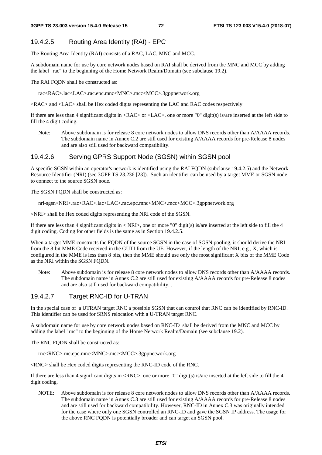#### 19.4.2.5 Routing Area Identity (RAI) - EPC

The Routing Area Identity (RAI) consists of a RAC, LAC, MNC and MCC.

A subdomain name for use by core network nodes based on RAI shall be derived from the MNC and MCC by adding the label "rac" to the beginning of the Home Network Realm/Domain (see subclause 19.2).

The RAI FODN shall be constructed as:

rac<RAC>.lac<LAC>.rac.epc.mnc<MNC>.mcc<MCC>.3gppnetwork.org

<RAC> and <LAC> shall be Hex coded digits representing the LAC and RAC codes respectively.

If there are less than 4 significant digits in <RAC> or <LAC>, one or more "0" digit(s) is/are inserted at the left side to fill the 4 digit coding.

Note: Above subdomain is for release 8 core network nodes to allow DNS records other than A/AAAA records. The subdomain name in Annex C.2 are still used for existing A/AAAA records for pre-Release 8 nodes and are also still used for backward compatibility.

#### 19.4.2.6 Serving GPRS Support Node (SGSN) within SGSN pool

A specific SGSN within an operator's network is identified using the RAI FQDN (subclause 19.4.2.5) and the Network Resource Identifier (NRI) (see 3GPP TS 23.236 [23]). Such an identifier can be used by a target MME or SGSN node to connect to the source SGSN node.

The SGSN FQDN shall be constructed as:

nri-sgsn<NRI>.rac<RAC>.lac<LAC>.rac.epc.mnc<MNC>.mcc<MCC>.3gppnetwork.org

<NRI> shall be Hex coded digits representing the NRI code of the SGSN.

If there are less than 4 significant digits in  $\langle NRI \rangle$ , one or more "0" digit(s) is/are inserted at the left side to fill the 4 digit coding. Coding for other fields is the same as in Section 19.4.2.5.

When a target MME constructs the FODN of the source SGSN in the case of SGSN pooling, it should derive the NRI from the 8-bit MME Code received in the GUTI from the UE. However, if the length of the NRI, e.g., X, which is configured in the MME is less than 8 bits, then the MME should use only the most significant X bits of the MME Code as the NRI within the SGSN FQDN.

Note: Above subdomain is for release 8 core network nodes to allow DNS records other than A/AAAA records. The subdomain name in Annex C.2 are still used for existing A/AAAA records for pre-Release 8 nodes and are also still used for backward compatibility. .

#### 19.4.2.7 Target RNC-ID for U-TRAN

In the special case of a UTRAN target RNC a possible SGSN that can control that RNC can be identified by RNC-ID. This identifier can be used for SRNS relocation with a U-TRAN target RNC.

A subdomain name for use by core network nodes based on RNC-ID shall be derived from the MNC and MCC by adding the label "rnc" to the beginning of the Home Network Realm/Domain (see subclause 19.2).

The RNC FQDN shall be constructed as:

rnc<RNC>.rnc.epc.mnc<MNC>.mcc<MCC>.3gppnetwork.org

<RNC> shall be Hex coded digits representing the RNC-ID code of the RNC.

If there are less than 4 significant digits in  $\langle RNC \rangle$ , one or more "0" digit(s) is/are inserted at the left side to fill the 4 digit coding.

NOTE: Above subdomain is for release 8 core network nodes to allow DNS records other than A/AAAA records. The subdomain name in Annex C.3 are still used for existing A/AAAA records for pre-Release 8 nodes and are still used for backward compatibility. However, RNC-ID in Annex C.3 was originally intended for the case where only one SGSN controlled an RNC-ID and gave the SGSN IP address. The usage for the above RNC FQDN is potentially broader and can target an SGSN pool.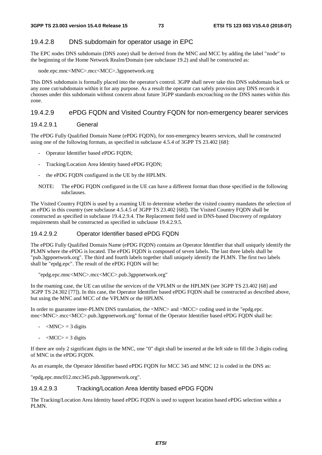### 19.4.2.8 DNS subdomain for operator usage in EPC

The EPC nodes DNS subdomain (DNS zone) shall be derived from the MNC and MCC by adding the label "node" to the beginning of the Home Network Realm/Domain (see subclause 19.2) and shall be constructed as:

#### node.epc.mnc<MNC>.mcc<MCC>.3gppnetwork.org

This DNS subdomain is formally placed into the operator's control. 3GPP shall never take this DNS subdomain back or any zone cut/subdomain within it for any purpose. As a result the operator can safely provision any DNS records it chooses under this subdomain without concern about future 3GPP standards encroaching on the DNS names within this zone.

#### 19.4.2.9 ePDG FQDN and Visited Country FQDN for non-emergency bearer services

#### 19.4.2.9.1 General

The ePDG Fully Qualified Domain Name (ePDG FQDN), for non-emergency bearers services, shall be constructed using one of the following formats, as specified in subclause 4.5.4 of 3GPP TS 23.402 [68]:

- Operator Identifier based ePDG FODN;
- Tracking/Location Area Identity based ePDG FQDN;
- the ePDG FQDN configured in the UE by the HPLMN.
- NOTE: The ePDG FQDN configured in the UE can have a different format than those specified in the following subclauses.

The Visited Country FQDN is used by a roaming UE to determine whether the visited country mandates the selection of an ePDG in this country (see subclause 4.5.4.5 of 3GPP TS 23.402 [68]). The Visited Country FQDN shall be constructed as specified in subclause 19.4.2.9.4. The Replacement field used in DNS-based Discovery of regulatory requirements shall be constructed as specified in subclause 19.4.2.9.5.

#### 19.4.2.9.2 Operator Identifier based ePDG FQDN

The ePDG Fully Qualified Domain Name (ePDG FQDN) contains an Operator Identifier that shall uniquely identify the PLMN where the ePDG is located. The ePDG FQDN is composed of seven labels. The last three labels shall be "pub.3gppnetwork.org". The third and fourth labels together shall uniquely identify the PLMN. The first two labels shall be "epdg.epc". The result of the ePDG FODN will be:

#### "epdg.epc.mnc<MNC>.mcc<MCC>.pub.3gppnetwork.org"

In the roaming case, the UE can utilise the services of the VPLMN or the HPLMN (see 3GPP TS 23.402 [68] and 3GPP TS 24.302 [77]). In this case, the Operator Identifier based ePDG FQDN shall be constructed as described above, but using the MNC and MCC of the VPLMN or the HPLMN.

In order to guarantee inter-PLMN DNS translation, the  $\langle MNC \rangle$  and  $\langle MCC \rangle$  coding used in the "epdg.epc. mnc<MNC>.mcc<MCC>.pub.3gppnetwork.org" format of the Operator Identifier based ePDG FQDN shall be:

- $-MNC$  = 3 digits
- $-MCC$  = 3 digits

If there are only 2 significant digits in the MNC, one "0" digit shall be inserted at the left side to fill the 3 digits coding of MNC in the ePDG FQDN.

As an example, the Operator Identifier based ePDG FQDN for MCC 345 and MNC 12 is coded in the DNS as:

"epdg.epc.mnc012.mcc345.pub.3gppnetwork.org".

#### 19.4.2.9.3 Tracking/Location Area Identity based ePDG FQDN

The Tracking/Location Area Identity based ePDG FQDN is used to support location based ePDG selection within a PLMN.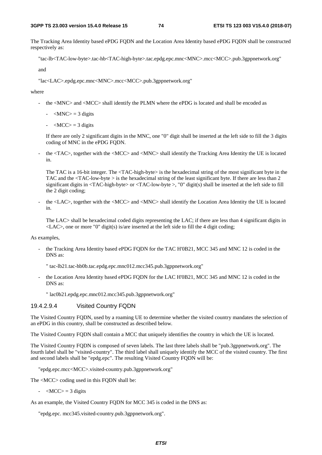The Tracking Area Identity based ePDG FQDN and the Location Area Identity based ePDG FQDN shall be constructed respectively as:

"tac-lb<TAC-low-byte>.tac-hb<TAC-high-byte>.tac.epdg.epc.mnc<MNC>.mcc<MCC>.pub.3gppnetwork.org"

and

"lac<LAC>.epdg.epc.mnc<MNC>.mcc<MCC>.pub.3gppnetwork.org"

where

- the <MNC> and <MCC> shall identify the PLMN where the ePDG is located and shall be encoded as
	- $-MNC$  = 3 digits
	- $-MCC$  = 3 digits

 If there are only 2 significant digits in the MNC, one "0" digit shall be inserted at the left side to fill the 3 digits coding of MNC in the ePDG FODN.

the <TAC>, together with the <MCC> and <MNC> shall identify the Tracking Area Identity the UE is located in.

The TAC is a 16-bit integer. The <TAC-high-byte> is the hexadecimal string of the most significant byte in the TAC and the <TAC-low-byte > is the hexadecimal string of the least significant byte. If there are less than 2 significant digits in <TAC-high-byte> or <TAC-low-byte >, "0" digit(s) shall be inserted at the left side to fill the 2 digit coding;

the <LAC>, together with the <MCC> and <MNC> shall identify the Location Area Identity the UE is located in.

The LAC> shall be hexadecimal coded digits representing the LAC; if there are less than 4 significant digits in  $\langle LAC \rangle$ , one or more "0" digit(s) is/are inserted at the left side to fill the 4 digit coding;

As examples,

- the Tracking Area Identity based ePDG FQDN for the TAC H'0B21, MCC 345 and MNC 12 is coded in the DNS as:
	- " tac-lb21.tac-hb0b.tac.epdg.epc.mnc012.mcc345.pub.3gppnetwork.org"
- the Location Area Identity based ePDG FQDN for the LAC H'0B21, MCC 345 and MNC 12 is coded in the DNS as:

" lac0b21.epdg.epc.mnc012.mcc345.pub.3gppnetwork.org"

#### 19.4.2.9.4 Visited Country FQDN

The Visited Country FQDN, used by a roaming UE to determine whether the visited country mandates the selection of an ePDG in this country, shall be constructed as described below.

The Visited Country FQDN shall contain a MCC that uniquely identifies the country in which the UE is located.

The Visited Country FQDN is composed of seven labels. The last three labels shall be "pub.3gppnetwork.org". The fourth label shall be "visited-country". The third label shall uniquely identify the MCC of the visited country. The first and second labels shall be "epdg.epc". The resulting Visited Country FQDN will be:

"epdg.epc.mcc<MCC>.visited-country.pub.3gppnetwork.org"

The <MCC> coding used in this FQDN shall be:

 $-MCC$  = 3 digits

As an example, the Visited Country FQDN for MCC 345 is coded in the DNS as:

"epdg.epc. mcc345.visited-country.pub.3gppnetwork.org".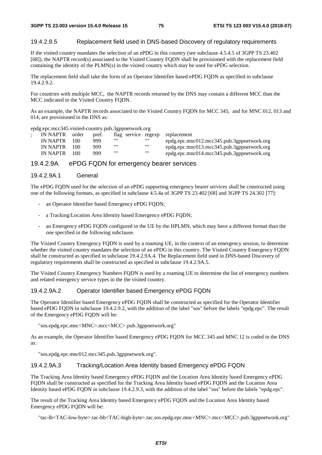#### 19.4.2.9.5 Replacement field used in DNS-based Discovery of regulatory requirements

If the visited country mandates the selection of an ePDG in this country (see subclause 4.5.4.5 of 3GPP TS 23.402 [68]), the NAPTR record(s) associated to the Visited Country FQDN shall be provisioned with the replacement field containing the identity of the PLMN(s) in the visited country which may be used for ePDG selection.

The replacement field shall take the form of an Operator Identifier based ePDG FQDN as specified in subclause 19.4.2.9.2.

For countries with multiple MCC, the NAPTR records returned by the DNS may contain a different MCC than the MCC indicated in the Visited Country FQDN.

As an example, the NAPTR records associated to the Visited Country FQDN for MCC 345, and for MNC 012, 013 and 014, are provisioned in the DNS as:

epdg.epc.mcc345.visited-country.pub.3gppnetwork.org

| IN NAPTR | order | pref. |      |      | flag service regexp replacement            |
|----------|-------|-------|------|------|--------------------------------------------|
| IN NAPTR | 100   | 999   | ,,,, | ,,,, | epdg.epc.mnc012.mcc345.pub.3gppnetwork.org |
| IN NAPTR | 100   | 999   | ,,,, | ,,,, | epdg.epc.mnc013.mcc345.pub.3gppnetwork.org |
| IN NAPTR | 100   | 999   | ,,,, | 1111 | epdg.epc.mnc014.mcc345.pub.3gppnetwork.org |

#### 19.4.2.9A ePDG FQDN for emergency bearer services

#### 19.4.2.9A.1 General

The ePDG FODN used for the selection of an ePDG supporting emergency bearer services shall be constructed using one of the following formats, as specified in subclause 4.5.4a of 3GPP TS 23.402 [68] and 3GPP TS 24.302 [77]:

- an Operator Identifier based Emergency ePDG FQDN;
- a Tracking/Location Area Identity based Emergency ePDG FQDN;
- an Emergency ePDG FQDN configured in the UE by the HPLMN, which may have a different format than the one specified in the following subclause.

The Visited Country Emergency FQDN is used by a roaming UE, in the context of an emergency session, to determine whether the visited country mandates the selection of an ePDG in this country. The Visited Country Emergency FQDN shall be constructed as specified in subclause 19.4.2.9A.4. The Replacement field used in DNS-based Discovery of regulatory requirements shall be constructed as specified in subclause 19.4.2.9A.5.

The Visited Country Emergency Numbers FQDN is used by a roaming UE to determine the list of emergency numbers and related emergency service types in the the visited country.

#### 19.4.2.9A.2 Operator Identifier based Emergency ePDG FQDN

The Operator Identifier based Emergency ePDG FQDN shall be constructed as specified for the Operator Identifier based ePDG FQDN in subclause 19.4.2.9.2, with the addition of the label "sos" before the labels "epdg.epc". The result of the Emergency ePDG FQDN will be:

"sos.epdg.epc.mnc<MNC>.mcc<MCC>.pub.3gppnetwork.org"

As an example, the Operator Identifier based Emergency ePDG FQDN for MCC 345 and MNC 12 is coded in the DNS as:

"sos.epdg.epc.mnc012.mcc345.pub.3gppnetwork.org".

#### 19.4.2.9A.3 Tracking/Location Area Identity based Emergency ePDG FQDN

The Tracking Area Identity based Emergency ePDG FQDN and the Location Area Identity based Emergency ePDG FQDN shall be constructed as specified for the Tracking Area Identity based ePDG FQDN and the Location Area Identity based ePDG FQDN in subclause 19.4.2.9.3, with the addition of the label "sos" before the labels "epdg.epc".

The result of the Tracking Area Identity based Emergency ePDG FQDN and the Location Area Identity based Emergency ePDG FQDN will be:

"tac-lb<TAC-low-byte>.tac-hb<TAC-high-byte>.tac.sos.epdg.epc.mnc<MNC>.mcc<MCC>.pub.3gppnetwork.org"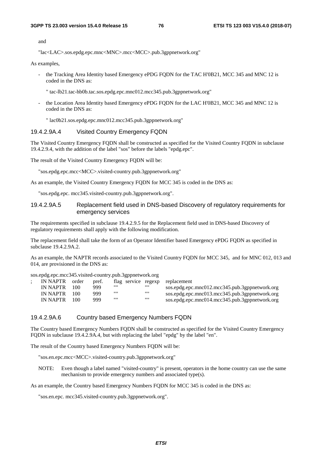and

"lac<LAC>.sos.epdg.epc.mnc<MNC>.mcc<MCC>.pub.3gppnetwork.org"

As examples,

- the Tracking Area Identity based Emergency ePDG FQDN for the TAC H'0B21, MCC 345 and MNC 12 is coded in the DNS as:
	- " tac-lb21.tac-hb0b.tac.sos.epdg.epc.mnc012.mcc345.pub.3gppnetwork.org"
- the Location Area Identity based Emergency ePDG FQDN for the LAC H'0B21, MCC 345 and MNC 12 is coded in the DNS as:
	- " lac0b21.sos.epdg.epc.mnc012.mcc345.pub.3gppnetwork.org"

#### 19.4.2.9A.4 Visited Country Emergency FQDN

The Visited Country Emergency FQDN shall be constructed as specified for the Visited Country FQDN in subclause 19.4.2.9.4, with the addition of the label "sos" before the labels "epdg.epc".

The result of the Visited Country Emergency FQDN will be:

"sos.epdg.epc.mcc<MCC>.visited-country.pub.3gppnetwork.org"

As an example, the Visited Country Emergency FQDN for MCC 345 is coded in the DNS as:

"sos.epdg.epc. mcc345.visited-country.pub.3gppnetwork.org".

#### 19.4.2.9A.5 Replacement field used in DNS-based Discovery of regulatory requirements for emergency services

The requirements specified in subclause 19.4.2.9.5 for the Replacement field used in DNS-based Discovery of regulatory requirements shall apply with the following modification.

The replacement field shall take the form of an Operator Identifier based Emergency ePDG FQDN as specified in subclause 19.4.2.9A.2.

As an example, the NAPTR records associated to the Visited Country FQDN for MCC 345, and for MNC 012, 013 and 014, are provisioned in the DNS as:

| IN NAPTR order |       | pref. |      |      | flag service regexp replacement                |
|----------------|-------|-------|------|------|------------------------------------------------|
| IN NAPTR $100$ |       | 999   | ,,,, |      | sos.epdg.epc.mnc012.mcc345.pub.3gppnetwork.org |
| IN NAPTR       | - 100 | 999   | ,,,, | 1111 | sos.epdg.epc.mnc013.mcc345.pub.3gppnetwork.org |
| IN NAPTR       | 100   | 999   | ,,,, |      | sos.epdg.epc.mnc014.mcc345.pub.3gppnetwork.org |

#### 19.4.2.9A.6 Country based Emergency Numbers FQDN

The Country based Emergency Numbers FQDN shall be constructed as specified for the Visited Country Emergency FQDN in subclause 19.4.2.9A.4, but with replacing the label "epdg" by the label "en".

The result of the Country based Emergency Numbers FQDN will be:

"sos.en.epc.mcc<MCC>.visited-country.pub.3gppnetwork.org"

NOTE: Even though a label named "visited-country" is present, operators in the home country can use the same mechanism to provide emergency numbers and associated type(s).

As an example, the Country based Emergency Numbers FQDN for MCC 345 is coded in the DNS as:

"sos.en.epc. mcc345.visited-country.pub.3gppnetwork.org".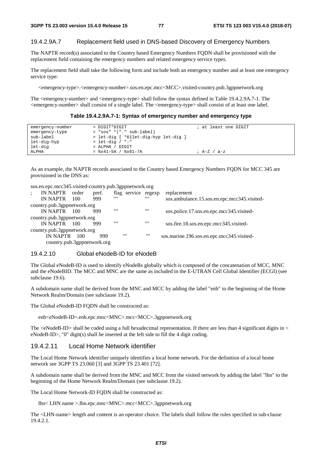#### 19.4.2.9A.7 Replacement field used in DNS-based Discovery of Emergency Numbers

The NAPTR record(s) associated to the Country based Emergency Numbers FQDN shall be provisioned with the replacement field containing the emergency numbers and related emergency service types.

The replacement field shall take the following form and include both an emergency number and at least one emergency service type:

<emergency-type>.<emergency-number>.sos.en.epc.mcc<MCC>.visited-country.pub.3gppnetwork.org

The <emergency-number> and <emergency-type> shall follow the syntax defined in Table 19.4.2.9A.7-1. The <emergency-number> shall consist of a single label. The <emergency-type> shall consist of at least one label.

#### **Table 19.4.2.9A.7-1: Syntax of emergency number and emergency type**

| emergency-number<br>emergency-type | $=$ DIGIT*DIGIT<br>$= "sos" * ("." sub-label)$ | ; at least one DIGIT |
|------------------------------------|------------------------------------------------|----------------------|
| sub-label                          | = let-dig [ *61let-dig-hyp let-dig ]           |                      |
| let-dig-hyp                        | $=$ let-dig / "-"                              |                      |
| let-dig                            | $=$ ALPHA / DIGIT                              |                      |
| ALPHA                              | $=$ $x41-5A$ / $x61-7A$                        | ; A-Z / a-z          |

As an example, the NAPTR records associated to the Country based Emergency Numbers FODN for MCC 345 are provisioned in the DNS as:

| sos.en.epc.mcc345.visited-country.pub.3gppnetwork.org |  |
|-------------------------------------------------------|--|
|                                                       |  |

| $\ddot{\cdot}$ | IN NAPTR                    | order | pref. | flag service regexp |      | replacement                                 |
|----------------|-----------------------------|-------|-------|---------------------|------|---------------------------------------------|
|                | IN NAPTR                    | 100   | 999   | ,,,,                | ,,,, | sos.ambulance.15.sos.en.epc.mcc345.visited- |
|                | country.pub.3gppnetwork.org |       |       |                     |      |                                             |
|                | IN NAPTR $100$              |       | 999   | 1111                | ,,,, | sos.police.17.sos.en.epc.mcc345.visited-    |
|                | country.pub.3gppnetwork.org |       |       |                     |      |                                             |
|                | IN NAPTR 100                |       | 999   | 1111                | 1111 | sos.fire.18.sos.en.epc.mcc345.visited-      |
|                | country.pub.3gppnetwork.org |       |       |                     |      |                                             |
|                | <b>IN NAPTR</b>             | 100   | 999   | 1111                | 1111 | sos.marine.196.sos.en.epc.mcc345.visited-   |
|                | country.pub.3gppnetwork.org |       |       |                     |      |                                             |
|                |                             |       |       |                     |      |                                             |

#### 19.4.2.10 Global eNodeB-ID for eNodeB

The Global eNodeB-ID is used to identify eNodeBs globally which is composed of the concatenation of MCC, MNC and the eNodeBID. The MCC and MNC are the same as included in the E-UTRAN Cell Global Identifier (ECGI) (see subclause 19.6).

A subdomain name shall be derived from the MNC and MCC by adding the label "enb" to the beginning of the Home Network Realm/Domain (see subclause 19.2).

The Global eNodeB-ID FQDN shall be constructed as:

enb<eNodeB-ID>.enb.epc.mnc<MNC>.mcc<MCC>.3gppnetwork.org

The  $\leq$ NodeB-ID $>$ shall be coded using a full hexadecimal representation. If there are less than 4 significant digits in  $\leq$ eNodeB-ID>, "0" digit(s) shall be inserted at the left side to fill the 4 digit coding.

#### 19.4.2.11 Local Home Network identifier

The Local Home Network identifier uniquely identifies a local home network. For the definition of a local home network see 3GPP TS 23.060 [3] and 3GPP TS 23.401 [72].

A subdomain name shall be derived from the MNC and MCC from the visited network by adding the label "lhn" to the beginning of the Home Network Realm/Domain (see subclause 19.2).

The Local Home Network-ID FQDN shall be constructed as:

lhn< LHN name >.lhn.epc.mnc<MNC>.mcc<MCC>.3gppnetwork.org

The <LHN-name> length and content is an operator choice. The labels shall follow the rules specified in sub-clause 19.4.2.1.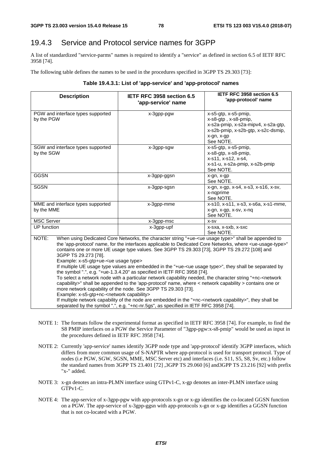# 19.4.3 Service and Protocol service names for 3GPP

A list of standardized "service-parms" names is required to identify a "service" as defined in section 6.5 of IETF RFC 3958 [74].

The following table defines the names to be used in the procedures specified in 3GPP TS 29.303 [73]:

| Table 19.4.3.1: List of 'app-service' and 'app-protocol' names |  |  |
|----------------------------------------------------------------|--|--|
|----------------------------------------------------------------|--|--|

| <b>Description</b>                                                                                                                           | IETF RFC 3958 section 6.5<br>'app-service' name                                                                                                                                                                                                                                                                                                                                                                                                                                                                                                                                                                                                                                                                                                                                                                                                                                                                                                                                                                                                                                    | IETF RFC 3958 section 6.5<br>'app-protocol' name                                                                                                      |  |  |  |
|----------------------------------------------------------------------------------------------------------------------------------------------|------------------------------------------------------------------------------------------------------------------------------------------------------------------------------------------------------------------------------------------------------------------------------------------------------------------------------------------------------------------------------------------------------------------------------------------------------------------------------------------------------------------------------------------------------------------------------------------------------------------------------------------------------------------------------------------------------------------------------------------------------------------------------------------------------------------------------------------------------------------------------------------------------------------------------------------------------------------------------------------------------------------------------------------------------------------------------------|-------------------------------------------------------------------------------------------------------------------------------------------------------|--|--|--|
| PGW and interface types supported<br>by the PGW                                                                                              | x-3gpp-pgw                                                                                                                                                                                                                                                                                                                                                                                                                                                                                                                                                                                                                                                                                                                                                                                                                                                                                                                                                                                                                                                                         | x-s5-gtp, x-s5-pmip,<br>x-s8-gtp, x-s8-pmip,<br>x-s2a-pmip, x-s2a-mipv4, x-s2a-gtp,<br>x-s2b-pmip, x-s2b-gtp, x-s2c-dsmip,<br>x-gn, x-gp<br>See NOTE. |  |  |  |
| SGW and interface types supported<br>by the SGW                                                                                              | x-3gpp-sgw                                                                                                                                                                                                                                                                                                                                                                                                                                                                                                                                                                                                                                                                                                                                                                                                                                                                                                                                                                                                                                                                         | x-s5-gtp, x-s5-pmip,<br>x-s8-gtp, x-s8-pmip,<br>x-s11, x-s12, x-s4,<br>x-s1-u, x-s2a-pmip, x-s2b-pmip<br>See NOTE.                                    |  |  |  |
| <b>GGSN</b>                                                                                                                                  | x-3gpp-ggsn                                                                                                                                                                                                                                                                                                                                                                                                                                                                                                                                                                                                                                                                                                                                                                                                                                                                                                                                                                                                                                                                        | x-gn, x-gp<br>See NOTE.                                                                                                                               |  |  |  |
| <b>SGSN</b>                                                                                                                                  | x-3gpp-sgsn                                                                                                                                                                                                                                                                                                                                                                                                                                                                                                                                                                                                                                                                                                                                                                                                                                                                                                                                                                                                                                                                        | x-gn, x-gp, x-s4, x-s3, x-s16, x-sv,<br>x-ngprime<br>See NOTE.                                                                                        |  |  |  |
| MME and interface types supported<br>by the MME                                                                                              | x-3gpp-mme                                                                                                                                                                                                                                                                                                                                                                                                                                                                                                                                                                                                                                                                                                                                                                                                                                                                                                                                                                                                                                                                         | x-s10, x-s11, x-s3, x-s6a, x-s1-mme,<br>x-gn, x-gp, x-sv, x-nq<br>See NOTE.                                                                           |  |  |  |
| <b>MSC Server</b>                                                                                                                            | x-3gpp-msc                                                                                                                                                                                                                                                                                                                                                                                                                                                                                                                                                                                                                                                                                                                                                                                                                                                                                                                                                                                                                                                                         | X-SV                                                                                                                                                  |  |  |  |
| <b>UP</b> function                                                                                                                           | x-3gpp-upf                                                                                                                                                                                                                                                                                                                                                                                                                                                                                                                                                                                                                                                                                                                                                                                                                                                                                                                                                                                                                                                                         | x-sxa, x-sxb, x-sxc<br>See NOTE.                                                                                                                      |  |  |  |
| NOTE:<br>3GPP TS 29.273 [78].<br>Example: x-s5-gtp+ue- <ue type="" usage=""><br/>Example: x-s5-gtp+nc-<network capability=""></network></ue> | When using Dedicated Core Networks, the character string "+ue- <ue type="" usage="">" shall be appended to<br/>the 'app-protocol' name, for the interfaces applicable to Dedicated Core Networks, where <ue-usage-type>"<br/>contains one or more UE usage type values. See 3GPP TS 29.303 [73], 3GPP TS 29.272 [108] and<br/>If multiple UE usage type values are embedded in the "+ue-<ue type="" usage="">", they shall be separated by<br/>the symbol ".", e.g. "+ue-1.3.4.20" as specified in IETF RFC 3958 [74].<br/>To select a network node with a particular network capability needed, the character string "+nc-<network<br>capability&gt;" shall be appended to the 'app-protocol' name, where &lt; network capability &gt; contains one or<br/>more network capability of the node. See 3GPP TS 29.303 [73].<br/>If multiple network capability of the node are embedded in the "+nc-<network capability="">", they shall be<br/>separated by the symbol ".", e.g. "+nc-nr.5gs", as specified in IETF RFC 3958 [74].</network></network<br></ue></ue-usage-type></ue> |                                                                                                                                                       |  |  |  |

- NOTE 1: The formats follow the experimental format as specified in IETF RFC 3958 [74]. For example, to find the S8 PMIP interfaces on a PGW the Service Parameter of "3gpp-pgw:x-s8-pmip" would be used as input in the procedures defined in IETF RFC 3958 [74].
- NOTE 2: Currently 'app-service' names identify 3GPP node type and 'app-protocol' identify 3GPP interfaces, which differs from more common usage of S-NAPTR where app-protocol is used for transport protocol. Type of nodes (i.e PGW, SGW, SGSN, MME, MSC Server etc) and interfaces (i.e. S11, S5, S8, Sv, etc.) follow the standard names from 3GPP TS 23.401 [72] ,3GPP TS 29.060 [6] and3GPP TS 23.216 [92] with prefix "x-" added.
- NOTE 3: x-gn denotes an intra-PLMN interface using GTPv1-C, x-gp denotes an inter-PLMN interface using GTP<sub>v1</sub>-C.
- NOTE 4: The app-service of x-3gpp-pgw with app-protocols x-gn or x-gp identifies the co-located GGSN function on a PGW. The app-service of x-3gpp-ggsn with app-protocols x-gn or x-gp identifies a GGSN function that is not co-located with a PGW.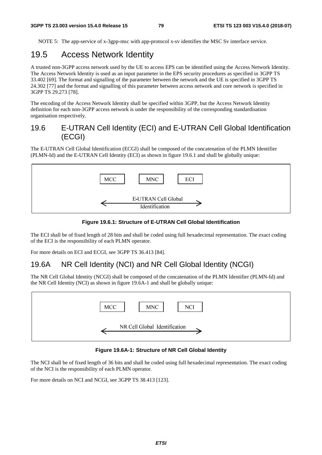NOTE 5: The app-service of x-3gpp-msc with app-protocol x-sv identifies the MSC Sv interface service.

## 19.5 Access Network Identity

A trusted non-3GPP access network used by the UE to access EPS can be identified using the Access Network Identity. The Access Network Identity is used as an input parameter in the EPS security procedures as specified in 3GPP TS 33.402 [69]. The format and signalling of the parameter between the network and the UE is specified in 3GPP TS 24.302 [77] and the format and signalling of this parameter between access network and core network is specified in 3GPP TS 29.273 [78].

The encoding of the Access Network Identity shall be specified within 3GPP, but the Access Network Identity definition for each non-3GPP access network is under the responsibility of the corresponding standardisation organisation respectively.

### 19.6 E-UTRAN Cell Identity (ECI) and E-UTRAN Cell Global Identification (ECGI)

The E-UTRAN Cell Global Identification (ECGI) shall be composed of the concatenation of the PLMN Identifier (PLMN-Id) and the E-UTRAN Cell Identity (ECI) as shown in figure 19.6.1 and shall be globally unique:





The ECI shall be of fixed length of 28 bits and shall be coded using full hexadecimal representation. The exact coding of the ECI is the responsibility of each PLMN operator.

For more details on ECI and ECGI, see 3GPP TS 36.413 [84].

### 19.6A NR Cell Identity (NCI) and NR Cell Global Identity (NCGI)

The NR Cell Global Identity (NCGI) shall be composed of the concatenation of the PLMN Identifier (PLMN-Id) and the NR Cell Identity (NCI) as shown in figure 19.6A-1 and shall be globally unique:



**Figure 19.6A-1: Structure of NR Cell Global Identity** 

The NCI shall be of fixed length of 36 bits and shall be coded using full hexadecimal representation. The exact coding of the NCI is the responsibility of each PLMN operator.

For more details on NCI and NCGI, see 3GPP TS 38.413 [123].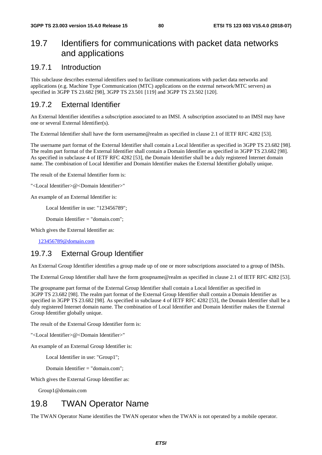# 19.7 Identifiers for communications with packet data networks and applications

### 19.7.1 Introduction

This subclause describes external identifiers used to facilitate communications with packet data networks and applications (e.g. Machine Type Communication (MTC) applications on the external network/MTC servers) as specified in 3GPP TS 23.682 [98], 3GPP TS 23.501 [119] and 3GPP TS 23.502 [120].

### 19.7.2 External Identifier

An External Identifier identifies a subscription associated to an IMSI. A subscription associated to an IMSI may have one or several External Identifier(s).

The External Identifier shall have the form username@realm as specified in clause 2.1 of IETF RFC 4282 [53].

The username part format of the External Identifier shall contain a Local Identifier as specified in 3GPP TS 23.682 [98]. The realm part format of the External Identifier shall contain a Domain Identifier as specified in 3GPP TS 23.682 [98]. As specified in subclause 4 of IETF RFC 4282 [53], the Domain Identifier shall be a duly registered Internet domain name. The combination of Local Identifier and Domain Identifier makes the External Identifier globally unique.

The result of the External Identifier form is:

"<Local Identifier>@<Domain Identifier>"

An example of an External Identifier is:

Local Identifier in use: "123456789";

Domain Identifier = "domain.com";

Which gives the External Identifier as:

[123456789@domain.com](mailto:123456789@domain.com)

### 19.7.3 External Group Identifier

An External Group Identifier identifies a group made up of one or more subscriptions associated to a group of IMSIs.

The External Group Identifier shall have the form groupname@realm as specified in clause 2.1 of IETF RFC 4282 [53].

The groupname part format of the External Group Identifier shall contain a Local Identifier as specified in 3GPP TS 23.682 [98]. The realm part format of the External Group Identifier shall contain a Domain Identifier as specified in 3GPP TS 23.682 [98]. As specified in subclause 4 of IETF RFC 4282 [53], the Domain Identifier shall be a duly registered Internet domain name. The combination of Local Identifier and Domain Identifier makes the External Group Identifier globally unique.

The result of the External Group Identifier form is:

"<Local Identifier>@<Domain Identifier>"

An example of an External Group Identifier is:

Local Identifier in use: "Group1";

Domain Identifier = "domain.com";

Which gives the External Group Identifier as:

Group1@domain.com

# 19.8 TWAN Operator Name

The TWAN Operator Name identifies the TWAN operator when the TWAN is not operated by a mobile operator.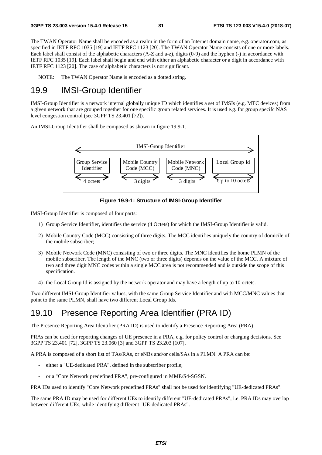The TWAN Operator Name shall be encoded as a realm in the form of an Internet domain name, e.g. operator.com, as specified in IETF RFC 1035 [19] and IETF RFC 1123 [20]. The TWAN Operator Name consists of one or more labels. Each label shall consist of the alphabetic characters (A-Z and a-z), digits (0-9) and the hyphen (-) in accordance with IETF RFC 1035 [19]. Each label shall begin and end with either an alphabetic character or a digit in accordance with IETF RFC 1123 [20]. The case of alphabetic characters is not significant.

NOTE: The TWAN Operator Name is encoded as a dotted string.

# 19.9 IMSI-Group Identifier

IMSI-Group Identifier is a network internal globally unique ID which identifies a set of IMSIs (e.g. MTC devices) from a given network that are grouped together for one specific group related services. It is used e.g. for group specifc NAS level congestion control (see 3GPP TS 23.401 [72]).

An IMSI-Group Identifier shall be composed as shown in figure 19.9-1.



**Figure 19.9-1: Structure of IMSI-Group Identifier** 

IMSI-Group Identifier is composed of four parts:

- 1) Group Service Identifier, identifies the service (4 Octets) for which the IMSI-Group Identifier is valid.
- 2) Mobile Country Code (MCC) consisting of three digits. The MCC identifies uniquely the country of domicile of the mobile subscriber;
- 3) Mobile Network Code (MNC) consisting of two or three digits. The MNC identifies the home PLMN of the mobile subscriber. The length of the MNC (two or three digits) depends on the value of the MCC. A mixture of two and three digit MNC codes within a single MCC area is not recommended and is outside the scope of this specification.
- 4) the Local Group Id is assigned by the network operator and may have a length of up to 10 octets.

Two different IMSI-Group Identifier values, with the same Group Service Identifier and with MCC/MNC values that point to the same PLMN, shall have two different Local Group Ids.

# 19.10 Presence Reporting Area Identifier (PRA ID)

The Presence Reporting Area Identifier (PRA ID) is used to identify a Presence Reporting Area (PRA).

PRAs can be used for reporting changes of UE presence in a PRA, e.g. for policy control or charging decisions. See 3GPP TS 23.401 [72], 3GPP TS 23.060 [3] and 3GPP TS 23.203 [107].

A PRA is composed of a short list of TAs/RAs, or eNBs and/or cells/SAs in a PLMN. A PRA can be:

- either a "UE-dedicated PRA", defined in the subscriber profile;
- or a "Core Network predefined PRA", pre-configured in MME/S4-SGSN.

PRA IDs used to identify "Core Network predefined PRAs" shall not be used for identifying "UE-dedicated PRAs".

The same PRA ID may be used for different UEs to identify different "UE-dedicated PRAs", i.e. PRA IDs may overlap between different UEs, while identifying different "UE-dedicated PRAs".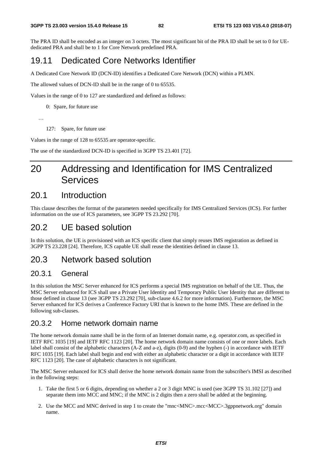The PRA ID shall be encoded as an integer on 3 octets. The most significant bit of the PRA ID shall be set to 0 for UEdedicated PRA and shall be to 1 for Core Network predefined PRA.

# 19.11 Dedicated Core Networks Identifier

A Dedicated Core Network ID (DCN-ID) identifies a Dedicated Core Network (DCN) within a PLMN.

The allowed values of DCN-ID shall be in the range of 0 to 65535.

Values in the range of 0 to 127 are standardized and defined as follows:

0: Spare, for future use

…

127: Spare, for future use

Values in the range of 128 to 65535 are operator-specific.

The use of the standardized DCN-ID is specified in 3GPP TS 23.401 [72].

# 20 Addressing and Identification for IMS Centralized Services

## 20.1 Introduction

This clause describes the format of the parameters needed specifically for IMS Centralized Services (ICS). For further information on the use of ICS parameters, see 3GPP TS 23.292 [70].

## 20.2 UE based solution

In this solution, the UE is provisioned with an ICS specific client that simply reuses IMS registration as defined in 3GPP TS 23.228 [24]. Therefore, ICS capable UE shall reuse the identities defined in clause 13.

## 20.3 Network based solution

### 20.3.1 General

In this solution the MSC Server enhanced for ICS performs a special IMS registration on behalf of the UE. Thus, the MSC Server enhanced for ICS shall use a Private User Identity and Temporary Public User Identity that are different to those defined in clause 13 (see 3GPP TS 23.292 [70], sub-clause 4.6.2 for more information). Furthermore, the MSC Server enhanced for ICS derives a Conference Factory URI that is known to the home IMS. These are defined in the following sub-clauses.

### 20.3.2 Home network domain name

The home network domain name shall be in the form of an Internet domain name, e.g. operator.com, as specified in IETF RFC 1035 [19] and IETF RFC 1123 [20]. The home network domain name consists of one or more labels. Each label shall consist of the alphabetic characters (A-Z and a-z), digits (0-9) and the hyphen (-) in accordance with IETF RFC 1035 [19]. Each label shall begin and end with either an alphabetic character or a digit in accordance with IETF RFC 1123 [20]. The case of alphabetic characters is not significant.

The MSC Server enhanced for ICS shall derive the home network domain name from the subscriber's IMSI as described in the following steps:

- 1. Take the first 5 or 6 digits, depending on whether a 2 or 3 digit MNC is used (see 3GPP TS 31.102 [27]) and separate them into MCC and MNC; if the MNC is 2 digits then a zero shall be added at the beginning.
- 2. Use the MCC and MNC derived in step 1 to create the "mnc<MNC>.mcc<MCC>.3gppnetwork.org" domain name.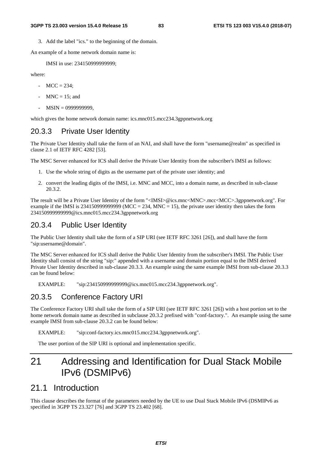3. Add the label "ics." to the beginning of the domain.

An example of a home network domain name is:

IMSI in use: 234150999999999;

where:

- $MCC = 234$ ;
- $MNC = 15$ ; and
- MSIN = 0999999999,

which gives the home network domain name: ics.mnc015.mcc234.3gppnetwork.org

### 20.3.3 Private User Identity

The Private User Identity shall take the form of an NAI, and shall have the form "username@realm" as specified in clause 2.1 of IETF RFC 4282 [53].

The MSC Server enhanced for ICS shall derive the Private User Identity from the subscriber's IMSI as follows:

- 1. Use the whole string of digits as the username part of the private user identity; and
- 2. convert the leading digits of the IMSI, i.e. MNC and MCC, into a domain name, as described in sub-clause 20.3.2.

The result will be a Private User Identity of the form "<IMSI>@ics.mnc<MNC>.mcc<MCC>.3gppnetwork.org". For example if the IMSI is 2341509999999999 (MCC = 234, MNC = 15), the private user identity then takes the form 234150999999999@ics.mnc015.mcc234.3gppnetwork.org

### 20.3.4 Public User Identity

The Public User Identity shall take the form of a SIP URI (see IETF RFC 3261 [26]), and shall have the form "sip:username@domain".

The MSC Server enhanced for ICS shall derive the Public User Identity from the subscriber's IMSI. The Public User Identity shall consist of the string "sip:" appended with a username and domain portion equal to the IMSI derived Private User Identity described in sub-clause 20.3.3. An example using the same example IMSI from sub-clause 20.3.3 can be found below:

EXAMPLE: "sip:234150999999999@ics.mnc015.mcc234.3gppnetwork.org".

### 20.3.5 Conference Factory URI

The Conference Factory URI shall take the form of a SIP URI (see IETF RFC 3261 [26]) with a host portion set to the home network domain name as described in subclause 20.3.2 prefixed with "conf-factory.". An example using the same example IMSI from sub-clause 20.3.2 can be found below:

EXAMPLE: "sip:conf-factory.ics.mnc015.mcc234.3gppnetwork.org".

The user portion of the SIP URI is optional and implementation specific.

# 21 Addressing and Identification for Dual Stack Mobile IPv6 (DSMIPv6)

## 21.1 Introduction

This clause describes the format of the parameters needed by the UE to use Dual Stack Mobile IPv6 (DSMIPv6 as specified in 3GPP TS 23.327 [76] and 3GPP TS 23.402 [68].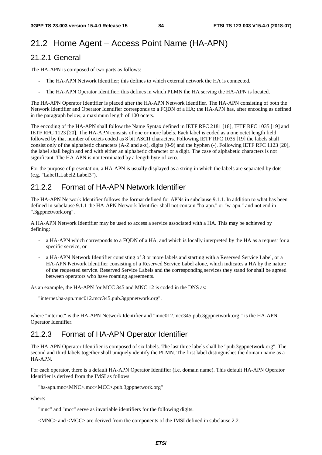# 21.2 Home Agent – Access Point Name (HA-APN)

### 21.2.1 General

The HA-APN is composed of two parts as follows:

- The HA-APN Network Identifier; this defines to which external network the HA is connected.
- The HA-APN Operator Identifier; this defines in which PLMN the HA serving the HA-APN is located.

The HA-APN Operator Identifier is placed after the HA-APN Network Identifier. The HA-APN consisting of both the Network Identifier and Operator Identifier corresponds to a FQDN of a HA; the HA-APN has, after encoding as defined in the paragraph below, a maximum length of 100 octets.

The encoding of the HA-APN shall follow the Name Syntax defined in IETF RFC 2181 [18], IETF RFC 1035 [19] and IETF RFC 1123 [20]. The HA-APN consists of one or more labels. Each label is coded as a one octet length field followed by that number of octets coded as 8 bit ASCII characters. Following IETF RFC 1035 [19] the labels shall consist only of the alphabetic characters (A-Z and a-z), digits (0-9) and the hyphen (-). Following IETF RFC 1123 [20], the label shall begin and end with either an alphabetic character or a digit. The case of alphabetic characters is not significant. The HA-APN is not terminated by a length byte of zero.

For the purpose of presentation, a HA-APN is usually displayed as a string in which the labels are separated by dots (e.g. "Label1.Label2.Label3").

## 21.2.2 Format of HA-APN Network Identifier

The HA-APN Network Identifier follows the format defined for APNs in subclause 9.1.1. In addition to what has been defined in subclause 9.1.1 the HA-APN Network Identifier shall not contain "ha-apn." or "w-apn." and not end in ".3gppnetwork.org".

A HA-APN Network Identifier may be used to access a service associated with a HA. This may be achieved by defining:

- a HA-APN which corresponds to a FQDN of a HA, and which is locally interpreted by the HA as a request for a specific service, or
- a HA-APN Network Identifier consisting of 3 or more labels and starting with a Reserved Service Label, or a HA-APN Network Identifier consisting of a Reserved Service Label alone, which indicates a HA by the nature of the requested service. Reserved Service Labels and the corresponding services they stand for shall be agreed between operators who have roaming agreements.

As an example, the HA-APN for MCC 345 and MNC 12 is coded in the DNS as:

"internet.ha-apn.mnc012.mcc345.pub.3gppnetwork.org".

where "internet" is the HA-APN Network Identifier and "mnc012.mcc345.pub.3gppnetwork.org " is the HA-APN Operator Identifier.

### 21.2.3 Format of HA-APN Operator Identifier

The HA-APN Operator Identifier is composed of six labels. The last three labels shall be "pub.3gppnetwork.org". The second and third labels together shall uniquely identify the PLMN. The first label distinguishes the domain name as a HA-APN.

For each operator, there is a default HA-APN Operator Identifier (i.e. domain name). This default HA-APN Operator Identifier is derived from the IMSI as follows:

"ha-apn.mnc<MNC>.mcc<MCC>.pub.3gppnetwork.org"

where:

"mnc" and "mcc" serve as invariable identifiers for the following digits.

<MNC> and <MCC> are derived from the components of the IMSI defined in subclause 2.2.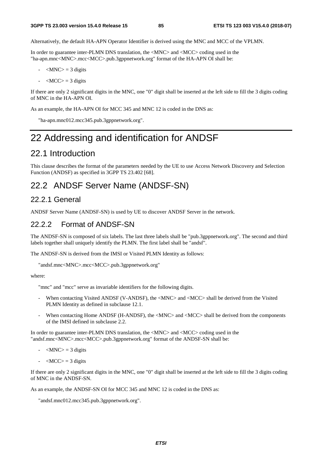Alternatively, the default HA-APN Operator Identifier is derived using the MNC and MCC of the VPLMN.

In order to guarantee inter-PLMN DNS translation, the <MNC> and <MCC> coding used in the "ha-apn.mnc<MNC>.mcc<MCC>.pub.3gppnetwork.org" format of the HA-APN OI shall be:

- $|MNC\rangle = 3$  digits
- $\langle MCC \rangle = 3$  digits

If there are only 2 significant digits in the MNC, one "0" digit shall be inserted at the left side to fill the 3 digits coding of MNC in the HA-APN OI.

As an example, the HA-APN OI for MCC 345 and MNC 12 is coded in the DNS as:

"ha-apn.mnc012.mcc345.pub.3gppnetwork.org".

# 22 Addressing and identification for ANDSF

## 22.1 Introduction

This clause describes the format of the parameters needed by the UE to use Access Network Discovery and Selection Function (ANDSF) as specified in 3GPP TS 23.402 [68].

## 22.2 ANDSF Server Name (ANDSF-SN)

### 22.2.1 General

ANDSF Server Name (ANDSF-SN) is used by UE to discover ANDSF Server in the network.

### 22.2.2 Format of ANDSF-SN

The ANDSF-SN is composed of six labels. The last three labels shall be "pub.3gppnetwork.org". The second and third labels together shall uniquely identify the PLMN. The first label shall be "andsf".

The ANDSF-SN is derived from the IMSI or Visited PLMN Identity as follows:

```
"andsf.mnc<MNC>.mcc<MCC>.pub.3gppnetwork.org"
```
where:

"mnc" and "mcc" serve as invariable identifiers for the following digits.

- When contacting Visited ANDSF (V-ANDSF), the <MNC> and <MCC> shall be derived from the Visited PLMN Identity as defined in subclause 12.1.
- When contacting Home ANDSF (H-ANDSF), the <MNC> and <MCC> shall be derived from the components of the IMSI defined in subclause 2.2.

In order to guarantee inter-PLMN DNS translation, the <MNC> and <MCC> coding used in the "andsf.mnc<MNC>.mcc<MCC>.pub.3gppnetwork.org" format of the ANDSF-SN shall be:

- $\langle MNC \rangle = 3$  digits
- $\langle MCC \rangle = 3$  digits

If there are only 2 significant digits in the MNC, one "0" digit shall be inserted at the left side to fill the 3 digits coding of MNC in the ANDSF-SN.

As an example, the ANDSF-SN OI for MCC 345 and MNC 12 is coded in the DNS as:

"andsf.mnc012.mcc345.pub.3gppnetwork.org".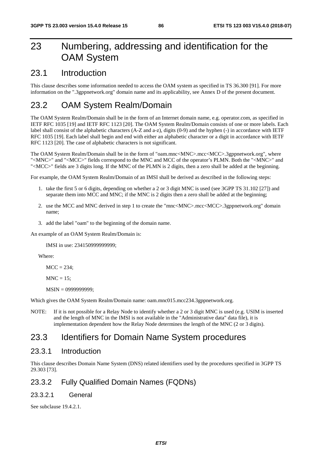# 23 Numbering, addressing and identification for the OAM System

## 23.1 Introduction

This clause describes some information needed to access the OAM system as specified in TS 36.300 [91]. For more information on the ".3gppnetwork.org" domain name and its applicability, see Annex D of the present document.

# 23.2 OAM System Realm/Domain

The OAM System Realm/Domain shall be in the form of an Internet domain name, e.g. operator.com, as specified in IETF RFC 1035 [19] and IETF RFC 1123 [20]. The OAM System Realm/Domain consists of one or more labels. Each label shall consist of the alphabetic characters (A-Z and a-z), digits (0-9) and the hyphen (-) in accordance with IETF RFC 1035 [19]. Each label shall begin and end with either an alphabetic character or a digit in accordance with IETF RFC 1123 [20]. The case of alphabetic characters is not significant.

The OAM System Realm/Domain shall be in the form of "oam.mnc<MNC>.mcc<MCC>.3gppnetwork.org", where "<MNC>" and "<MCC>" fields correspond to the MNC and MCC of the operator's PLMN. Both the "<MNC>" and "<MCC>" fields are 3 digits long. If the MNC of the PLMN is 2 digits, then a zero shall be added at the beginning.

For example, the OAM System Realm/Domain of an IMSI shall be derived as described in the following steps:

- 1. take the first 5 or 6 digits, depending on whether a 2 or 3 digit MNC is used (see 3GPP TS 31.102 [27]) and separate them into MCC and MNC; if the MNC is 2 digits then a zero shall be added at the beginning;
- 2. use the MCC and MNC derived in step 1 to create the "mnc<MNC>.mcc<MCC>.3gppnetwork.org" domain name;
- 3. add the label "oam" to the beginning of the domain name.

An example of an OAM System Realm/Domain is:

IMSI in use: 234150999999999;

Where:

 $MCC = 234$ :

 $MNC = 15$ ;

MSIN = 0999999999;

Which gives the OAM System Realm/Domain name: oam.mnc015.mcc234.3gppnetwork.org.

NOTE: If it is not possible for a Relay Node to identify whether a 2 or 3 digit MNC is used (e.g. USIM is inserted and the length of MNC in the IMSI is not available in the "Administrative data" data file), it is implementation dependent how the Relay Node determines the length of the MNC (2 or 3 digits).

## 23.3 Identifiers for Domain Name System procedures

### 23.3.1 Introduction

This clause describes Domain Name System (DNS) related identifiers used by the procedures specified in 3GPP TS 29.303 [73].

### 23.3.2 Fully Qualified Domain Names (FQDNs)

#### 23.3.2.1 General

See subclause 19.4.2.1.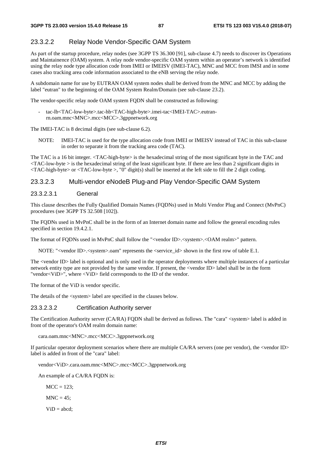#### 23.3.2.2 Relay Node Vendor-Specific OAM System

As part of the startup procedure, relay nodes (see 3GPP TS 36.300 [91], sub-clause 4.7) needs to discover its Operations and Maintainence (OAM) system. A relay node vendor-specific OAM system within an operator's network is identified using the relay node type allocation code from IMEI or IMEISV (IMEI-TAC), MNC and MCC from IMSI and in some cases also tracking area code information associated to the eNB serving the relay node.

A subdomain name for use by EUTRAN OAM system nodes shall be derived from the MNC and MCC by adding the label "eutran" to the beginning of the OAM System Realm/Domain (see sub-clause 23.2).

The vendor-specific relay node OAM system FQDN shall be constructed as following:

- tac-lb<TAC-low-byte>.tac-hb<TAC-high-byte>.imei-tac<IMEI-TAC>.eutranrn.oam.mnc<MNC>.mcc<MCC>.3gppnetwork.org

The IMEI-TAC is 8 decimal digits (see sub-clause 6.2).

NOTE: IMEI-TAC is used for the type allocation code from IMEI or IMEISV instead of TAC in this sub-clause in order to separate it from the tracking area code (TAC).

The TAC is a 16 bit integer. <TAC-high-byte> is the hexadecimal string of the most significant byte in the TAC and  $\langle$ TAC-low-byte  $>$  is the hexadecimal string of the least significant byte. If there are less than 2 significant digits in  $\langle$ TAC-high-byte> or  $\langle$ TAC-low-byte >, "0" digit(s) shall be inserted at the left side to fill the 2 digit coding.

#### 23.3.2.3 Multi-vendor eNodeB Plug-and Play Vendor-Specific OAM System

#### 23.3.2.3.1 General

This clause describes the Fully Qualified Domain Names (FQDNs) used in Multi Vendor Plug and Connect (MvPnC) procedures (see 3GPP TS 32.508 [102]).

The FQDNs used in MvPnC shall be in the form of an Internet domain name and follow the general encoding rules specified in section 19.4.2.1.

The format of FQDNs used in MvPnC shall follow the "<vendor ID>.<system>.<OAM realm>" pattern.

NOTE: "<vendor ID>.<system>.oam" represents the <service\_id> shown in the first row of table E.1.

The <vendor ID> label is optional and is only used in the operator deployments where multiple instances of a particular network entity type are not provided by the same vendor. If present, the <vendor ID> label shall be in the form "vendor<ViD>", where <ViD> field corresponds to the ID of the vendor.

The format of the ViD is vendor specific.

The details of the <system> label are specified in the clauses below.

#### 23.3.2.3.2 Certification Authority server

The Certification Authority server (CA/RA) FQDN shall be derived as follows. The "cara" <system> label is added in front of the operator's OAM realm domain name:

#### cara.oam.mnc<MNC>.mcc<MCC>.3gppnetwork.org

If particular operator deployment scenarios where there are multiple CA/RA servers (one per vendor), the <vendor ID> label is added in front of the "cara" label:

vendor<ViD>.cara.oam.mnc<MNC>.mcc<MCC>.3gppnetwork.org

An example of a CA/RA FODN is:

 $MCC = 123$ ;

 $MNC = 45$ ;

 $ViD = abcd$ ;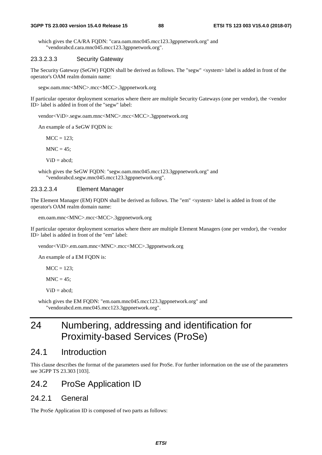which gives the CA/RA FQDN: "cara.oam.mnc045.mcc123.3gppnetwork.org" and "vendorabcd.cara.mnc045.mcc123.3gppnetwork.org".

#### 23.3.2.3.3 Security Gateway

The Security Gateway (SeGW) FQDN shall be derived as follows. The "segw" <system> label is added in front of the operator's OAM realm domain name:

segw.oam.mnc<MNC>.mcc<MCC>.3gppnetwork.org

If particular operator deployment scenarios where there are multiple Security Gateways (one per vendor), the <vendor ID> label is added in front of the "segw" label:

vendor<ViD>.segw.oam.mnc<MNC>.mcc<MCC>.3gppnetwork.org

An example of a SeGW FQDN is:

 $MCC = 123$ ;

 $MNC = 45$ ;

 $ViD = abcd$ ;

which gives the SeGW FQDN: "segw.oam.mnc045.mcc123.3gppnetwork.org" and "vendorabcd.segw.mnc045.mcc123.3gppnetwork.org".

#### 23.3.2.3.4 Element Manager

The Element Manager (EM) FQDN shall be derived as follows. The "em" <system> label is added in front of the operator's OAM realm domain name:

em.oam.mnc<MNC>.mcc<MCC>.3gppnetwork.org

If particular operator deployment scenarios where there are multiple Element Managers (one per vendor), the <vendor ID> label is added in front of the "em" label:

vendor<ViD>.em.oam.mnc<MNC>.mcc<MCC>.3gppnetwork.org

An example of a EM FQDN is:

 $MCC = 123$ :

 $MNC = 45$ :

 $ViD = abcd;$ 

which gives the EM FQDN: "em.oam.mnc045.mcc123.3gppnetwork.org" and "vendorabcd.em.mnc045.mcc123.3gppnetwork.org".

# 24 Numbering, addressing and identification for Proximity-based Services (ProSe)

### 24.1 Introduction

This clause describes the format of the parameters used for ProSe. For further information on the use of the parameters see 3GPP TS 23.303 [103].

## 24.2 ProSe Application ID

### 24.2.1 General

The ProSe Application ID is composed of two parts as follows: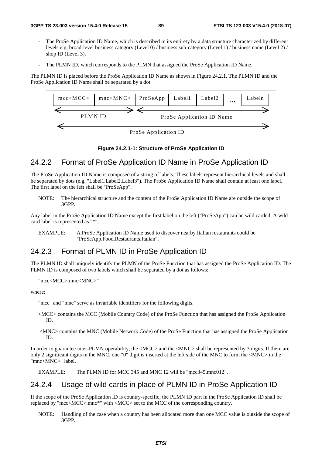- The ProSe Application ID Name, which is described in its entirety by a data structure characterized by different levels e.g, broad-level business category (Level 0) / business sub-category (Level 1) / business name (Level 2) / shop ID (Level 3).
- The PLMN ID, which corresponds to the PLMN that assigned the ProSe Application ID Name.

The PLMN ID is placed before the ProSe Application ID Name as shown in Figure 24.2.1. The PLMN ID and the ProSe Application ID Name shall be separated by a dot.



#### **Figure 24.2.1-1: Structure of ProSe Application ID**

### 24.2.2 Format of ProSe Application ID Name in ProSe Application ID

The ProSe Application ID Name is composed of a string of labels. These labels represent hierarchical levels and shall be separated by dots (e.g. "Label1.Label2.Label3"). The ProSe Application ID Name shall contain at least one label. The first label on the left shall be "ProSeApp".

NOTE: The hierarchical structure and the content of the ProSe Application ID Name are outside the scope of 3GPP.

Any label in the ProSe Application ID Name except the first label on the left ("ProSeApp") can be wild carded. A wild card label is represented as "\*",

EXAMPLE: A ProSe Application ID Name used to discover nearby Italian restaurants could be "ProSeApp.Food.Restaurants.Italian".

### 24.2.3 Format of PLMN ID in ProSe Application ID

The PLMN ID shall uniquely identify the PLMN of the ProSe Function that has assigned the ProSe Application ID. The PLMN ID is composed of two labels which shall be separated by a dot as follows:

"mcc<MCC>.mnc<MNC>"

where:

"mcc" and "mnc" serve as invariable identifiers for the following digits.

- <MCC> contains the MCC (Mobile Country Code) of the ProSe Function that has assigned the ProSe Application ID.
- <MNC> contains the MNC (Mobile Network Code) of the ProSe Function that has assigned the ProSe Application ID.

In order to guarantee inter-PLMN operability, the <MCC> and the <MNC> shall be represented by 3 digits. If there are only 2 significant digits in the MNC, one "0" digit is inserted at the left side of the MNC to form the  $\langle$ MNC $\rangle$  in the "mnc<MNC>" label.

EXAMPLE: The PLMN ID for MCC 345 and MNC 12 will be "mcc345.mnc012".

### 24.2.4 Usage of wild cards in place of PLMN ID in ProSe Application ID

If the scope of the ProSe Application ID is country-specific, the PLMN ID part in the ProSe Application ID shall be replaced by "mcc<MCC>.mnc\*" with <MCC> set to the MCC of the corresponding country.

NOTE: Handling of the case when a country has been allocated more than one MCC value is outside the scope of 3GPP.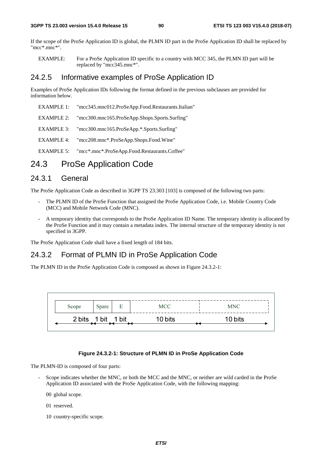If the scope of the ProSe Application ID is global, the PLMN ID part in the ProSe Application ID shall be replaced by "mcc\*.mnc\*".

EXAMPLE: For a ProSe Application ID specific to a country with MCC 345, the PLMN ID part will be replaced by "mcc345.mnc\*".

### 24.2.5 Informative examples of ProSe Application ID

Examples of ProSe Application IDs following the format defined in the previous subclauses are provided for information below.

- EXAMPLE 1: "mcc345.mnc012.ProSeApp.Food.Restaurants.Italian"
- EXAMPLE 2: "mcc300.mnc165.ProSeApp.Shops.Sports.Surfing"
- EXAMPLE 3: "mcc300.mnc165.ProSeApp.\*.Sports.Surfing"
- EXAMPLE 4: "mcc208.mnc\*.ProSeApp.Shops.Food.Wine"
- EXAMPLE 5: "mcc\*.mnc\*.ProSeApp.Food.Restaurants.Coffee"

## 24.3 ProSe Application Code

### 24.3.1 General

The ProSe Application Code as described in 3GPP TS 23.303 [103] is composed of the following two parts:

- The PLMN ID of the ProSe Function that assigned the ProSe Application Code, i.e. Mobile Country Code (MCC) and Mobile Network Code (MNC).
- A temporary identity that corresponds to the ProSe Application ID Name. The temporary identity is allocated by the ProSe Function and it may contain a metadata index. The internal structure of the temporary identity is not specified in 3GPP.

The ProSe Application Code shall have a fixed length of 184 bits.

### 24.3.2 Format of PLMN ID in ProSe Application Code

The PLMN ID in the ProSe Application Code is composed as shown in Figure 24.3.2-1:



#### **Figure 24.3.2-1: Structure of PLMN ID in ProSe Application Code**

The PLMN-ID is composed of four parts:

- Scope indicates whether the MNC, or both the MCC and the MNC, or neither are wild carded in the ProSe Application ID associated with the ProSe Application Code, with the following mapping:
	- 00 global scope.
	- 01 reserved.
	- 10 country-specific scope.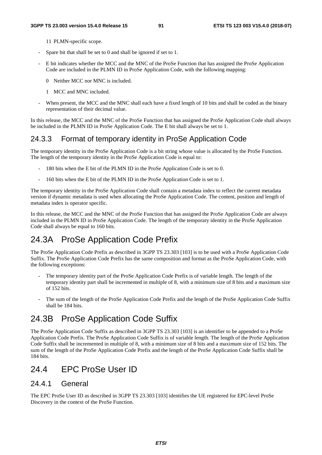- 11 PLMN-specific scope.
- Spare bit that shall be set to 0 and shall be ignored if set to 1.
- E bit indicates whether the MCC and the MNC of the ProSe Function that has assigned the ProSe Application Code are included in the PLMN ID in ProSe Application Code, with the following mapping:
	- 0 Neither MCC nor MNC is included.
	- 1 MCC and MNC included.
- When present, the MCC and the MNC shall each have a fixed length of 10 bits and shall be coded as the binary representation of their decimal value.

In this release, the MCC and the MNC of the ProSe Function that has assigned the ProSe Application Code shall always be included in the PLMN ID in ProSe Application Code. The E bit shall always be set to 1.

### 24.3.3 Format of temporary identity in ProSe Application Code

The temporary identity in the ProSe Application Code is a bit string whose value is allocated by the ProSe Function. The length of the temporary identity in the ProSe Application Code is equal to:

- 180 bits when the E bit of the PLMN ID in the ProSe Application Code is set to 0.
- 160 bits when the E bit of the PLMN ID in the ProSe Application Code is set to 1.

The temporary identity in the ProSe Application Code shall contain a metadata index to reflect the current metadata version if dynamic metadata is used when allocating the ProSe Application Code. The content, position and length of metadata index is operator specific.

In this release, the MCC and the MNC of the ProSe Function that has assigned the ProSe Application Code are always included in the PLMN ID in ProSe Application Code. The length of the temporary identity in the ProSe Application Code shall always be equal to 160 bits.

# 24.3A ProSe Application Code Prefix

The ProSe Application Code Prefix as described in 3GPP TS 23.303 [103] is to be used with a ProSe Application Code Suffix. The ProSe Application Code Prefix has the same composition and format as the ProSe Application Code, with the following exceptions:

- The temporary identity part of the ProSe Application Code Prefix is of variable length. The length of the temporary identity part shall be incremented in multiple of 8, with a minimum size of 8 bits and a maximum size of 152 bits.
- The sum of the length of the ProSe Application Code Prefix and the length of the ProSe Application Code Suffix shall be 184 bits.

# 24.3B ProSe Application Code Suffix

The ProSe Application Code Suffix as described in 3GPP TS 23.303 [103] is an identifier to be appended to a ProSe Application Code Prefix. The ProSe Application Code Suffix is of variable length. The length of the ProSe Application Code Suffix shall be incremented in multiple of 8, with a minimum size of 8 bits and a maximum size of 152 bits. The sum of the length of the ProSe Application Code Prefix and the length of the ProSe Application Code Suffix shall be 184 bits.

# 24.4 EPC ProSe User ID

### 24.4.1 General

The EPC ProSe User ID as described in 3GPP TS 23.303 [103] identifies the UE registered for EPC-level ProSe Discovery in the context of the ProSe Function.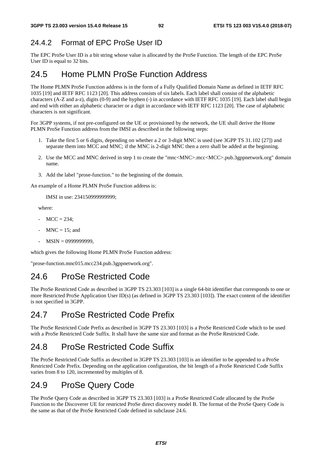# 24.4.2 Format of EPC ProSe User ID

The EPC ProSe User ID is a bit string whose value is allocated by the ProSe Function. The length of the EPC ProSe User ID is equal to 32 bits.

# 24.5 Home PLMN ProSe Function Address

The Home PLMN ProSe Function address is in the form of a Fully Qualified Domain Name as defined in IETF RFC 1035 [19] and IETF RFC 1123 [20]. This address consists of six labels. Each label shall consist of the alphabetic characters (A-Z and a-z), digits (0-9) and the hyphen (-) in accordance with IETF RFC 1035 [19]. Each label shall begin and end with either an alphabetic character or a digit in accordance with IETF RFC 1123 [20]. The case of alphabetic characters is not significant.

For 3GPP systems, if not pre-configured on the UE or provisioned by the network, the UE shall derive the Home PLMN ProSe Function address from the IMSI as described in the following steps:

- 1. Take the first 5 or 6 digits, depending on whether a 2 or 3-digit MNC is used (see 3GPP TS 31.102 [27]) and separate them into MCC and MNC; if the MNC is 2-digit MNC then a zero shall be added at the beginning.
- 2. Use the MCC and MNC derived in step 1 to create the "mnc<MNC>.mcc<MCC>.pub.3gppnetwork.org" domain name.
- 3. Add the label "prose-function." to the beginning of the domain.

An example of a Home PLMN ProSe Function address is:

IMSI in use: 234150999999999;

where:

- $MCC = 234$ :
- $MNC = 15$ ; and
- MSIN = 0999999999,

which gives the following Home PLMN ProSe Function address:

"prose-function.mnc015.mcc234.pub.3gppnetwork.org".

# 24.6 ProSe Restricted Code

The ProSe Restricted Code as described in 3GPP TS 23.303 [103] is a single 64-bit identifier that corresponds to one or more Restricted ProSe Application User ID(s) (as defined in 3GPP TS 23.303 [103]). The exact content of the identifier is not specified in 3GPP.

# 24.7 ProSe Restricted Code Prefix

The ProSe Restricted Code Prefix as described in 3GPP TS 23.303 [103] is a ProSe Restricted Code which to be used with a ProSe Restricted Code Suffix. It shall have the same size and format as the ProSe Restricted Code.

# 24.8 ProSe Restricted Code Suffix

The ProSe Restricted Code Suffix as described in 3GPP TS 23.303 [103] is an identifier to be appended to a ProSe Restricted Code Prefix. Depending on the application configuration, the bit length of a ProSe Restricted Code Suffix varies from 8 to 120, incremented by multiples of 8.

# 24.9 ProSe Query Code

The ProSe Query Code as described in 3GPP TS 23.303 [103] is a ProSe Restricted Code allocated by the ProSe Function to the Discoverer UE for restricted ProSe direct discovery model B. The format of the ProSe Query Code is the same as that of the ProSe Restricted Code defined in subclause 24.6.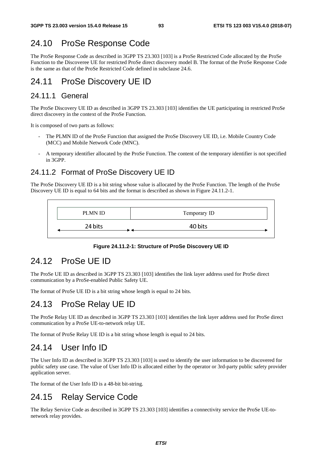# 24.10 ProSe Response Code

The ProSe Response Code as described in 3GPP TS 23.303 [103] is a ProSe Restricted Code allocated by the ProSe Function to the Discoveree UE for restricted ProSe direct discovery model B. The format of the ProSe Response Code is the same as that of the ProSe Restricted Code defined in subclause 24.6.

# 24.11 ProSe Discovery UE ID

### 24.11.1 General

The ProSe Discovery UE ID as described in 3GPP TS 23.303 [103] identifies the UE participating in restricted ProSe direct discovery in the context of the ProSe Function.

It is composed of two parts as follows:

- The PLMN ID of the ProSe Function that assigned the ProSe Discovery UE ID, i.e. Mobile Country Code (MCC) and Mobile Network Code (MNC).
- A temporary identifier allocated by the ProSe Function. The content of the temporary identifier is not specified in 3GPP.

## 24.11.2 Format of ProSe Discovery UE ID

The ProSe Discovery UE ID is a bit string whose value is allocated by the ProSe Function. The length of the ProSe Discovery UE ID is equal to 64 bits and the format is described as shown in Figure 24.11.2-1.



#### **Figure 24.11.2-1: Structure of ProSe Discovery UE ID**

## 24.12 ProSe UE ID

The ProSe UE ID as described in 3GPP TS 23.303 [103] identifies the link layer address used for ProSe direct communication by a ProSe-enabled Public Safety UE.

The format of ProSe UE ID is a bit string whose length is equal to 24 bits.

# 24.13 ProSe Relay UE ID

The ProSe Relay UE ID as described in 3GPP TS 23.303 [103] identifies the link layer address used for ProSe direct communication by a ProSe UE-to-network relay UE.

The format of ProSe Relay UE ID is a bit string whose length is equal to 24 bits.

## 24.14 User Info ID

The User Info ID as described in 3GPP TS 23.303 [103] is used to identify the user information to be discovered for public safety use case. The value of User Info ID is allocated either by the operator or 3rd-party public safety provider application server.

The format of the User Info ID is a 48-bit bit-string.

# 24.15 Relay Service Code

The Relay Service Code as described in 3GPP TS 23.303 [103] identifies a connectivity service the ProSe UE-tonetwork relay provides.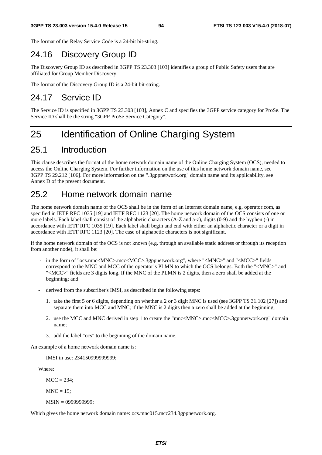The format of the Relay Service Code is a 24-bit bit-string.

# 24.16 Discovery Group ID

The Discovery Group ID as described in 3GPP TS 23.303 [103] identifies a group of Public Safety users that are affiliated for Group Member Discovery.

The format of the Discovery Group ID is a 24-bit bit-string.

## 24.17 Service ID

The Service ID is specified in 3GPP TS 23.303 [103], Annex C and specifies the 3GPP service category for ProSe. The Service ID shall be the string "3GPP ProSe Service Category".

# 25 Identification of Online Charging System

## 25.1 Introduction

This clause describes the format of the home network domain name of the Online Charging System (OCS), needed to access the Online Charging System. For further information on the use of this home network domain name, see 3GPP TS 29.212 [106]. For more information on the ".3gppnetwork.org" domain name and its applicability, see Annex D of the present document.

## 25.2 Home network domain name

The home network domain name of the OCS shall be in the form of an Internet domain name, e.g. operator.com, as specified in IETF RFC 1035 [19] and IETF RFC 1123 [20]. The home network domain of the OCS consists of one or more labels. Each label shall consist of the alphabetic characters (A-Z and a-z), digits (0-9) and the hyphen (-) in accordance with IETF RFC 1035 [19]. Each label shall begin and end with either an alphabetic character or a digit in accordance with IETF RFC 1123 [20]. The case of alphabetic characters is not significant.

If the home network domain of the OCS is not known (e.g. through an available static address or through its reception from another node), it shall be:

- in the form of "ocs.mnc<MNC>.mcc<MCC>.3gppnetwork.org", where "<MNC>" and "<MCC>" fields correspond to the MNC and MCC of the operator's PLMN to which the OCS belongs. Both the "<MNC>" and "<MCC>" fields are 3 digits long. If the MNC of the PLMN is 2 digits, then a zero shall be added at the beginning; and
- derived from the subscriber's IMSI, as described in the following steps:
	- 1. take the first 5 or 6 digits, depending on whether a 2 or 3 digit MNC is used (see 3GPP TS 31.102 [27]) and separate them into MCC and MNC; if the MNC is 2 digits then a zero shall be added at the beginning;
	- 2. use the MCC and MNC derived in step 1 to create the "mnc<MNC>.mcc<MCC>.3gppnetwork.org" domain name;
	- 3. add the label "ocs" to the beginning of the domain name.

An example of a home network domain name is:

IMSI in use: 234150999999999;

Where:

 $MCC = 234$ :

 $MNC = 15$ ;

MSIN = 0999999999;

Which gives the home network domain name: ocs.mnc015.mcc234.3gppnetwork.org.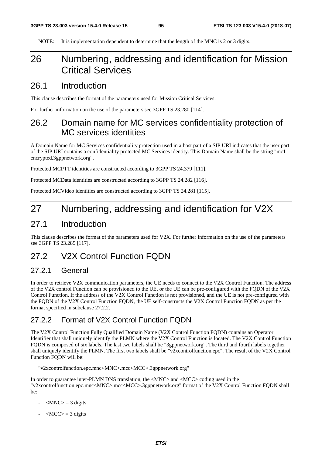NOTE: It is implementation dependent to determine that the length of the MNC is 2 or 3 digits.

# 26 Numbering, addressing and identification for Mission Critical Services

### 26.1 Introduction

This clause describes the format of the parameters used for Mission Critical Services.

For further information on the use of the parameters see 3GPP TS 23.280 [114].

# 26.2 Domain name for MC services confidentiality protection of MC services identities

A Domain Name for MC Services confidentiality protection used in a host part of a SIP URI indicates that the user part of the SIP URI contains a confidentiality protected MC Services identity. This Domain Name shall be the string "mc1 encrypted.3gppnetwork.org".

Protected MCPTT identities are constructed according to 3GPP TS 24.379 [111].

Protected MCData identities are constructed according to 3GPP TS 24.282 [116].

Protected MCVideo identities are constructed according to 3GPP TS 24.281 [115].

# 27 Numbering, addressing and identification for V2X

## 27.1 Introduction

This clause describes the format of the parameters used for V2X. For further information on the use of the parameters see 3GPP TS 23.285 [117].

# 27.2 V2X Control Function FQDN

### 27.2.1 General

In order to retrieve V2X communication parameters, the UE needs to connect to the V2X Control Function. The address of the V2X control Function can be provisioned to the UE, or the UE can be pre-configured with the FQDN of the V2X Control Function. If the address of the V2X Control Function is not provisioned, and the UE is not pre-configured with the FQDN of the V2X Control Function FQDN, the UE self-constructs the V2X Control Function FQDN as per the format specified in subclause 27.2.2.

### 27.2.2.2 Format of V2X Control Function FODN

The V2X Control Function Fully Qualified Domain Name (V2X Control Function FQDN) contains an Operator Identifier that shall uniquely identify the PLMN where the V2X Control Function is located. The V2X Control Function FQDN is composed of six labels. The last two labels shall be "3gppnetwork.org". The third and fourth labels together shall uniquely identify the PLMN. The first two labels shall be "v2xcontrolfunction.epc". The result of the V2X Control Function FQDN will be:

"v2xcontrolfunction.epc.mnc<MNC>.mcc<MCC>.3gppnetwork.org"

In order to guarantee inter-PLMN DNS translation, the <MNC> and <MCC> coding used in the "v2xcontrolfunction.epc.mnc<MNC>.mcc<MCC>.3gppnetwork.org" format of the V2X Control Function FQDN shall be:

- $|MNC\rangle = 3$  digits
- $\langle MCC \rangle = 3$  digits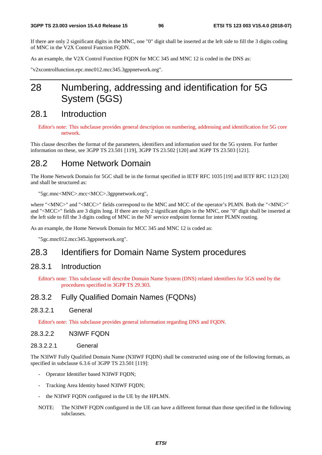If there are only 2 significant digits in the MNC, one "0" digit shall be inserted at the left side to fill the 3 digits coding of MNC in the V2X Control Function FQDN.

As an example, the V2X Control Function FQDN for MCC 345 and MNC 12 is coded in the DNS as:

"v2xcontrolfunction.epc.mnc012.mcc345.3gppnetwork.org".

# 28 Numbering, addressing and identification for 5G System (5GS)

## 28.1 Introduction

Editor's note: This subclause provides general description on numbering, addressing and identification for 5G core network.

This clause describes the format of the parameters, identifiers and information used for the 5G system. For further information on these, see 3GPP TS 23.501 [119], 3GPP TS 23.502 [120] and 3GPP TS 23.503 [121].

## 28.2 Home Network Domain

The Home Network Domain for 5GC shall be in the format specified in IETF RFC 1035 [19] and IETF RFC 1123 [20] and shall be structured as:

"5gc.mnc<MNC>.mcc<MCC>.3gppnetwork.org",

where "<MNC>" and "<MCC>" fields correspond to the MNC and MCC of the operator's PLMN. Both the "<MNC>" and "<MCC>" fields are 3 digits long. If there are only 2 significant digits in the MNC, one "0" digit shall be inserted at the left side to fill the 3 digits coding of MNC in the NF service endpoint format for inter PLMN routing.

As an example, the Home Network Domain for MCC 345 and MNC 12 is coded as:

"5gc.mnc012.mcc345.3gppnetwork.org".

## 28.3 Identifiers for Domain Name System procedures

#### 28.3.1 Introduction

Editor's note: This subclause will describe Domain Name System (DNS) related identifiers for 5GS used by the procedures specified in 3GPP TS 29.303.

#### 28.3.2 Fully Qualified Domain Names (FQDNs)

28.3.2.1 General

Editor's note: This subclause provides general information regarding DNS and FQDN.

#### 28.3.2.2 N3IWF FQDN

#### 28.3.2.2.1 General

The N3IWF Fully Qualified Domain Name (N3IWF FQDN) shall be constructed using one of the following formats, as specified in subclause 6.3.6 of 3GPP TS 23.501 [119]:

- Operator Identifier based N3IWF FQDN;
- Tracking Area Identity based N3IWF FQDN;
- the N3IWF FQDN configured in the UE by the HPLMN.
- NOTE: The N3IWF FQDN configured in the UE can have a different format than those specified in the following subclauses.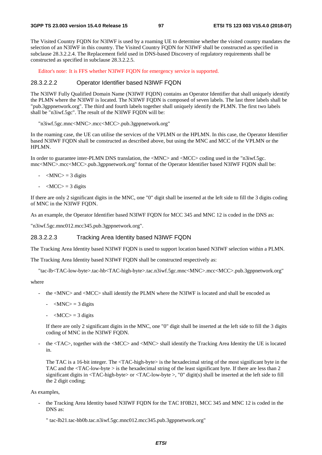The Visited Country FQDN for N3IWF is used by a roaming UE to determine whether the visited country mandates the selection of an N3IWF in this country. The Visited Country FQDN for N3IWF shall be constructed as specified in subclause 28.3.2.2.4. The Replacement field used in DNS-based Discovery of regulatory requirements shall be constructed as specified in subclause 28.3.2.2.5.

Editor's note: It is FFS whether N3IWF FQDN for emergency service is supported.

#### 28.3.2.2.2 Operator Identifier based N3IWF FQDN

The N3IWF Fully Qualified Domain Name (N3IWF FODN) contains an Operator Identifier that shall uniquely identify the PLMN where the N3IWF is located. The N3IWF FODN is composed of seven labels. The last three labels shall be "pub.3gppnetwork.org". The third and fourth labels together shall uniquely identify the PLMN. The first two labels shall be "n3iwf.5gc". The result of the N3IWF FQDN will be:

"n3iwf.5gc.mnc<MNC>.mcc<MCC>.pub.3gppnetwork.org"

In the roaming case, the UE can utilise the services of the VPLMN or the HPLMN. In this case, the Operator Identifier based N3IWF FQDN shall be constructed as described above, but using the MNC and MCC of the VPLMN or the HPLMN.

In order to guarantee inter-PLMN DNS translation, the <MNC> and <MCC> coding used in the "n3iwf.5gc. mnc<MNC>.mcc<MCC>.pub.3gppnetwork.org" format of the Operator Identifier based N3IWF FQDN shall be:

- $-MNC$  = 3 digits
- $\langle MCC \rangle = 3$  digits

If there are only 2 significant digits in the MNC, one "0" digit shall be inserted at the left side to fill the 3 digits coding of MNC in the N3IWF FQDN.

As an example, the Operator Identifier based N3IWF FQDN for MCC 345 and MNC 12 is coded in the DNS as:

"n3iwf.5gc.mnc012.mcc345.pub.3gppnetwork.org".

#### 28.3.2.2.3 Tracking Area Identity based N3IWF FQDN

The Tracking Area Identity based N3IWF FQDN is used to support location based N3IWF selection within a PLMN.

The Tracking Area Identity based N3IWF FQDN shall be constructed respectively as:

"tac-lb<TAC-low-byte>.tac-hb<TAC-high-byte>.tac.n3iwf.5gc.mnc<MNC>.mcc<MCC>.pub.3gppnetwork.org"

where

- the <MNC> and <MCC> shall identify the PLMN where the N3IWF is located and shall be encoded as
	- $-MNC$  = 3 digits
	- $-MCC$  = 3 digits

 If there are only 2 significant digits in the MNC, one "0" digit shall be inserted at the left side to fill the 3 digits coding of MNC in the N3IWF FQDN.

the <TAC>, together with the <MCC> and <MNC> shall identify the Tracking Area Identity the UE is located in.

The TAC is a 16-bit integer. The <TAC-high-byte> is the hexadecimal string of the most significant byte in the TAC and the  $\langle$ TAC-low-byte  $>$  is the hexadecimal string of the least significant byte. If there are less than 2 significant digits in  $\langle TAC\text{-high-byte}\rangle$  or  $\langle TAC\text{-low-byte}\rangle$ , "0" digit(s) shall be inserted at the left side to fill the 2 digit coding;

As examples,

the Tracking Area Identity based N3IWF FQDN for the TAC H'0B21, MCC 345 and MNC 12 is coded in the DNS as:

<sup>&</sup>quot; tac-lb21.tac-hb0b.tac.n3iwf.5gc.mnc012.mcc345.pub.3gppnetwork.org"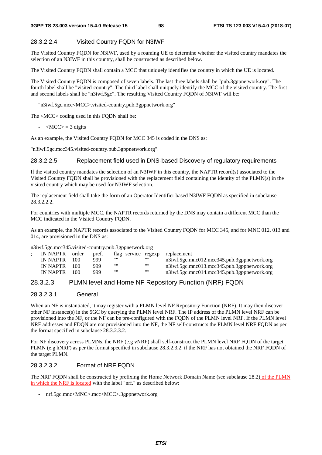#### 28.3.2.2.4 Visited Country FQDN for N3IWF

The Visited Country FQDN for N3IWF, used by a roaming UE to determine whether the visited country mandates the selection of an N3IWF in this country, shall be constructed as described below.

The Visited Country FQDN shall contain a MCC that uniquely identifies the country in which the UE is located.

The Visited Country FQDN is composed of seven labels. The last three labels shall be "pub.3gppnetwork.org". The fourth label shall be "visited-country". The third label shall uniquely identify the MCC of the visited country. The first and second labels shall be "n3iwf.5gc". The resulting Visited Country FQDN of N3IWF will be:

"n3iwf.5gc.mcc<MCC>.visited-country.pub.3gppnetwork.org"

The <MCC> coding used in this FQDN shall be:

 $-MCC$  = 3 digits

As an example, the Visited Country FQDN for MCC 345 is coded in the DNS as:

"n3iwf.5gc.mcc345.visited-country.pub.3gppnetwork.org".

#### 28.3.2.2.5 Replacement field used in DNS-based Discovery of regulatory requirements

If the visited country mandates the selection of an N3IWF in this country, the NAPTR record(s) associated to the Visited Country FQDN shall be provisioned with the replacement field containing the identity of the PLMN(s) in the visited country which may be used for N3IWF selection.

The replacement field shall take the form of an Operator Identifier based N3IWF FQDN as specified in subclause 28.3.2.2.2.

For countries with multiple MCC, the NAPTR records returned by the DNS may contain a different MCC than the MCC indicated in the Visited Country FQDN.

As an example, the NAPTR records associated to the Visited Country FQDN for MCC 345, and for MNC 012, 013 and 014, are provisioned in the DNS as:

n3iwf.5gc.mcc345.visited-country.pub.3gppnetwork.org

| IN NAPTR | order | pref. |      |      | flag service regexp replacement             |
|----------|-------|-------|------|------|---------------------------------------------|
| IN NAPTR | 100   | 999   | ,,,, |      | n3iwf.5gc.mnc012.mcc345.pub.3gppnetwork.org |
| IN NAPTR | 100   | 999   | ,,,, | ,,,, | n3iwf.5gc.mnc013.mcc345.pub.3gppnetwork.org |
| IN NAPTR | 100   | 999   | ,,,, | ,,,, | n3iwf.5gc.mnc014.mcc345.pub.3gppnetwork.org |

#### 28.3.2.3 PLMN level and Home NF Repository Function (NRF) FQDN

#### 28.3.2.3.1 General

When an NF is instantiated, it may register with a PLMN level NF Repository Function (NRF). It may then discover other NF instance(s) in the 5GC by querying the PLMN level NRF. The IP address of the PLMN level NRF can be provisioned into the NF, or the NF can be pre-configured with the FQDN of the PLMN level NRF. If the PLMN level NRF addresses and FDQN are not provisioned into the NF, the NF self-constructs the PLMN level NRF FQDN as per the format specified in subclause 28.3.2.3.2.

For NF discovery across PLMNs, the NRF (e.g vNRF) shall self-construct the PLMN level NRF FQDN of the target PLMN (e.g hNRF) as per the format specified in subclause 28.3.2.3.2, if the NRF has not obtained the NRF FQDN of the target PLMN.

#### 28.3.2.3.2 Format of NRF FQDN

The NRF FQDN shall be constructed by prefixing the Home Network Domain Name (see subclause 28.2) of the PLMN in which the NRF is located with the label "nrf." as described below:

- nrf.5gc.mnc<MNC>.mcc<MCC>.3gppnetwork.org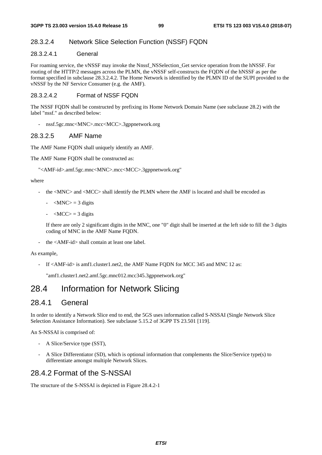#### 28.3.2.4 Network Slice Selection Function (NSSF) FQDN

#### 28.3.2.4.1 General

For roaming service, the vNSSF may invoke the Nnssf\_NSSelection\_Get service operation from the hNSSF. For routing of the HTTP/2 messages across the PLMN, the vNSSF self-constructs the FQDN of the hNSSF as per the format specified in subclause 28.3.2.4.2. The Home Network is identified by the PLMN ID of the SUPI provided to the vNSSF by the NF Service Consumer (e.g. the AMF).

#### 28.3.2.4.2 Format of NSSF FQDN

The NSSF FQDN shall be constructed by prefixing its Home Network Domain Name (see subclause 28.2) with the label "nssf." as described below:

- nssf.5gc.mnc<MNC>.mcc<MCC>.3gppnetwork.org

#### 28.3.2.5 AMF Name

The AMF Name FQDN shall uniquely identify an AMF.

The AMF Name FODN shall be constructed as:

"<AMF-id>.amf.5gc.mnc<MNC>.mcc<MCC>.3gppnetwork.org"

#### where

- the <MNC> and <MCC> shall identify the PLMN where the AMF is located and shall be encoded as
	- $-MNC$  = 3 digits
	- $-MCC$  = 3 digits

 If there are only 2 significant digits in the MNC, one "0" digit shall be inserted at the left side to fill the 3 digits coding of MNC in the AMF Name FQDN.

- the <AMF-id> shall contain at least one label.

#### As example,

- If <AMF-id> is amf1.cluster1.net2, the AMF Name FQDN for MCC 345 and MNC 12 as:

"amf1.cluster1.net2.amf.5gc.mnc012.mcc345.3gppnetwork.org"

# 28.4 Information for Network Slicing

### 28.4.1 General

In order to identify a Network Slice end to end, the 5GS uses information called S-NSSAI (Single Network Slice Selection Assistance Information). See subclause 5.15.2 of 3GPP TS 23.501 [119].

An S-NSSAI is comprised of:

- A Slice/Service type (SST),
- A Slice Differentiator (SD), which is optional information that complements the Slice/Service type(s) to differentiate amongst multiple Network Slices.

### 28.4.2 Format of the S-NSSAI

The structure of the S-NSSAI is depicted in Figure 28.4.2-1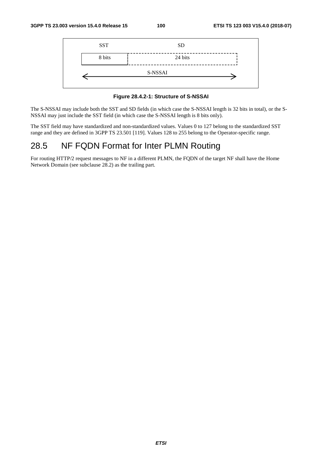

**Figure 28.4.2-1: Structure of S-NSSAI** 

The S-NSSAI may include both the SST and SD fields (in which case the S-NSSAI length is 32 bits in total), or the S-NSSAI may just include the SST field (in which case the S-NSSAI length is 8 bits only).

The SST field may have standardized and non-standardized values. Values 0 to 127 belong to the standardized SST range and they are defined in 3GPP TS 23.501 [119]. Values 128 to 255 belong to the Operator-specific range.

# 28.5 NF FQDN Format for Inter PLMN Routing

For routing HTTP/2 request messages to NF in a different PLMN, the FQDN of the target NF shall have the Home Network Domain (see subclause 28.2) as the trailing part.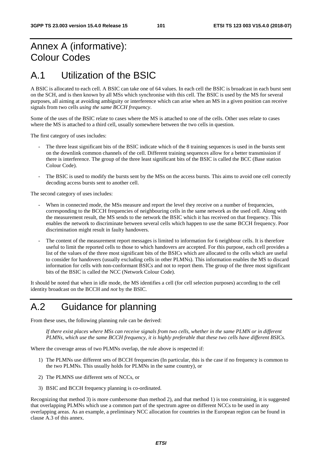# Annex A (informative): Colour Codes

# A.1 Utilization of the BSIC

A BSIC is allocated to each cell. A BSIC can take one of 64 values. In each cell the BSIC is broadcast in each burst sent on the SCH, and is then known by all MSs which synchronise with this cell. The BSIC is used by the MS for several purposes, all aiming at avoiding ambiguity or interference which can arise when an MS in a given position can receive signals from two cells *using the same BCCH frequency*.

Some of the uses of the BSIC relate to cases where the MS is attached to one of the cells. Other uses relate to cases where the MS is attached to a third cell, usually somewhere between the two cells in question.

The first category of uses includes:

- The three least significant bits of the BSIC indicate which of the 8 training sequences is used in the bursts sent on the downlink common channels of the cell. Different training sequences allow for a better transmission if there is interference. The group of the three least significant bits of the BSIC is called the BCC (Base station Colour Code).
- The BSIC is used to modify the bursts sent by the MSs on the access bursts. This aims to avoid one cell correctly decoding access bursts sent to another cell.

The second category of uses includes:

- When in connected mode, the MSs measure and report the level they receive on a number of frequencies, corresponding to the BCCH frequencies of neighbouring cells in the same network as the used cell. Along with the measurement result, the MS sends to the network the BSIC which it has received on that frequency. This enables the network to discriminate between several cells which happen to use the same BCCH frequency. Poor discrimination might result in faulty handovers.
- The content of the measurement report messages is limited to information for 6 neighbour cells. It is therefore useful to limit the reported cells to those to which handovers are accepted. For this purpose, each cell provides a list of the values of the three most significant bits of the BSICs which are allocated to the cells which are useful to consider for handovers (usually excluding cells in other PLMNs). This information enables the MS to discard information for cells with non-conformant BSICs and not to report them. The group of the three most significant bits of the BSIC is called the NCC (Network Colour Code).

It should be noted that when in idle mode, the MS identifies a cell (for cell selection purposes) according to the cell identity broadcast on the BCCH and *not* by the BSIC.

# A.2 Guidance for planning

From these uses, the following planning rule can be derived:

 *If there exist places where MSs can receive signals from two cells, whether in the same PLMN or in different PLMNs, which use the same BCCH frequency, it is highly preferable that these two cells have different BSICs.* 

Where the coverage areas of two PLMNs overlap, the rule above is respected if:

- 1) The PLMNs use different sets of BCCH frequencies (In particular, this is the case if no frequency is common to the two PLMNs. This usually holds for PLMNs in the same country), or
- 2) The PLMNS use different sets of NCCs, or
- 3) BSIC and BCCH frequency planning is co-ordinated.

Recognizing that method 3) is more cumbersome than method 2), and that method 1) is too constraining, it is suggested that overlapping PLMNs which use a common part of the spectrum agree on different NCCs to be used in any overlapping areas. As an example, a preliminary NCC allocation for countries in the European region can be found in clause A.3 of this annex.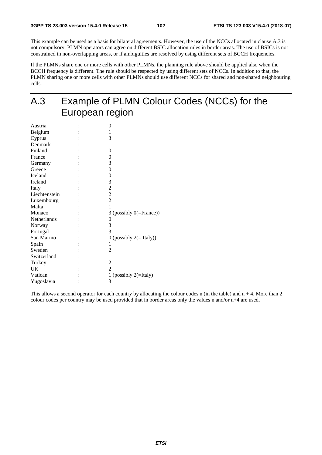This example can be used as a basis for bilateral agreements. However, the use of the NCCs allocated in clause A.3 is not compulsory. PLMN operators can agree on different BSIC allocation rules in border areas. The use of BSICs is not constrained in non-overlapping areas, or if ambiguities are resolved by using different sets of BCCH frequencies.

If the PLMNs share one or more cells with other PLMNs, the planning rule above should be applied also when the BCCH frequency is different. The rule should be respected by using different sets of NCCs. In addition to that, the PLMN sharing one or more cells with other PLMNs should use different NCCs for shared and non-shared neighbouring cells.

# A.3 Example of PLMN Colour Codes (NCCs) for the European region

| Austria       | 0                           |
|---------------|-----------------------------|
| Belgium       | 1                           |
| Cyprus        | 3                           |
| Denmark       | 1                           |
| Finland       | 0                           |
| France        | 0                           |
| Germany       | 3                           |
| Greece        | 0                           |
| Iceland       | 0                           |
| Ireland       | 3                           |
| Italy         | $\overline{c}$              |
| Liechtenstein | $\overline{c}$              |
| Luxembourg    | $\overline{c}$              |
| Malta         | 1                           |
| Monaco        | 3 (possibly $0$ (=France))  |
| Netherlands   | 0                           |
| Norway        | 3                           |
| Portugal      | 3                           |
| San Marino    | 0 (possibly $2 (= Italy)$ ) |
| Spain         | 1                           |
| Sweden        | 2                           |
| Switzerland   | 1                           |
| Turkey        | $\overline{c}$              |
| UK            | $\mathfrak{D}$              |
| Vatican       | 1 (possibly $2(=$ Italy)    |
| Yugoslavia    | 3                           |
|               |                             |

This allows a second operator for each country by allocating the colour codes n (in the table) and  $n + 4$ . More than 2 colour codes per country may be used provided that in border areas only the values n and/or n+4 are used.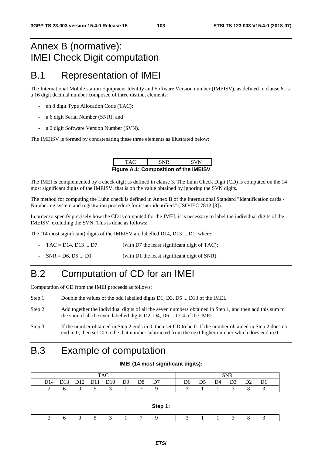# Annex B (normative): IMEI Check Digit computation

# B.1 Representation of IMEI

The International Mobile station Equipment Identity and Software Version number (IMEISV), as defined in clause 6, is a 16 digit decimal number composed of three distinct elements:

- an 8 digit Type Allocation Code (TAC);
- a 6 digit Serial Number (SNR); and
- a 2 digit Software Version Number (SVN).

The IMEISV is formed by concatenating these three elements as illustrated below:

| TAC.                                         | <b>SNR</b> | <b>SVN</b> |  |  |  |  |  |  |  |  |
|----------------------------------------------|------------|------------|--|--|--|--|--|--|--|--|
| <b>Figure A.1: Composition of the IMEISV</b> |            |            |  |  |  |  |  |  |  |  |

The IMEI is complemented by a check digit as defined in clause 3. The Luhn Check Digit (CD) is computed on the 14 most significant digits of the IMEISV, that is on the value obtained by ignoring the SVN digits.

The method for computing the Luhn check is defined in Annex B of the International Standard "Identification cards - Numbering system and registration procedure for issuer identifiers" (ISO/IEC 7812 [3]).

In order to specify precisely how the CD is computed for the IMEI, it is necessary to label the individual digits of the IMEISV, excluding the SVN. This is done as follows:

The (14 most significant) digits of the IMEISV are labelled D14, D13 ... D1, where:

- $TAC = D14$ ,  $D13$  ...  $D7$  (with D7 the least significant digit of TAC);
- $SNR = D6, D5 ... D1$  (with D1 the least significant digit of SNR).

# B.2 Computation of CD for an IMEI

Computation of CD from the IMEI proceeds as follows:

- Step 1: Double the values of the odd labelled digits D1, D3, D5 ... D13 of the IMEI.
- Step 2: Add together the individual digits of all the seven numbers obtained in Step 1, and then add this sum to the sum of all the even labelled digits D2, D4, D6 ... D14 of the IMEI.
- Step 3: If the number obtained in Step 2 ends in 0, then set CD to be 0. If the number obtained in Step 2 does not end in 0, then set CD to be that number subtracted from the next higher number which does end in 0.

**IMEI (14 most significant digits):** 

# B.3 Example of computation

| <b>TAC</b>                         |  |                                 |     |                |                |    |  |    |    |    | <b>SNR</b> |                |  |
|------------------------------------|--|---------------------------------|-----|----------------|----------------|----|--|----|----|----|------------|----------------|--|
| D <sub>13</sub><br>D <sub>14</sub> |  | D <sub>12</sub> D <sub>11</sub> | D10 | D <sup>9</sup> | D <sub>8</sub> | D7 |  | D6 | D5 | D4 | D3         | D <sub>2</sub> |  |
|                                    |  |                                 |     |                |                |    |  |    |    |    |            |                |  |

| Step 1: |  |  |  |  |  |  |  |                             |  |  |  |  |  |  |  |
|---------|--|--|--|--|--|--|--|-----------------------------|--|--|--|--|--|--|--|
|         |  |  |  |  |  |  |  | 2 6 0 5 3 1 7 9 3 1 1 3 8 3 |  |  |  |  |  |  |  |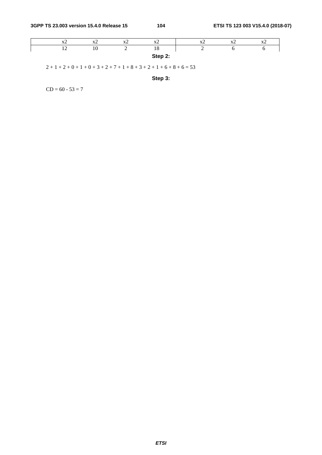|         | $\Lambda$                | $\mathbf{r}$<br>$\lambda$ | $\mathbf{r}$<br>$\overline{\mathbf{z}}$ | $\mathbf{r}$<br>$\overline{\mathbf{r}}$ | <b>Tr</b><br>$\cdots$ | 111 | $\Lambda$ |  |  |
|---------|--------------------------|---------------------------|-----------------------------------------|-----------------------------------------|-----------------------|-----|-----------|--|--|
|         | $\overline{\phantom{0}}$ |                           | ,                                       | 10                                      | _                     |     |           |  |  |
| Step 2: |                          |                           |                                         |                                         |                       |     |           |  |  |

 $2 + 1 + 2 + 0 + 1 + 0 + 3 + 2 + 7 + 1 + 8 + 3 + 2 + 1 + 6 + 8 + 6 = 53$ 

**Step 3:** 

 $CD = 60 - 53 = 7$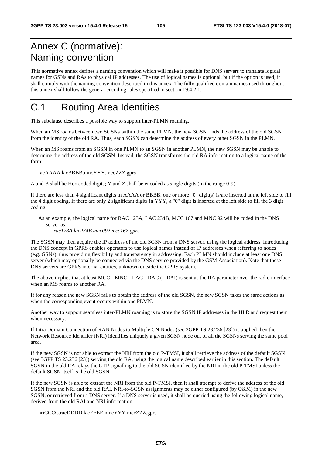# Annex C (normative): Naming convention

This normative annex defines a naming convention which will make it possible for DNS servers to translate logical names for GSNs and RAs to physical IP addresses. The use of logical names is optional, but if the option is used, it shall comply with the naming convention described in this annex. The fully qualified domain names used throughout this annex shall follow the general encoding rules specified in section 19.4.2.1.

# C.1 Routing Area Identities

This subclause describes a possible way to support inter-PLMN roaming.

When an MS roams between two SGSNs within the same PLMN, the new SGSN finds the address of the old SGSN from the identity of the old RA. Thus, each SGSN can determine the address of every other SGSN in the PLMN.

When an MS roams from an SGSN in one PLMN to an SGSN in another PLMN, the new SGSN may be unable to determine the address of the old SGSN. Instead, the SGSN transforms the old RA information to a logical name of the form:

racAAAA.lacBBBB.mncYYY.mccZZZ.gprs

A and B shall be Hex coded digits; Y and Z shall be encoded as single digits (in the range 0-9).

If there are less than 4 significant digits in AAAA or BBBB, one or more "0" digit(s) is/are inserted at the left side to fill the 4 digit coding. If there are only 2 significant digits in YYY, a "0" digit is inserted at the left side to fill the 3 digit coding.

#### As an example, the logical name for RAC 123A, LAC 234B, MCC 167 and MNC 92 will be coded in the DNS server as:

*rac123A.lac234B.mnc092.mcc167.gprs*.

The SGSN may then acquire the IP address of the old SGSN from a DNS server, using the logical address. Introducing the DNS concept in GPRS enables operators to use logical names instead of IP addresses when referring to nodes (e.g. GSNs), thus providing flexibility and transparency in addressing. Each PLMN should include at least one DNS server (which may optionally be connected via the DNS service provided by the GSM Association). Note that these DNS servers are GPRS internal entities, unknown outside the GPRS system.

The above implies that at least MCC  $\parallel$  MNC  $\parallel$  LAC  $\parallel$  RAC (= RAI) is sent as the RA parameter over the radio interface when an MS roams to another RA.

If for any reason the new SGSN fails to obtain the address of the old SGSN, the new SGSN takes the same actions as when the corresponding event occurs within one PLMN.

Another way to support seamless inter-PLMN roaming is to store the SGSN IP addresses in the HLR and request them when necessary.

If Intra Domain Connection of RAN Nodes to Multiple CN Nodes (see 3GPP TS 23.236 [23]) is applied then the Network Resource Identifier (NRI) identifies uniquely a given SGSN node out of all the SGSNs serving the same pool area.

If the new SGSN is not able to extract the NRI from the old P-TMSI, it shall retrieve the address of the default SGSN (see 3GPP TS 23.236 [23]) serving the old RA, using the logical name described earlier in this section. The default SGSN in the old RA relays the GTP signalling to the old SGSN identified by the NRI in the old P-TMSI unless the default SGSN itself is the old SGSN.

If the new SGSN is able to extract the NRI from the old P-TMSI, then it shall attempt to derive the address of the old SGSN from the NRI and the old RAI. NRI-to-SGSN assignments may be either configured (by O&M) in the new SGSN, or retrieved from a DNS server. If a DNS server is used, it shall be queried using the following logical name, derived from the old RAI and NRI information:

nriCCCC.racDDDD.lacEEEE.mncYYY.mccZZZ.gprs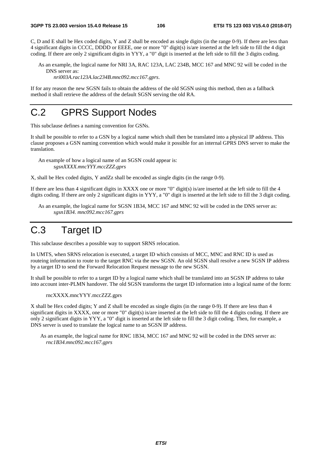C, D and E shall be Hex coded digits, Y and Z shall be encoded as single digits (in the range 0-9). If there are less than 4 significant digits in CCCC, DDDD or EEEE, one or more "0" digit(s) is/are inserted at the left side to fill the 4 digit coding. If there are only 2 significant digits in YYY, a "0" digit is inserted at the left side to fill the 3 digits coding.

As an example, the logical name for NRI 3A, RAC 123A, LAC 234B, MCC 167 and MNC 92 will be coded in the DNS server as:

*nri003A.rac123A.lac234B.mnc092.mcc167.gprs*.

If for any reason the new SGSN fails to obtain the address of the old SGSN using this method, then as a fallback method it shall retrieve the address of the default SGSN serving the old RA.

# C.2 GPRS Support Nodes

This subclause defines a naming convention for GSNs.

It shall be possible to refer to a GSN by a logical name which shall then be translated into a physical IP address. This clause proposes a GSN naming convention which would make it possible for an internal GPRS DNS server to make the translation.

An example of how a logical name of an SGSN could appear is: *sgsnXXXX.mncYYY.mccZZZ.gprs* 

X, shall be Hex coded digits, Y andZz shall be encoded as single digits (in the range 0-9)*.* 

If there are less than 4 significant digits in XXXX one or more "0" digit(s) is/are inserted at the left side to fill the 4 digits coding. If there are only 2 significant digits in YYY, a "0" digit is inserted at the left side to fill the 3 digit coding.

As an example, the logical name for SGSN 1B34, MCC 167 and MNC 92 will be coded in the DNS server as: *sgsn1B34. mnc092.mcc167.gprs*

# C.3 Target ID

This subclause describes a possible way to support SRNS relocation.

In UMTS, when SRNS relocation is executed, a target ID which consists of MCC, MNC and RNC ID is used as routeing information to route to the target RNC via the new SGSN. An old SGSN shall resolve a new SGSN IP address by a target ID to send the Forward Relocation Request message to the new SGSN.

It shall be possible to refer to a target ID by a logical name which shall be translated into an SGSN IP address to take into account inter-PLMN handover. The old SGSN transforms the target ID information into a logical name of the form:

rncXXXX.mncYYY.mccZZZ.gprs

X shall be Hex coded digits; Y and Z shall be encoded as single digits (in the range 0-9). If there are less than 4 significant digits in XXXX, one or more "0" digit(s) is/are inserted at the left side to fill the 4 digits coding. If there are only 2 significant digits in YYY, a "0" digit is inserted at the left side to fill the 3 digit coding. Then, for example, a DNS server is used to translate the logical name to an SGSN IP address.

As an example, the logical name for RNC 1B34, MCC 167 and MNC 92 will be coded in the DNS server as: *rnc1B34.mnc092.mcc167.gprs*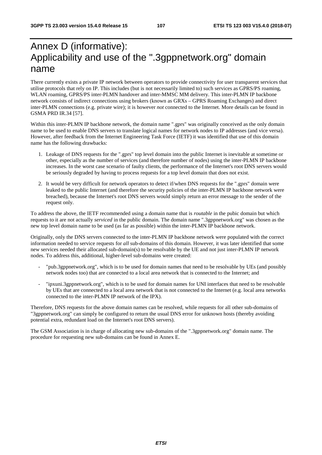# Annex D (informative): Applicability and use of the ".3gppnetwork.org" domain name

There currently exists a private IP network between operators to provide connectivity for user transparent services that utilise protocols that rely on IP. This includes (but is not necessarily limited to) such services as GPRS/PS roaming, WLAN roaming, GPRS/PS inter-PLMN handover and inter-MMSC MM delivery. This inter-PLMN IP backbone network consists of indirect connections using brokers (known as GRXs – GPRS Roaming Exchanges) and direct inter-PLMN connections (e.g. private wire); it is however *not* connected to the Internet. More details can be found in GSMA PRD IR.34 [57].

Within this inter-PLMN IP backbone network, the domain name ".gprs" was originally conceived as the only domain name to be used to enable DNS servers to translate logical names for network nodes to IP addresses (and vice versa). However, after feedback from the Internet Engineering Task Force (IETF) it was identified that use of this domain name has the following drawbacks:

- 1. Leakage of DNS requests for the ".gprs" top level domain into the public Internet is inevitable at sometime or other, especially as the number of services (and therefore number of nodes) using the inter-PLMN IP backbone increases. In the worst case scenario of faulty clients, the performance of the Internet's root DNS servers would be seriously degraded by having to process requests for a top level domain that does not exist.
- 2. It would be very difficult for network operators to detect if/when DNS requests for the ".gprs" domain were leaked to the public Internet (and therefore the security policies of the inter-PLMN IP backbone network were breached), because the Internet's root DNS servers would simply return an error message to the sender of the request only.

To address the above, the IETF recommended using a domain name that is *routable* in the pubic domain but which requests to it are not actually *serviced* in the public domain. The domain name ".3gppnetwork.org" was chosen as the new top level domain name to be used (as far as possible) within the inter-PLMN IP backbone network.

Originally, only the DNS servers connected to the inter-PLMN IP backbone network were populated with the correct information needed to service requests for *all* sub-domains of this domain. However, it was later identified that some new services needed their allocated sub-domain(s) to be resolvable by the UE and not just inter-PLMN IP network nodes. To address this, additional, higher-level sub-domains were created:

- "pub.3gppnetwork.org", which is to be used for domain names that need to be resolvable by UEs (and possibly network nodes too) that are connected to a local area network that is connected to the Internet; and
- "ipxuni.3gppnetwork.org", which is to be used for domain names for UNI interfaces that need to be resolvable by UEs that are connected to a local area network that is not connected to the Internet (e.g. local area networks connected to the inter-PLMN IP network of the IPX).

Therefore, DNS requests for the above domain names can be resolved, while requests for all other sub-domains of "3gppnetwork.org" can simply be configured to return the usual DNS error for unknown hosts (thereby avoiding potential extra, redundant load on the Internet's root DNS servers).

The GSM Association is in charge of allocating new sub-domains of the ".3gppnetwork.org" domain name. The procedure for requesting new sub-domains can be found in Annex E.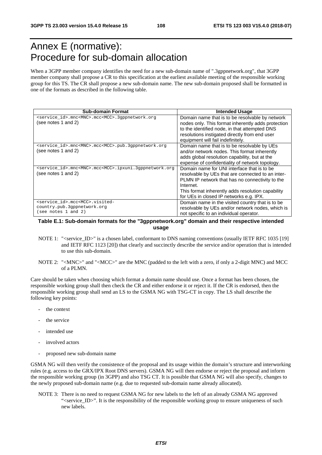## Annex E (normative): Procedure for sub-domain allocation

When a 3GPP member company identifies the need for a new sub-domain name of ".3gppnetwork.org", that 3GPP member company shall propose a CR to this specification at the earliest available meeting of the responsible working group for this TS. The CR shall propose a new sub-domain name. The new sub-domain proposed shall be formatted in one of the formats as described in the following table.

| <b>Sub-domain Format</b>                                                                                  | <b>Intended Usage</b>                                                                                                                                                                                                                                            |
|-----------------------------------------------------------------------------------------------------------|------------------------------------------------------------------------------------------------------------------------------------------------------------------------------------------------------------------------------------------------------------------|
| <service id="">.mnc<mnc>.mcc<mcc>.3qppnetwork.org<br/>(see notes 1 and 2)</mcc></mnc></service>           | Domain name that is to be resolvable by network<br>nodes only. This format inherently adds protection<br>to the identified node, in that attempted DNS<br>resolutions instigated directly from end user<br>equipment will fail indefinitely.                     |
| <service_id>.mnc<mnc>.mcc<mcc>.pub.3qppnetwork.org<br/>(see notes 1 and 2)</mcc></mnc></service_id>       | Domain name that is to be resolvable by UEs<br>and/or network nodes. This format inherently<br>adds global resolution capability, but at the<br>expense of confidentiality of network topology.                                                                  |
| <service_id>.mnc<mnc>.mcc<mcc>.ipxuni.3qppnetwork.org<br/>(see notes 1 and 2)</mcc></mnc></service_id>    | Domain name for UNI interface that is to be<br>resolvable by UEs that are connected to an inter-<br>PLMN IP network that has no connectivity to the<br>Internet.<br>This format inherently adds resolution capability<br>for UEs in closed IP networks e.g. IPX. |
| <service id="">.mcc<mcc>.visited-<br/>country.pub.3gppnetwork.org<br/>(see notes 1 and 2)</mcc></service> | Domain name in the visited country that is to be<br>resolvable by UEs and/or network nodes, which is<br>not specific to an individual operator.                                                                                                                  |

## **Table E.1: Sub-domain formats for the "3gppnetwork.org" domain and their respective intended usage**

- NOTE 1: "<service\_ID>" is a chosen label, conformant to DNS naming conventions (usually IETF RFC 1035 [19] and IETF RFC 1123 [20]) that clearly and succinctly describe the service and/or operation that is intended to use this sub-domain.
- NOTE 2: "<MNC>" and "<MCC>" are the MNC (padded to the left with a zero, if only a 2-digit MNC) and MCC of a PLMN.

Care should be taken when choosing which format a domain name should use. Once a format has been chosen, the responsible working group shall then check the CR and either endorse it or reject it. If the CR is endorsed, then the responsible working group shall send an LS to the GSMA NG with TSG-CT in copy. The LS shall describe the following key points:

- the context
- the service
- intended use
- involved actors
- proposed new sub-domain name

GSMA NG will then verify the consistence of the proposal and its usage within the domain's structure and interworking rules (e.g. access to the GRX/IPX Root DNS servers). GSMA NG will then endorse or reject the proposal and inform the responsible working group (in 3GPP) and also TSG CT. It is possible that GSMA NG will also specify, changes to the newly proposed sub-domain name (e.g. due to requested sub-domain name already allocated).

NOTE 3: There is no need to request GSMA NG for new labels to the left of an already GSMA NG approved ">>>". It is the responsibility of the responsible working group to ensure uniqueness of such new labels.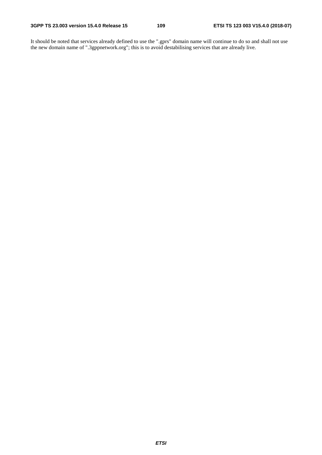It should be noted that services already defined to use the ".gprs" domain name will continue to do so and shall not use the new domain name of ".3gppnetwork.org"; this is to avoid destabilising services that are already live.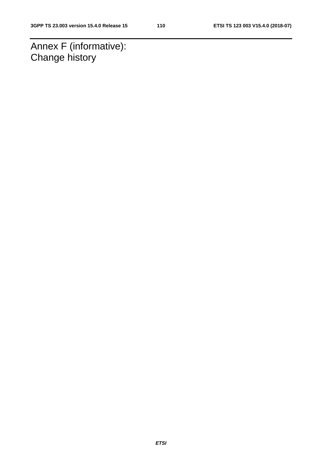Annex F (informative): Change history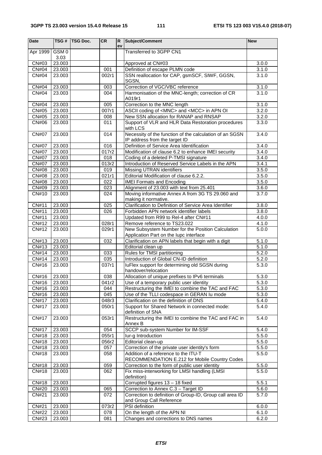| <b>Date</b>                  | TSG#             | <b>TSG Doc.</b> | CR           | R<br>ev | Subject/Comment                                                                                 | <b>New</b>     |
|------------------------------|------------------|-----------------|--------------|---------|-------------------------------------------------------------------------------------------------|----------------|
| Apr 1999                     | GSM <sub>0</sub> |                 |              |         | Transferred to 3GPP CN1                                                                         |                |
|                              | 3.03             |                 |              |         |                                                                                                 |                |
| CN#03                        | 23.003           |                 |              |         | Approved at CN#03                                                                               | 3.0.0          |
| $\overline{CN#04}$           | 23.003           |                 | 001          |         | Definition of escape PLMN code                                                                  | 3.1.0          |
| CN#04                        | 23.003           |                 | 002r1        |         | SSN reallocation for CAP, gsmSCF, SIWF, GGSN,                                                   | 3.1.0          |
| <b>CN#04</b>                 | 23.003           |                 | 003          |         | SGSN,<br>Correction of VGC/VBC reference                                                        | 3.1.0          |
| <b>CN#04</b>                 | 23.003           |                 | 004          |         | Harmonisation of the MNC-length; correction of CR                                               | 3.1.0          |
|                              |                  |                 |              |         | A019r1                                                                                          |                |
| CN#04                        | 23.003           |                 | 005          |         | Correction to the MNC length                                                                    | 3.1.0          |
| CN#05                        | 23.003           |                 | 007r1        |         | ASCII coding of <mnc> and <mcc> in APN OI</mcc></mnc>                                           | 3.2.0          |
| CN#05<br>CN#06               | 23.003           |                 | 008<br>011   |         | New SSN allocation for RANAP and RNSAP<br>Support of VLR and HLR Data Restoration procedures    | 3.2.0<br>3.3.0 |
|                              | 23.003           |                 |              |         | with LCS                                                                                        |                |
| <b>CN#07</b>                 | 23.003           |                 | 014          |         | Necessity of the function of the calculation of an SGSN                                         | 3.4.0          |
|                              |                  |                 |              |         | IP address from the target ID                                                                   |                |
| <b>CN#07</b>                 | 23.003           |                 | 016          |         | Definition of Service Area Identification                                                       | 3.4.0          |
| <b>CN#07</b>                 | 23.003           |                 | 017r2        |         | Modification of clause 6.2 to enhance IMEI security                                             | 3.4.0          |
| <b>CN#07</b><br><b>CN#07</b> | 23.003<br>23.003 |                 | 018<br>013r2 |         | Coding of a deleted P-TMSI signature<br>Introduction of Reserved Service Labels in the APN      | 3.4.0<br>3.4.1 |
| <b>CN#08</b>                 | 23.003           |                 | 019          |         | Missing UTRAN identifiers                                                                       | 3.5.0          |
| CN#08                        | 23.003           |                 | 021r1        |         | Editorial Modification of clause 6.2.2.                                                         | 3.5.0          |
| <b>CN#08</b>                 | 23.003           |                 | 022          |         | <b>IMEI Formats and Encoding</b>                                                                | 3.5.0          |
| CN#09                        | 23.003           |                 | 023          |         | Alignment of 23.003 with text from 25.401                                                       | 3.6.0          |
| CN#10                        | 23.003           |                 | 024          |         | Moving informative Annex A from 3G TS 29.060 and                                                | 3.7.0          |
| CN#11                        | 23.003           |                 | 025          |         | making it normative.<br>Clarification to Definition of Service Area Identifier                  | 3.8.0          |
| CN#11                        | 23.003           |                 | 026          |         | Forbidden APN network identifier labels                                                         | 3.8.0          |
| CN#11                        | 23.003           |                 |              |         | Updated from R99 to Rel-4 after CN#11                                                           | 4.0.0          |
| CN#12                        | 23.003           |                 | 028r1        |         | Remove reference to TS23.022                                                                    | 4.1.0          |
| CN#12                        | 23.003           |                 | 029r1        |         | New Subsystem Number for the Position Calculation                                               | 5.0.0          |
|                              |                  |                 |              |         | Application Part on the lupc interface                                                          |                |
| CN#13                        | 23.003           |                 | 032          |         | Clarification on APN labels that begin with a digit                                             | 5.1.0          |
| CN#13<br>CN#14               | 23.003<br>23.003 |                 | 033          |         | Editorial clean up<br>Rules for TMSI partitioning                                               | 5.1.0<br>5.2.0 |
| CN#14                        | 23.003           |                 | 035          |         | Introduction of Global CN-ID definition                                                         | 5.2.0          |
| CN#16                        | 23.003           |                 | 037r1        |         | luFlex support for determining old SGSN during                                                  | 5.3.0          |
|                              |                  |                 |              |         | handover/relocation                                                                             |                |
| CN#16                        | 23.003           |                 | 038          |         | Allocation of unique prefixes to IPv6 terminals                                                 | 5.3.0          |
| CN#16                        | 23.003           |                 | 041r2        |         | Use of a temporary public user identity                                                         | 5.3.0          |
| CN#16<br>CN#16               | 23.003<br>23.003 |                 | 044<br>045   |         | Restructuring the IMEI to combine the TAC and FAC<br>Use of the TLLI codespace in GERAN Iu mode | 5.3.0<br>5.3.0 |
| <b>CN#17</b>                 | 23.003           |                 | 048r3        |         | Clarification on the definition of DNS                                                          | 5.4.0          |
| <b>CN#17</b>                 | 23.003           |                 | 050r1        |         | Support for Shared Network in connected mode:                                                   | 5.4.0          |
|                              |                  |                 |              |         | definition of SNA                                                                               |                |
| <b>CN#17</b>                 | 23.003           |                 | 053r1        |         | Restructuring the IMEI to combine the TAC and FAC in                                            | 5.4.0          |
|                              |                  |                 |              |         | Annex B                                                                                         |                |
| <b>CN#17</b><br>CN#18        | 23.003<br>23.003 |                 | 054<br>055r1 |         | SCCP sub-system Number for IM-SSF<br>lur-g Introduction                                         | 5.4.0<br>5.5.0 |
| $\overline{\text{CN}}$ #18   | 23.003           |                 | 056r2        |         | Editorial clean-up                                                                              | 5.5.0          |
| CN#18                        | 23.003           |                 | 057          |         | Correction of the private user identity's form                                                  | 5.5.0          |
| <b>CN#18</b>                 | 23.003           |                 | 058          |         | Addition of a reference to the ITU-T                                                            | 5.5.0          |
|                              |                  |                 |              |         | RECOMMENDATION E.212 for Mobile Country Codes                                                   |                |
| <b>CN#18</b>                 | 23.003           |                 | 059          |         | Correction to the form of public user identity                                                  | 5.5.0          |
| CN#18                        | 23.003           |                 | 062          |         | Fix miss-interworking for LMSI handling (LMSI<br>definition)                                    | 5.5.0          |
| CN#18                        | 23.003           |                 |              |         | Corrupted figures 13 - 18 fixed                                                                 | 5.5.1          |
| <b>CN#20</b>                 | 23.003           |                 | 065          |         | Correction to Annex C.3 - Target ID                                                             | 5.6.0          |
| <b>CN#21</b>                 | 23.003           |                 | 072          |         | Correction to definition of Group-ID, Group call area ID                                        | 5.7.0          |
|                              |                  |                 |              |         | and Group Call Reference                                                                        |                |
| <b>CN#21</b><br><b>CN#22</b> | 23.003           |                 | 073r2        |         | PSI definition                                                                                  | 6.0.0          |
| CN#23                        | 23.003<br>23.003 |                 | 078<br>081   |         | On the length of the APN NI<br>Changes and corrections to DNS names                             | 6.1.0<br>6.2.0 |
|                              |                  |                 |              |         |                                                                                                 |                |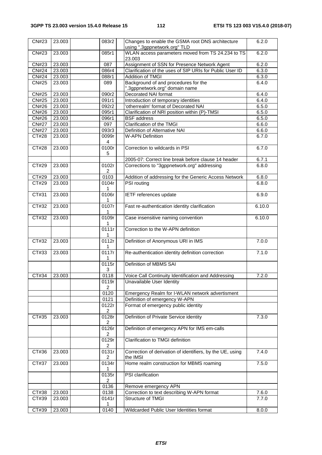| CN#23        | 23.003 | 083r2                   | Changes to enable the GSMA root DNS architecture                       | 6.2.0  |
|--------------|--------|-------------------------|------------------------------------------------------------------------|--------|
|              |        |                         | using ".3gppnetwork.org" TLD                                           |        |
| CN#23        | 23.003 | 085r1                   | WLAN access parameters moved from TS 24.234 to TS<br>23.003            | 6.2.0  |
| <b>CN#23</b> | 23.003 | $\overline{087}$        | Assignment of SSN for Presence Network Agent                           | 6.2.0  |
| <b>CN#24</b> | 23.003 | 086r4                   | Clarification of the uses of SIP URIs for Public User ID               | 6.3.0  |
| <b>CN#24</b> | 23.003 | 088r1                   | <b>Addition of TMGI</b>                                                | 6.3.0  |
| <b>CN#25</b> | 23.003 | 089                     | Background of and procedures for the<br>".3gppnetwork.org" domain name | 6.4.0  |
| <b>CN#25</b> | 23.003 | 090r2                   | Decorated NAI format                                                   | 6.4.0  |
| <b>CN#25</b> | 23.003 | 091r1                   | Introduction of temporary identities                                   | 6.4.0  |
| CN#26        | 23.003 | 092r2                   | 'otherrealm' format of Decorated NAI                                   | 6.5.0  |
| <b>CN#26</b> | 23.003 | 095r1                   | Clarification of NRI position within (P)-TMSI                          | 6.5.0  |
| CN#26        | 23.003 | 096r1                   | <b>BSF</b> address                                                     | 6.5.0  |
| <b>CN#27</b> | 23.003 | 097                     | Clarification of the TMGI                                              | 6.6.0  |
| <b>CN#27</b> | 23.003 | 093r3                   | Definition of Alternative NAI                                          | 6.6.0  |
|              |        |                         |                                                                        |        |
| CT#28        | 23.003 | 0099r<br>4              | <b>W-APN Definition</b>                                                | 6.7.0  |
| CT#28        | 23.003 | 0100r<br>5              | Correction to wildcards in PSI                                         | 6.7.0  |
|              |        |                         | 2005-07: Correct line break before clause 14 header                    | 6.7.1  |
| CT#29        | 23.003 | 0102r                   | Corrections to "3gppnetwork.org" addressing                            | 6.8.0  |
|              |        | 2                       |                                                                        |        |
| CT#29        | 23.003 | 0103                    | Addition of addressing for the Generic Access Network                  | 6.8.0  |
| CT#29        | 23.003 | 0104r                   | <b>PSI</b> routing                                                     | 6.8.0  |
|              |        | 1                       |                                                                        |        |
| CT#31        | 23.003 | 0106r<br>1              | IETF references update                                                 | 6.9.0  |
| CT#32        | 23.003 | 0107r<br>1              | Fast re-authentication identity clarification                          | 6.10.0 |
| CT#32        | 23.003 | 0109r<br>1              | Case insensitive naming convention                                     | 6.10.0 |
|              |        | 0111r<br>1              | Correction to the W-APN definition                                     |        |
| CT#32        | 23.003 | 0112r<br>1              | Definition of Anonymous URI in IMS                                     | 7.0.0  |
| CT#33        | 23.003 | 0117r                   | Re-authentication identity definition correction                       | 7.1.0  |
|              |        | 0115r<br>3              | Definition of MBMS SAI                                                 |        |
| CT#34        | 23.003 | 0118                    | Voice Call Continuity Identification and Addressing                    | 7.2.0  |
|              |        | 0119r                   | Unavailable User Identity                                              |        |
|              |        | 2<br>0120               |                                                                        |        |
|              |        |                         | Emergency Realm for I-WLAN network advertisment                        |        |
|              |        | 0121                    | Definition of emergency W-APN                                          |        |
|              |        | 0122r<br>$\overline{2}$ | Format of emergency public identity                                    |        |
| CT#35        | 23.003 | 0128r                   | Definition of Private Service identity                                 | 7.3.0  |
|              |        | $\overline{2}$<br>0126r | Definition of emergency APN for IMS em-calls                           |        |
|              |        | $\overline{2}$          |                                                                        |        |
|              |        | 0129r<br>2              | Clarification to TMGI definition                                       |        |
| CT#36        | 23.003 | 0131r<br>2              | Correction of derivation of identifiers, by the UE, using<br>the IMSI  | 7.4.0  |
| CT#37        | 23.003 | 0134r<br>1              | Home realm construction for MBMS roaming                               | 7.5.0  |
|              |        | 0135r<br>$\overline{2}$ | PSI clarification                                                      |        |
|              |        | 0136                    | Remove emergency APN                                                   |        |
| CT#38        | 23.003 | 0138                    | Correction to text describing W-APN format                             | 7.6.0  |
| CT#39        | 23.003 | 0141r                   | Structure of TMGI                                                      | 7.7.0  |
|              |        | 1                       |                                                                        |        |
| CT#39        | 23.003 | 0140                    | Wildcarded Public User Identities format                               | 8.0.0  |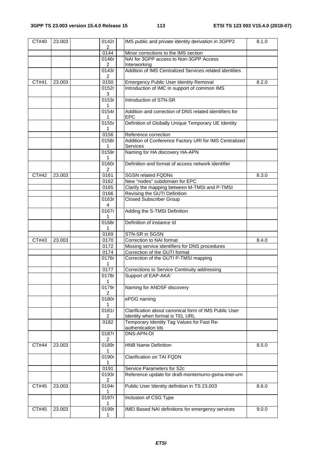| CT#40 | 23.003 | 0142r<br>$\overline{2}$ | IMS public and private identity derivation in 3GPP2                  | 8.1.0 |
|-------|--------|-------------------------|----------------------------------------------------------------------|-------|
|       |        | 0144                    | Minor corrections to the IMS section                                 |       |
|       |        | 0146r                   | NAI for 3GPP access to Non-3GPP Access                               |       |
|       |        | $\overline{2}$          | Interworking                                                         |       |
|       |        | 0143r<br>2              | Addition of IMS Centralized Services related identities              |       |
| CT#41 | 23.003 | 0150                    | <b>Emergency Public User Identity Removal</b>                        | 8.2.0 |
|       |        | 0152r                   | Introduction of IMC in support of common IMS                         |       |
|       |        | 3                       |                                                                      |       |
|       |        | 0153r<br>$\mathbf 1$    | Introduction of STN-SR                                               |       |
|       |        | 0154r<br>1              | Addition and correction of DNS related identifiers for<br><b>EPC</b> |       |
|       |        | 0155r                   | Definition of Globally Unique Temporary UE Identity                  |       |
|       |        | 1                       |                                                                      |       |
|       |        | 0156                    | Reference correction                                                 |       |
|       |        | 0158r                   | Addition of Conference Factory URI for IMS Centralized               |       |
|       |        | 1                       | <b>Services</b>                                                      |       |
|       |        | 0159r<br>1              | Naming for HA discovery HA-APN                                       |       |
|       |        | 0160r<br>$\overline{2}$ | Definition and format of access network identifier                   |       |
| CT#42 | 23.003 | 0161                    | <b>SGSN related FQDNs</b>                                            | 8.3.0 |
|       |        | 0162                    | New "nodes" subdomain for EPC                                        |       |
|       |        | 0165                    | Clarify the mapping between M-TMSI and P-TMSI                        |       |
|       |        | 0166                    | Revising the GUTI Definition                                         |       |
|       |        | 0163r                   | <b>Closed Subscriber Group</b>                                       |       |
|       |        | 4                       |                                                                      |       |
|       |        | 0167r<br>1              | Adding the S-TMSI Definition                                         |       |
|       |        | 0168r<br>1.             | Definition of instance Id                                            |       |
|       |        | 0169                    | STN-SR in SGSN                                                       |       |
| CT#43 | 23.003 | 0170                    | Correction to NAI format                                             | 8.4.0 |
|       |        | 0172                    | Missing service identifiers for DNS procedures                       |       |
|       |        | 0174                    | Correction of the GUTI format                                        |       |
|       |        | 0176r<br>$\mathbf{1}$   | Correction of the GUTI P-TMSI mapping                                |       |
|       |        | 0177                    | Corrections to Service Continuity addressing                         |       |
|       |        | 0178r                   | Support of EAP-AKA'                                                  |       |
|       |        |                         |                                                                      |       |
|       |        | 0179r<br>2              | Naming for ANDSF discovery                                           |       |
|       |        | 0180r                   | ePDG naming                                                          |       |
|       |        | 1<br>0181r              | Clarification about canonical form of IMS Public User                |       |
|       |        | $\overline{\mathbf{c}}$ | Identity when format is TEL URL                                      |       |
|       |        | 0182                    | Temporary Identity Tag Values for Fast Re-<br>authentication Ids     |       |
|       |        | 0187r                   | DNS-APN-OI                                                           |       |
|       |        | 2                       |                                                                      |       |
| CT#44 | 23.003 | 0189r<br>1              | <b>HNB Name Definition</b>                                           | 8.5.0 |
|       |        | 0190r<br>1              | Clarification on TAI FQDN                                            |       |
|       |        | 0191                    | Service Parameters for S2c                                           |       |
|       |        | 0193r                   | Reference update for draft-montemurro-gsma-imei-urn                  |       |
|       |        | 2                       |                                                                      |       |
| CT#45 | 23.003 | 0194r<br>1              | Public User Identity definition in TS 23.003                         | 8.6.0 |
|       |        | 0197r                   | Inclusion of CSG Type                                                |       |
| CT#45 | 23.003 | 1<br>0199r              | IMEI Based NAI definitions for emergency services                    | 9.0.0 |
|       |        | 1                       |                                                                      |       |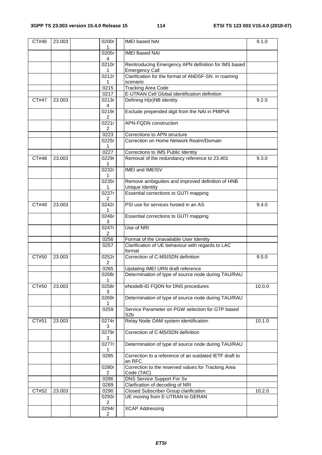| CT#46 | 23.003 | 0200r<br>1              | <b>IMEI</b> based NAI                                                | 9.1.0  |
|-------|--------|-------------------------|----------------------------------------------------------------------|--------|
|       |        | 0205r                   | <b>IMEI Based NAI</b>                                                |        |
|       |        | 4<br>0210r              | Reintroducing Emergency APN definition for IMS based                 |        |
|       |        | 1                       | <b>Emergency Call</b>                                                |        |
|       |        | $\overline{0212r}$      | Clarification for the format of ANDSF-SN in roaming                  |        |
|       |        | 1<br>0215               | scenario<br><b>Tracking Area Code</b>                                |        |
|       |        | 0217                    | E-UTRAN Cell Global Identification definition                        |        |
| CT#47 | 23.003 | 0213r                   | Defining H(e)NB identity                                             | 9.2.0  |
|       |        | 4                       |                                                                      |        |
|       |        | 0219r<br>2              | Exclude prepended digit from the NAI in PMIPv6                       |        |
|       |        | 0221r                   | <b>APN-FQDN construction</b>                                         |        |
|       |        | $\overline{2}$          |                                                                      |        |
|       |        | 0223                    | Corrections to APN structure                                         |        |
|       |        | 0225r<br>1              | Correction on Home Network Realm/Domain                              |        |
|       |        | 0227                    | Corrections to IMS Public Identity                                   |        |
| CT#48 | 23.003 | 0229r                   | Removal of the redundancy reference to 23.401                        | 9.3.0  |
|       |        | 1                       |                                                                      |        |
|       |        | 0232r<br>1              | <b>IMEI and IMEISV</b>                                               |        |
|       |        | 0235r<br>1              | Remove ambiguities and improved definition of HNB<br>Unique Identity |        |
|       |        | 0237r<br>2              | Essential corrections to GUTI mapping                                |        |
| CT#49 | 23.003 | 0242r<br>1              | PSI use for services hosted in an AS                                 | 9.4.0  |
|       |        | 0246r<br>3              | Essential corrections to GUTI mapping                                |        |
|       |        | 0247r<br>2              | Use of NRI                                                           |        |
|       |        | 0256                    | Format of the Unavailable User Identity                              |        |
|       |        | 0257                    | Clarification of UE behaviour with regards to LAC<br>format          |        |
| CT#50 | 23.003 | 0252r<br>2              | Correction of C-MSISDN definition                                    | 9.5.0  |
|       |        | 0265                    | Updating IMEI URN draft reference                                    |        |
|       |        | 0268r<br>1              | Determination of type of source node during TAU/RAU                  |        |
| CT#50 | 23.003 | 0258r<br>3              | eNodeB-ID FQDN for DNS procedures                                    | 10.0.0 |
|       |        | 0269r                   | Determination of type of source node during TAU/RAU                  |        |
|       |        | 0259                    | Service Parameter on PGW selection for GTP based<br>S <sub>2</sub> b |        |
| CT#51 | 23.003 | 0274r<br>3              | Relay Node OAM system identification                                 | 10.1.0 |
|       |        | 0279r<br>3              | Correction of C-MSISDN definition                                    |        |
|       |        | 0277r<br>1              | Determination of type of source node during TAU/RAU                  |        |
|       |        | 0285                    | Correction to a reference of an outdated IETF draft to<br>an RFC     |        |
|       |        | 0280r<br>2              | Correction to the reserved values for Tracking Area<br>Code (TAC)    |        |
|       |        | 0286                    | DNS Service Support For Sv                                           |        |
|       |        | 0289                    | Clarfication of decoding of NRI                                      |        |
| CT#52 | 23.003 | 0290                    | <b>Closed Subscriber Group clarification</b>                         | 10.2.0 |
|       |        | 0293r<br>$\overline{2}$ | UE moving from E-UTRAN to GERAN                                      |        |
|       |        | 0294r<br>$\overline{2}$ | <b>XCAP Addressing</b>                                               |        |
|       |        |                         |                                                                      |        |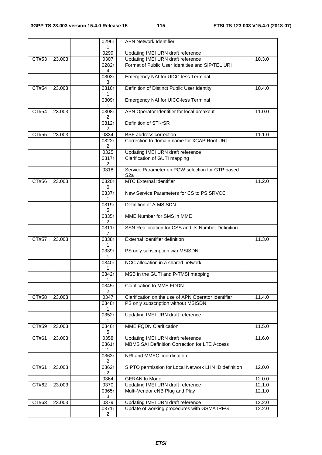|       |        | 0296r<br>1              | <b>APN Network Identifier</b>                                        |        |
|-------|--------|-------------------------|----------------------------------------------------------------------|--------|
|       |        | 0299                    | Updating IMEI URN draft reference                                    |        |
| CT#53 | 23.003 | 0307                    | Updating IMEI URN draft reference                                    | 10.3.0 |
|       |        | 0282r                   | Format of Public User Identities and SIP/TEL URI                     |        |
|       |        | 4<br>0303r<br>3         | Emergency NAI for UICC-less Terminal                                 |        |
| CT#54 | 23.003 | 0316r<br>1              | Definition of Distinct Public User Identity                          | 10.4.0 |
|       |        | 0309r<br>1              | Emergency NAI for UICC-less Terminal                                 |        |
| CT#54 | 23.003 | 0308r<br>2              | APN Operator Identifier for local breakout                           | 11.0.0 |
|       |        | 0312r<br>$\overline{2}$ | Definition of STI-rSR                                                |        |
| CT#55 | 23.003 | 0334                    | <b>BSF</b> address correction                                        | 11.1.0 |
|       |        | 0322r<br>$\overline{2}$ | Correction to domain name for XCAP Root URI                          |        |
|       |        | 0325                    | Updating IMEI URN draft reference                                    |        |
|       |        | 0317r<br>$\overline{2}$ | Clarification of GUTI mapping                                        |        |
|       |        | 0318                    | Service Parameter on PGW selection for GTP based<br>S <sub>2</sub> a |        |
| CT#56 | 23,003 | 0320r<br>6              | <b>MTC External Identifier</b>                                       | 11.2.0 |
|       |        | 0337r<br>1.             | New Service Parameters for CS to PS SRVCC                            |        |
|       |        | 0319r<br>5              | Definition of A-MSISDN                                               |        |
|       |        | 0335r<br>2              | MME Number for SMS in MME                                            |        |
|       |        | 0311r<br>7              | SSN Reallocation for CSS and its Number Definition                   |        |
| CT#57 | 23.003 | 0338r<br>1              | <b>External Identifier definition</b>                                | 11.3.0 |
|       |        | 0339r<br>1              | PS only subscription w/o MSISDN                                      |        |
|       |        | 0340r<br>1              | NCC allocation in a shared network                                   |        |
|       |        | 0342r<br>1              | MSB in the GUTI and P-TMSI mapping                                   |        |
|       |        | 0345r<br>$\overline{2}$ | Clarification to MME FQDN                                            |        |
| CT#58 | 23.003 | 0347                    | Clarification on the use of APN Operator Identifier                  | 11.4.0 |
|       |        | 0348r<br>1              | PS only subscription without MSISDN                                  |        |
|       |        | 0352r<br>1              | Updating IMEI URN draft reference                                    |        |
| CT#59 | 23.003 | 0346r<br>5              | <b>MME FQDN Clarification</b>                                        | 11.5.0 |
| CT#61 | 23.003 | 0358                    | Updating IMEI URN draft reference                                    | 11.6.0 |
|       |        | 0361r<br>1              | MBMS SAI Definition Correction for LTE Access                        |        |
|       |        | 0363r<br>$\overline{2}$ | NRI and MMEC coordination                                            |        |
| CT#61 | 23.003 | 0362r<br>$\overline{2}$ | SIPTO permission for Local Network LHN ID definition                 | 12.0.0 |
|       |        | 0364                    | <b>GERAN Iu Mode</b>                                                 | 12.0.0 |
| CT#62 | 23.003 | 0370                    | Updating IMEI URN draft reference                                    | 12.1.0 |
|       |        | 0365r<br>3              | Multi-Vendor eNB Plug and Play                                       | 12.1.0 |
| CT#63 | 23.003 | 0379                    | Updating IMEI URN draft reference                                    | 12.2.0 |
|       |        | 0371r<br>$\overline{2}$ | Update of working procedures with GSMA IREG                          | 12.2.0 |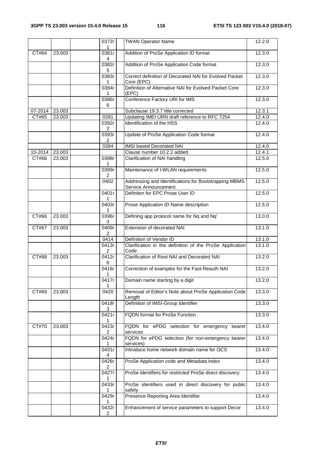|                     |        | 0372r<br>1                       | <b>TWAN Operator Name</b>                                                     | 12.2.0 |
|---------------------|--------|----------------------------------|-------------------------------------------------------------------------------|--------|
| CT#64               | 23.003 | 0381r<br>4                       | Addition of ProSe Application ID format                                       | 12.3.0 |
|                     |        | 0382r<br>5                       | Addition of ProSe Application Code format                                     | 12.3.0 |
|                     |        | 0383r<br>1                       | Correct definition of Decorated NAI for Evolved Packet<br>Core (EPC)          | 12.3.0 |
|                     |        | 0384r<br>1                       | Definition of Alternative NAI for Evolved Packet Core<br>(EPC)                | 12.3.0 |
|                     |        | 0386r<br>6                       | Conference Factory URI for IMS                                                | 12.3.0 |
| 07-2014             | 23.003 |                                  | Subclause 19.3.7 title corrected                                              | 12.3.1 |
| CT#65               | 23.003 | 0391                             | Updating IMEI URN draft reference to RFC 7254                                 | 12.4.0 |
|                     |        | 0392r<br>$\overline{\mathbf{c}}$ | Identification of the HSS                                                     | 12.4.0 |
|                     |        | 0393r<br>2                       | Update of ProSe Application Code format                                       | 12.4.0 |
|                     |        | 0394                             | IMSI based Decorated NAI                                                      | 12.4.0 |
| 10-2014             | 23.003 |                                  | Clause number 10.2.2 added.                                                   | 12.4.1 |
| CT#66               | 23.003 | 0398r<br>1                       | Clarification of NAI handling                                                 | 12.5.0 |
|                     |        | 0399r<br>2                       | Maintenance of I-WLAN requirements                                            | 12.5.0 |
|                     |        | 0402                             | Addressing and Identifications for Bootstrapping MBMS<br>Service Announcement | 12.5.0 |
|                     |        | 0401r<br>1                       | Definiton for EPC Prose User ID                                               | 12.5.0 |
|                     |        | 0403r<br>1                       | Prose Application ID Name description                                         | 12.5.0 |
| CT#66               | 23.003 | 0396r<br>3                       | Defining app protocol name for Nq and Nq'                                     | 13.0.0 |
| CT#67               | 23.003 | 0409r<br>$\overline{2}$          | Extension of decorated NAI                                                    | 13.1.0 |
|                     |        | 0414                             | Definition of Vendor ID                                                       | 13.1.0 |
|                     |        | 0413r<br>$\overline{2}$          | Clarification in the definition of the ProSe Application<br>Code              | 13.1.0 |
| $\overline{C}$ T#68 | 23.003 | 0412r<br>6                       | Clarification of Root NAI and Decorated NAI                                   | 13.2.0 |
|                     |        | 0416r<br>1                       | Correction of examples for the Fast-Reauth NAI                                | 13.2.0 |
|                     |        | 0417r<br>1                       | Domain name starting by a digit                                               | 13.2.0 |
| CT#69               | 23.003 | 0420                             | Removal of Editor's Note about ProSe Application Code<br>Length               | 13.3.0 |
|                     |        | 0418r<br>3                       | Definition of IMSI-Group Identifier                                           | 13.3.0 |
|                     |        | 0421r<br>1                       | FQDN format for ProSe Function                                                | 13.3.0 |
| CT#70               | 23.003 | 0423r<br>$\overline{2}$          | FQDN for ePDG selection for emergency<br>bearer<br>services                   | 13.4.0 |
|                     |        | 0424r<br>1                       | FQDN for ePDG selection (for non-emergency bearer<br>services)                | 13.4.0 |
|                     |        | 0431r<br>4                       | Introduce home network domain name for OCS                                    | 13.4.0 |
|                     |        | 0426r<br>$\overline{2}$          | ProSe Application code and Metadata index                                     | 13.4.0 |
|                     |        | 0427r<br>1                       | ProSe identifiers for restricted ProSe direct discovery                       | 13.4.0 |
|                     |        | 0433r                            | ProSe identifiers used in direct discovery for public<br>safety               | 13.4.0 |
|                     |        | 0429r<br>1                       | Presence Reporting Area Identifier                                            | 13.4.0 |
|                     |        | 0432r<br>2                       | Enhancement of service parameters to support Decor                            | 13.4.0 |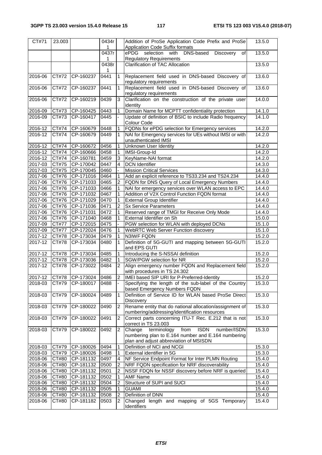| $\overline{C}$ T#71 | 23.003                      |                        | 0434r<br>1   |                | Addition of ProSe Application Code Prefix and ProSe<br><b>Application Code Suffix formats</b>               | 13.5.0           |
|---------------------|-----------------------------|------------------------|--------------|----------------|-------------------------------------------------------------------------------------------------------------|------------------|
|                     |                             |                        | 0437r        |                | ePDG selection with<br>DNS-based<br>Discovery<br>οf                                                         | 13.5.0           |
|                     |                             |                        | 1            |                | <b>Regulatory Requirements</b>                                                                              |                  |
|                     |                             |                        | 0438r        |                | Clarification of TAC Allocation                                                                             | 13.5.0           |
|                     |                             |                        | 1            |                |                                                                                                             |                  |
| 2016-06             | CT#72                       | CP-160237              | 0441         | 1              | Replacement field used in DNS-based Discovery of                                                            | 13.6.0           |
|                     |                             |                        |              |                | regulatory requirements                                                                                     |                  |
| 2016-06             | CT#72                       | CP-160237              | 0441         | 1              | Replacement field used in DNS-based Discovery of                                                            | 13.6.0           |
|                     |                             |                        |              |                | regulatory requirements                                                                                     |                  |
| 2016-06             | CT#72                       | CP-160219              | 0439         | 3              | Clarification on the construction of the private user                                                       | 14.0.0           |
|                     | CT#73                       |                        |              | 1              | identity                                                                                                    |                  |
| 2016-09<br>2016-09  | CT#73                       | CP-160425<br>CP-160417 | 0443<br>0445 |                | Domain Name for MCPTT confidentiality protection<br>Update of definition of BSIC to include Radio frequency | 14.1.0<br>14.1.0 |
|                     |                             |                        |              |                | Colour Code                                                                                                 |                  |
| 2016-12             | CT#74                       | CP-160679              | 0448         | 1              | FQDNs for ePDG selection for Emergency services                                                             | 14.2.0           |
| 2016-12             | CT#74                       | CP-160679              | 0449         | 1              | NAI for Emergency services for UEs without IMSI or with<br>unauthenticated IMSI                             | 14.2.0           |
| 2016-12             | CT#74                       | CP-160672              | 0456         | 1              | <b>Unknown User Identity</b>                                                                                | 14.2.0           |
| 2016-12             | CT#74                       | CP-160666              | 0458         | 1              | IMSI-Group-Id                                                                                               | 14.2.0           |
| 2016-12             | CT#74                       | CP-160781              | 0459         | 3              | KeyName-NAI format                                                                                          | 14.2.0           |
| 2017-03             | CT#75                       | CP-170042              | 0447         | 4              | <b>DCN</b> Identifier                                                                                       | 14.3.0           |
| 2017-03             | CT#75                       | CP-170045              | 0460         |                | <b>Mission Critical Services</b>                                                                            | 14.3.0           |
| 2017-06             | CT#76                       | CP-171016              | 0464         | 1              | Add an explicit reference to TS33.234 and TS24.234                                                          | 14.4.0           |
| 2017-06             | CT#76                       | CP-171033              | 0465         | $\overline{2}$ | FQDN for DNS Query of Local Emergency Numbers                                                               | 14.4.0           |
| 2017-06             | CT#76                       | CP-171033              | 0466         |                | NAI for emergency services over WLAN access to EPC                                                          | 14.4.0           |
|                     | CT#76                       |                        |              |                | Addition of V2X Control Function FQDN format                                                                |                  |
| 2017-06             |                             | CP-171032              | 0467<br>0470 | 1              |                                                                                                             | 14.4.0           |
| 2017-06             | CT#76<br>CT#76              | CP-171029              | 0471         | $\overline{2}$ | <b>External Group Identifier</b><br><b>Sx Service Parameters</b>                                            | 14.4.0<br>14.4.0 |
| 2017-06             |                             | CP-171036<br>CP-171031 | 0472         |                |                                                                                                             |                  |
| 2017-06             | CT#76                       |                        |              |                | Reserved range of TMGI for Receive Only Mode                                                                | 14.4.0           |
| 2017-06             | CT#76<br>$\overline{CT#77}$ | CP-171040              | 0468<br>0475 |                | External Identifier on Sh                                                                                   | 15.0.0           |
| 2017-09             |                             | CP-172015<br>CP-172024 | 0476         |                | PGW selection for WLAN with deployed DCNs                                                                   | 15.1.0<br>15.1.0 |
| 2017-09             | CT#77                       |                        | 0479         | 1              | WebRTC Web Server Function discovery<br>N3IWF FQDN                                                          |                  |
| 2017-12             | CT#78                       | CP-173034<br>CP-173034 | 0480         | 1<br>1         |                                                                                                             | 15.2.0<br>15.2.0 |
| 2017-12             | CT#78                       |                        |              |                | Definition of 5G-GUTI and mapping between 5G-GUTI<br>and EPS GUTI                                           |                  |
| 2017-12             | CT#78                       | CP-173034              | 0485         | 1              | Introducing the S-NSSAI definition                                                                          | 15.2.0           |
| 2017-12             | CT#78                       | CP-173036              | 0482         | 1              | SGW/PGW selection for NR                                                                                    | 15.2.0           |
| 2017-12             | CT#78                       | CP-173022              | 0484         | $\overline{2}$ | Align emergency number FQDN and Replacement field                                                           | 15.2.0           |
|                     |                             |                        |              |                | with procedures in TS 24.302                                                                                |                  |
| 2017-12             | CT#78                       | CP-173024              | 0486         | $\overline{2}$ | IMEI based SIP URI for P-Preferred-Identity                                                                 | 15.2.0           |
| 2018-03             | CT#79                       | CP-180017              | 0488         |                | Specifying the length of the sub-label of the Country                                                       | 15.3.0           |
|                     |                             |                        |              |                | based Emergency Numbers FQDN                                                                                |                  |
| 2018-03             | CT#79                       | CP-180024              | 0489         | 1              | Definition of Service ID for WLAN based ProSe Direct                                                        | 15.3.0           |
|                     |                             |                        | 0490         |                | Discovery<br>Rename entity that do national allocation/assignment of                                        |                  |
| 2018-03             | CT#79                       | CP-180022              |              | 2              | numbering/addressing/identification resources                                                               | 15.3.0           |
| 2018-03             | CT#79                       | CP-180022              | 0491         | $\overline{c}$ | Correct parts concerning ITU-T Rec. E.212 that is not                                                       | 15.3.0           |
|                     |                             |                        |              |                | correct in TS 23.003                                                                                        |                  |
| 2018-03             | CT#79                       | CP-180022              | 0492         | 2              | terminology<br>Change<br>from<br><b>ISDN</b><br>number/ISDN                                                 | 15.3.0           |
|                     |                             |                        |              |                | numbering plan to E.164 number and E.164 numbering                                                          |                  |
|                     |                             |                        |              |                | plan and adjust abbreviation of MSISDN                                                                      |                  |
| 2018-03             | CT#79                       | CP-180026              | 0494         | 1              | Definition of NCI and NCGI                                                                                  | 15.3.0           |
| 2018-03             | CT#79                       | CP-180026              | 0498         | 1              | External identifier in 5G                                                                                   | 15.3.0           |
| 2018-06             | CT#80                       | CP-181132              | 0497         | 4              | NF Service Endpoint Format for Inter PLMN Routing                                                           | 15.4.0           |
| 2018-06             | CT#80                       | CP-181132              | 0500         | 2              | NRF FQDN specification for NRF discoverability                                                              | 15.4.0           |
| 2018-06             | CT#80                       | CP-181132              | 0501         | 2              | NSSF FDQN for NSSF discovery before NRF is queried                                                          | 15.4.0           |
| 2018-06             | CT#80                       | CP-181132              | 0502         |                | <b>AMF Name</b>                                                                                             | 15.4.0           |
| 2018-06             | CT#80                       | CP-181132              | 0504         | $\overline{2}$ | Structure of SUPI and SUCI                                                                                  | 15.4.0           |
| 2018-06             | CT#80                       | CP-181132              | 0505         | 1              | <b>GUAMI</b>                                                                                                | 15.4.0           |
| 2018-06             | CT#80                       | CP-181132              | 0508         | 2              | Definition of DNN                                                                                           | 15.4.0           |
| 2018-06             | CT#80                       | CP-181182              | 0503         | 2              | Changed length and mapping of 5GS Temporary                                                                 | 15.4.0           |
|                     |                             |                        |              |                | Identifiers                                                                                                 |                  |